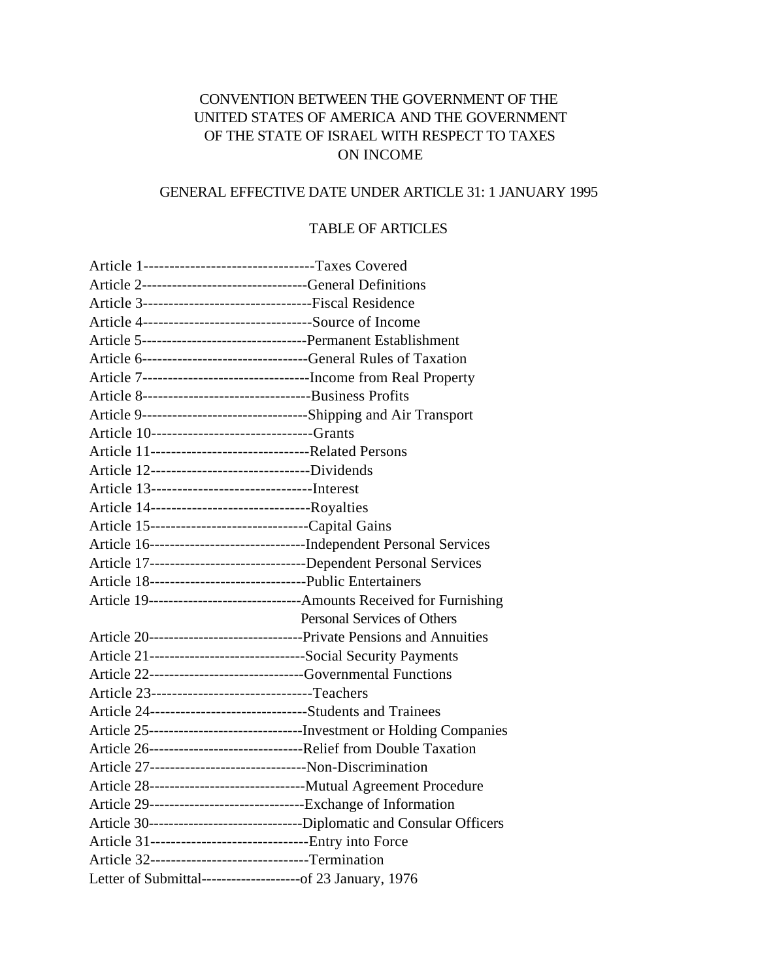# CONVENTION BETWEEN THE GOVERNMENT OF THE UNITED STATES OF AMERICA AND THE GOVERNMENT OF THE STATE OF ISRAEL WITH RESPECT TO TAXES ON INCOME

# GENERAL EFFECTIVE DATE UNDER ARTICLE 31: 1 JANUARY 1995

# TABLE OF ARTICLES

| Article 1--------------------------------Taxes Covered                |                                                                              |
|-----------------------------------------------------------------------|------------------------------------------------------------------------------|
| Article 2--------------------------------General Definitions          |                                                                              |
|                                                                       |                                                                              |
| Article 4---------------------------------Source of Income            |                                                                              |
|                                                                       |                                                                              |
|                                                                       |                                                                              |
| Article 7----------------------------------Income from Real Property  |                                                                              |
|                                                                       |                                                                              |
| Article 9----------------------------------Shipping and Air Transport |                                                                              |
| Article 10------------------------------Grants                        |                                                                              |
|                                                                       |                                                                              |
| Article 12--------------------------------Dividends                   |                                                                              |
|                                                                       |                                                                              |
| Article 14---------------------------------Royalties                  |                                                                              |
| Article 15----------------------------------Capital Gains             |                                                                              |
|                                                                       | Article 16----------------------------------Independent Personal Services    |
|                                                                       | Article 17---------------------------------Dependent Personal Services       |
| Article 18--------------------------------Public Entertainers         |                                                                              |
|                                                                       | Article 19--------------------------------Amounts Received for Furnishing    |
|                                                                       | Personal Services of Others                                                  |
|                                                                       |                                                                              |
| Article 21-------------------------------Social Security Payments     |                                                                              |
| Article 22------------------------------Governmental Functions        |                                                                              |
| Article 23--------------------------------Teachers                    |                                                                              |
| Article 24-------------------------------Students and Trainees        |                                                                              |
|                                                                       | Article 25----------------------------------Investment or Holding Companies  |
|                                                                       |                                                                              |
| Article 27--------------------------------Non-Discrimination          |                                                                              |
|                                                                       | Article 28-----------------------------------Mutual Agreement Procedure      |
| Article 29--------------------------------Exchange of Information     |                                                                              |
|                                                                       | Article 30----------------------------------Diplomatic and Consular Officers |
| Article 31--------------------------------Entry into Force            |                                                                              |
| Article 32------------------------------Termination                   |                                                                              |
| Letter of Submittal--------------------of 23 January, 1976            |                                                                              |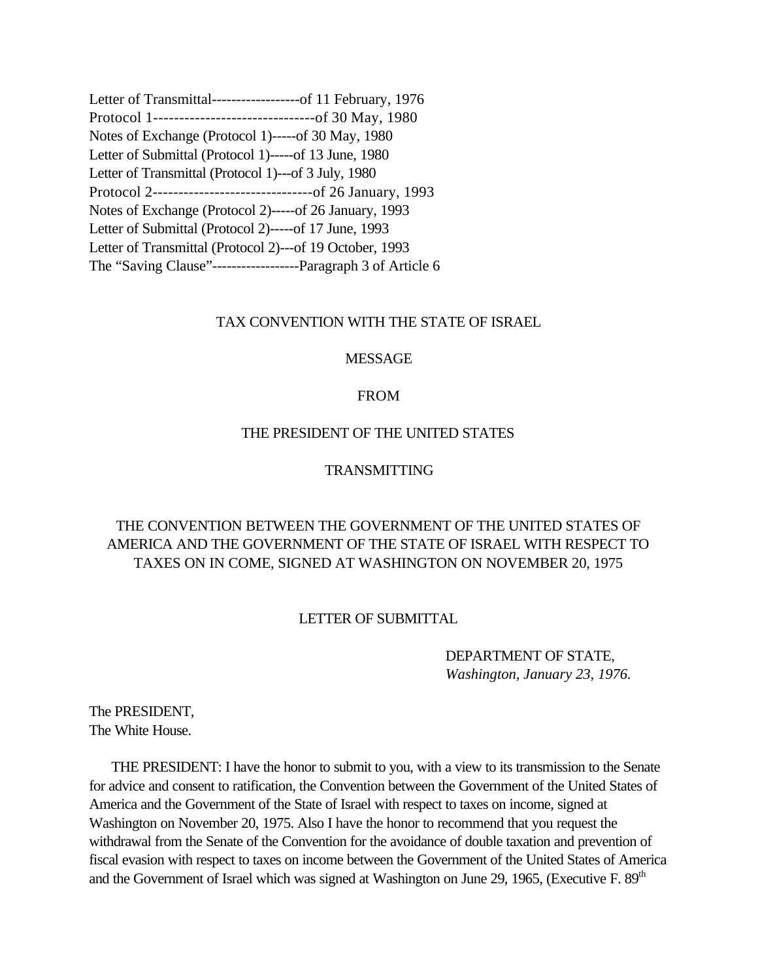<span id="page-1-0"></span>

| Letter of Transmittal-------------------of 11 February, 1976     |
|------------------------------------------------------------------|
| Protocol 1----------------------------------of 30 May, 1980      |
| Notes of Exchange (Protocol 1)-----of 30 May, 1980               |
| Letter of Submittal (Protocol 1)-----of 13 June, 1980            |
| Letter of Transmittal (Protocol 1)---of 3 July, 1980             |
| Protocol 2-----------------------------------of 26 January, 1993 |
| Notes of Exchange (Protocol 2)-----of 26 January, 1993           |
| Letter of Submittal (Protocol 2)-----of 17 June, 1993            |
| Letter of Transmittal (Protocol 2)---of 19 October, 1993         |
|                                                                  |

### TAX CONVENTION WITH THE STATE OF ISRAEL

#### MESSAGE

### FROM

### THE PRESIDENT OF THE UNITED STATES

# TRANSMITTING

# THE CONVENTION BETWEEN THE GOVERNMENT OF THE UNITED STATES OF AMERICA AND THE GOVERNMENT OF THE STATE OF ISRAEL WITH RESPECT TO TAXES ON IN COME, SIGNED AT WASHINGTON ON NOVEMBER 20, 1975

#### LETTER OF SUBMITTAL

# DEPARTMENT OF STATE, *Washington, January 23, 1976.*

The PRESIDENT, The White House.

 THE PRESIDENT: I have the honor to submit to you, with a view to its transmission to the Senate for advice and consent to ratification, the Convention between the Government of the United States of America and the Government of the State of Israel with respect to taxes on income, signed at Washington on November 20, 1975. Also I have the honor to recommend that you request the withdrawal from the Senate of the Convention for the avoidance of double taxation and prevention of fiscal evasion with respect to taxes on income between the Government of the United States of America and the Government of Israel which was signed at Washington on June 29, 1965, (Executive F. 89<sup>th</sup>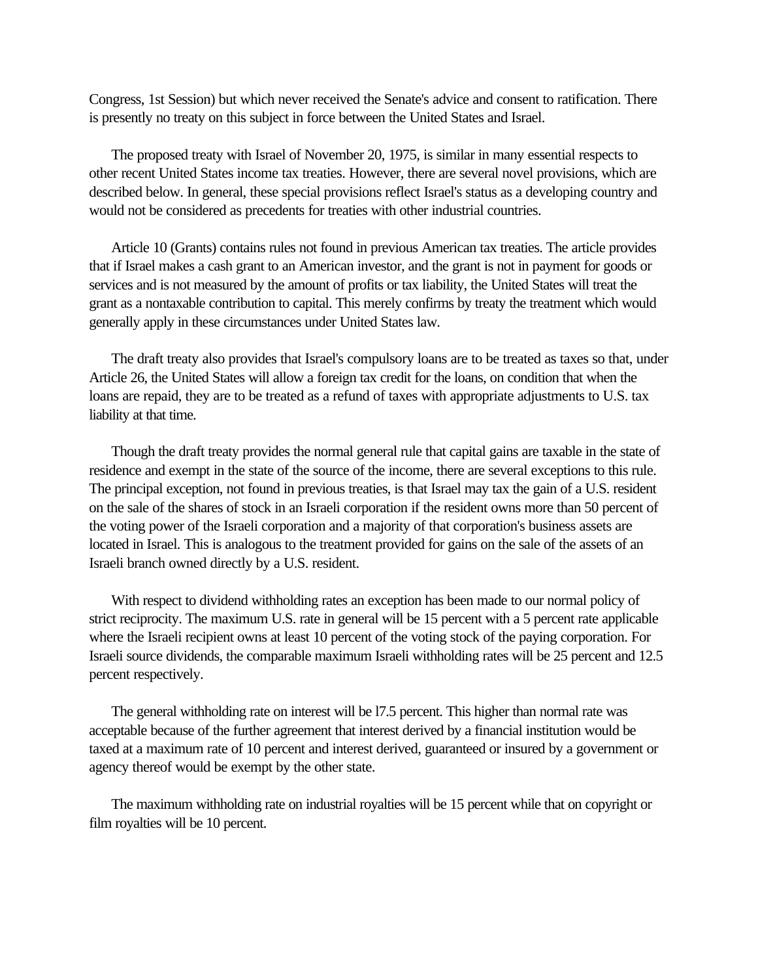Congress, 1st Session) but which never received the Senate's advice and consent to ratification. There is presently no treaty on this subject in force between the United States and Israel.

 The proposed treaty with Israel of November 20, 1975, is similar in many essential respects to other recent United States income tax treaties. However, there are several novel provisions, which are described below. In general, these special provisions reflect Israel's status as a developing country and would not be considered as precedents for treaties with other industrial countries.

 Article 10 (Grants) contains rules not found in previous American tax treaties. The article provides that if Israel makes a cash grant to an American investor, and the grant is not in payment for goods or services and is not measured by the amount of profits or tax liability, the United States will treat the grant as a nontaxable contribution to capital. This merely confirms by treaty the treatment which would generally apply in these circumstances under United States law.

 The draft treaty also provides that Israel's compulsory loans are to be treated as taxes so that, under Article 26, the United States will allow a foreign tax credit for the loans, on condition that when the loans are repaid, they are to be treated as a refund of taxes with appropriate adjustments to U.S. tax liability at that time.

 Though the draft treaty provides the normal general rule that capital gains are taxable in the state of residence and exempt in the state of the source of the income, there are several exceptions to this rule. The principal exception, not found in previous treaties, is that Israel may tax the gain of a U.S. resident on the sale of the shares of stock in an Israeli corporation if the resident owns more than 50 percent of the voting power of the Israeli corporation and a majority of that corporation's business assets are located in Israel. This is analogous to the treatment provided for gains on the sale of the assets of an Israeli branch owned directly by a U.S. resident.

 With respect to dividend withholding rates an exception has been made to our normal policy of strict reciprocity. The maximum U.S. rate in general will be 15 percent with a 5 percent rate applicable where the Israeli recipient owns at least 10 percent of the voting stock of the paying corporation. For Israeli source dividends, the comparable maximum Israeli withholding rates will be 25 percent and 12.5 percent respectively.

 The general withholding rate on interest will be l7.5 percent. This higher than normal rate was acceptable because of the further agreement that interest derived by a financial institution would be taxed at a maximum rate of 10 percent and interest derived, guaranteed or insured by a government or agency thereof would be exempt by the other state.

 The maximum withholding rate on industrial royalties will be 15 percent while that on copyright or film royalties will be 10 percent.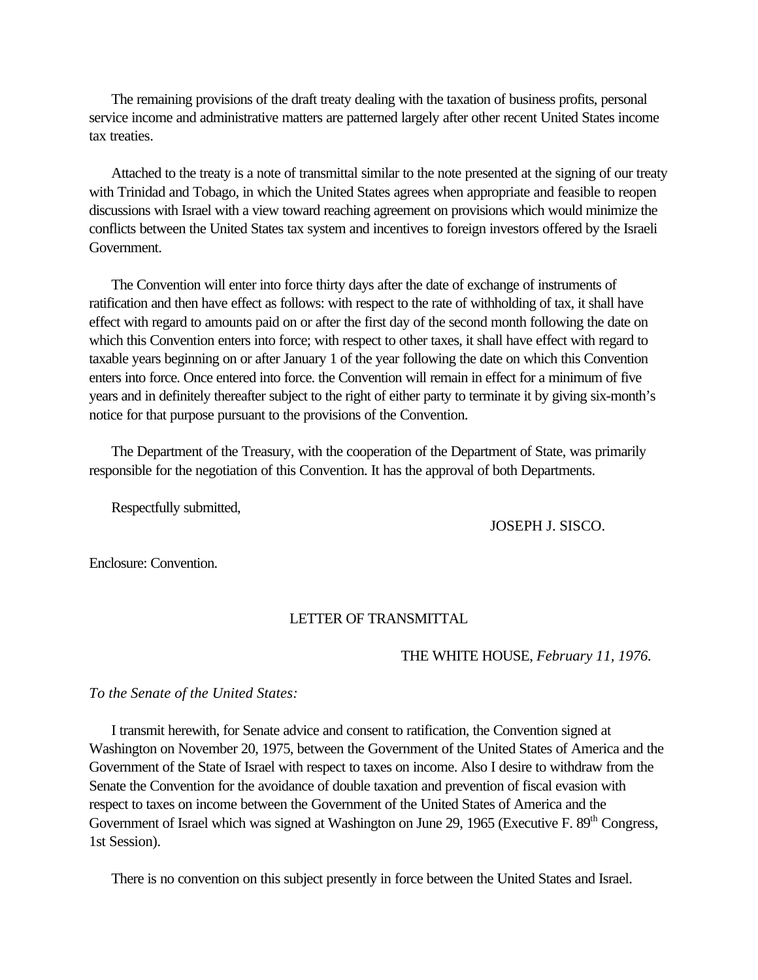<span id="page-3-0"></span> The remaining provisions of the draft treaty dealing with the taxation of business profits, personal service income and administrative matters are patterned largely after other recent United States income tax treaties.

 Attached to the treaty is a note of transmittal similar to the note presented at the signing of our treaty with Trinidad and Tobago, in which the United States agrees when appropriate and feasible to reopen discussions with Israel with a view toward reaching agreement on provisions which would minimize the conflicts between the United States tax system and incentives to foreign investors offered by the Israeli Government.

 The Convention will enter into force thirty days after the date of exchange of instruments of ratification and then have effect as follows: with respect to the rate of withholding of tax, it shall have effect with regard to amounts paid on or after the first day of the second month following the date on which this Convention enters into force; with respect to other taxes, it shall have effect with regard to taxable years beginning on or after January 1 of the year following the date on which this Convention enters into force. Once entered into force. the Convention will remain in effect for a minimum of five years and in definitely thereafter subject to the right of either party to terminate it by giving six-month's notice for that purpose pursuant to the provisions of the Convention.

 The Department of the Treasury, with the cooperation of the Department of State, was primarily responsible for the negotiation of this Convention. It has the approval of both Departments.

Respectfully submitted,

JOSEPH J. SISCO.

Enclosure: Convention.

### LETTER OF TRANSMITTAL

### THE WHITE HOUSE, *February 11, 1976.*

*To the Senate of the United States:*

 I transmit herewith, for Senate advice and consent to ratification, the Convention signed at Washington on November 20, 1975, between the Government of the United States of America and the Government of the State of Israel with respect to taxes on income. Also I desire to withdraw from the Senate the Convention for the avoidance of double taxation and prevention of fiscal evasion with respect to taxes on income between the Government of the United States of America and the Government of Israel which was signed at Washington on June 29, 1965 (Executive F. 89<sup>th</sup> Congress, 1st Session).

There is no convention on this subject presently in force between the United States and Israel.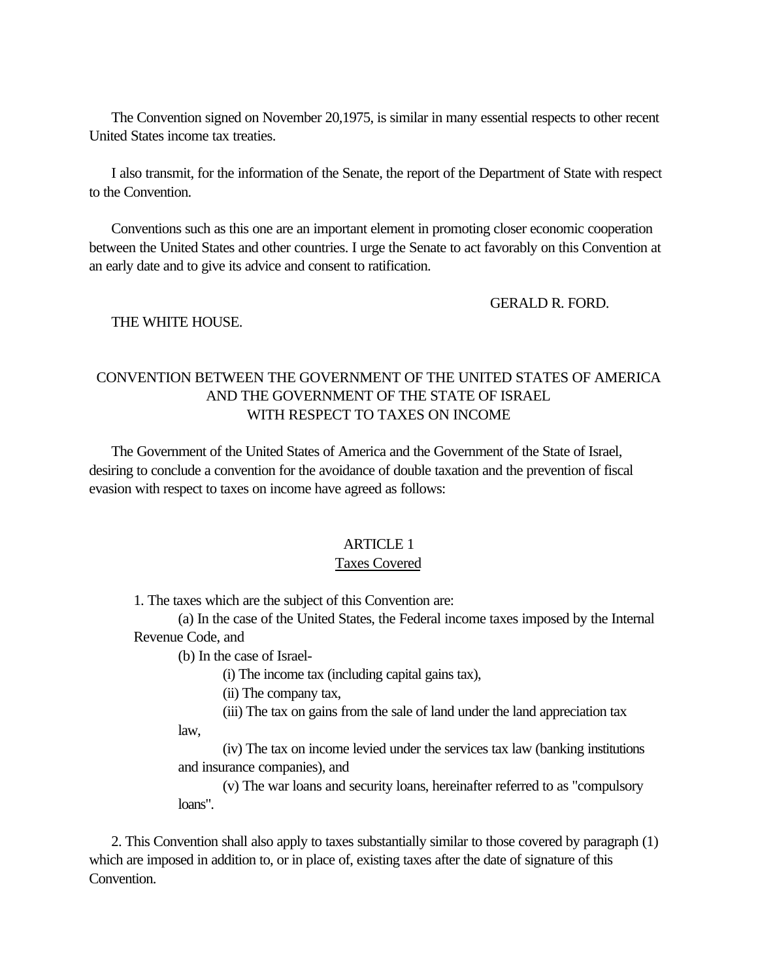<span id="page-4-0"></span> The Convention signed on November 20,1975, is similar in many essential respects to other recent United States income tax treaties.

 I also transmit, for the information of the Senate, the report of the Department of State with respect to the Convention.

 Conventions such as this one are an important element in promoting closer economic cooperation between the United States and other countries. I urge the Senate to act favorably on this Convention at an early date and to give its advice and consent to ratification.

GERALD R. FORD.

THE WHITE HOUSE.

# CONVENTION BETWEEN THE GOVERNMENT OF THE UNITED STATES OF AMERICA AND THE GOVERNMENT OF THE STATE OF ISRAEL WITH RESPECT TO TAXES ON INCOME

 The Government of the United States of America and the Government of the State of Israel, desiring to conclude a convention for the avoidance of double taxation and the prevention of fiscal evasion with respect to taxes on income have agreed as follows:

# ARTICLE 1

### Taxes Covered

1. The taxes which are the subject of this Convention are:

(a) In the case of the United States, the Federal income taxes imposed by the Internal Revenue Code, and

(b) In the case of Israel-

law,

(i) The income tax (including capital gains tax),

(ii) The company tax,

(iii) The tax on gains from the sale of land under the land appreciation tax

(iv) The tax on income levied under the services tax law (banking institutions and insurance companies), and

(v) The war loans and security loans, hereinafter referred to as "compulsory loans".

 2. This Convention shall also apply to taxes substantially similar to those covered by paragraph (1) which are imposed in addition to, or in place of, existing taxes after the date of signature of this Convention.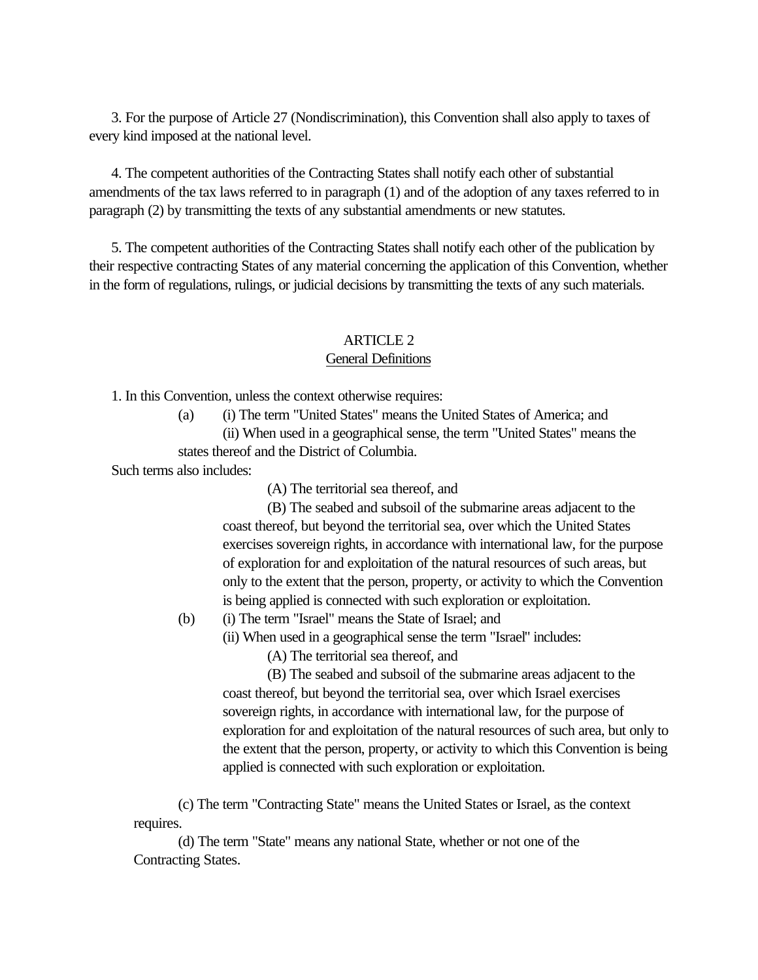<span id="page-5-0"></span> 3. For the purpose of Article 27 (Nondiscrimination), this Convention shall also apply to taxes of every kind imposed at the national level.

 4. The competent authorities of the Contracting States shall notify each other of substantial amendments of the tax laws referred to in paragraph (1) and of the adoption of any taxes referred to in paragraph (2) by transmitting the texts of any substantial amendments or new statutes.

 5. The competent authorities of the Contracting States shall notify each other of the publication by their respective contracting States of any material concerning the application of this Convention, whether in the form of regulations, rulings, or judicial decisions by transmitting the texts of any such materials.

# ARTICLE 2

### General Definitions

1. In this Convention, unless the context otherwise requires:

(a) (i) The term "United States" means the United States of America; and (ii) When used in a geographical sense, the term "United States" means the states thereof and the District of Columbia.

Such terms also includes:

(A) The territorial sea thereof, and

(B) The seabed and subsoil of the submarine areas adjacent to the coast thereof, but beyond the territorial sea, over which the United States exercises sovereign rights, in accordance with international law, for the purpose of exploration for and exploitation of the natural resources of such areas, but only to the extent that the person, property, or activity to which the Convention is being applied is connected with such exploration or exploitation.

- (b) (i) The term "Israel" means the State of Israel; and
	- (ii) When used in a geographical sense the term "Israel" includes:

(A) The territorial sea thereof, and

(B) The seabed and subsoil of the submarine areas adjacent to the coast thereof, but beyond the territorial sea, over which Israel exercises sovereign rights, in accordance with international law, for the purpose of exploration for and exploitation of the natural resources of such area, but only to the extent that the person, property, or activity to which this Convention is being applied is connected with such exploration or exploitation.

(c) The term "Contracting State" means the United States or Israel, as the context requires.

(d) The term "State" means any national State, whether or not one of the Contracting States.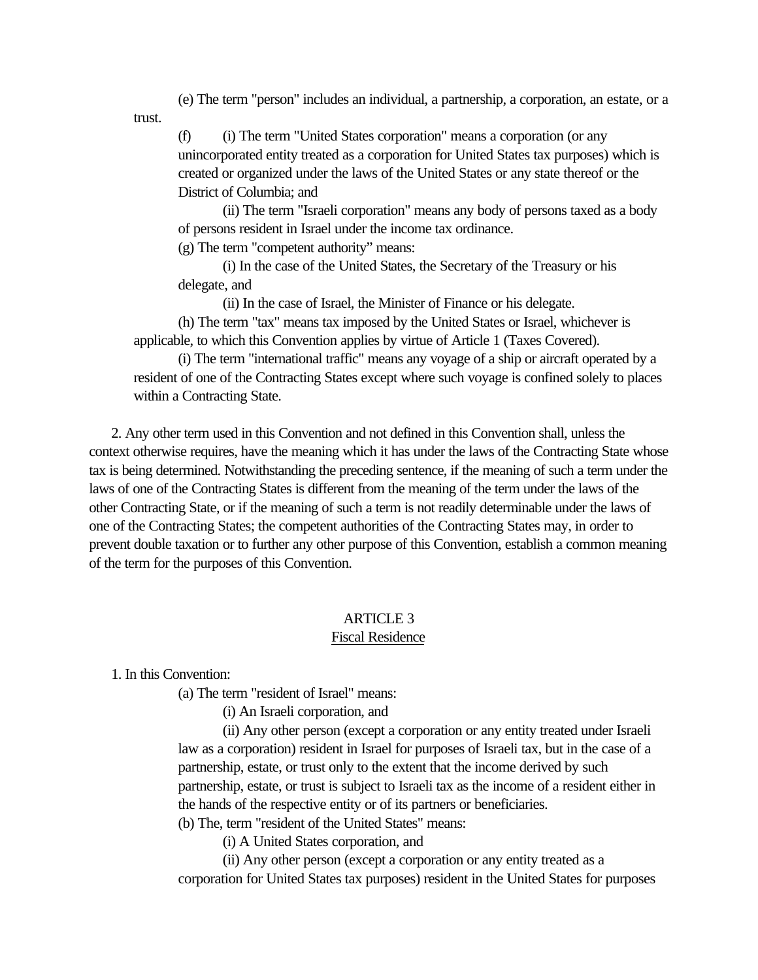<span id="page-6-0"></span>(e) The term "person" includes an individual, a partnership, a corporation, an estate, or a trust.

(f) (i) The term "United States corporation" means a corporation (or any unincorporated entity treated as a corporation for United States tax purposes) which is created or organized under the laws of the United States or any state thereof or the District of Columbia; and

(ii) The term "Israeli corporation" means any body of persons taxed as a body of persons resident in Israel under the income tax ordinance.

(g) The term "competent authority" means:

(i) In the case of the United States, the Secretary of the Treasury or his delegate, and

(ii) In the case of Israel, the Minister of Finance or his delegate.

(h) The term "tax" means tax imposed by the United States or Israel, whichever is applicable, to which this Convention applies by virtue of Article 1 (Taxes Covered).

(i) The term "international traffic" means any voyage of a ship or aircraft operated by a resident of one of the Contracting States except where such voyage is confined solely to places within a Contracting State.

 2. Any other term used in this Convention and not defined in this Convention shall, unless the context otherwise requires, have the meaning which it has under the laws of the Contracting State whose tax is being determined. Notwithstanding the preceding sentence, if the meaning of such a term under the laws of one of the Contracting States is different from the meaning of the term under the laws of the other Contracting State, or if the meaning of such a term is not readily determinable under the laws of one of the Contracting States; the competent authorities of the Contracting States may, in order to prevent double taxation or to further any other purpose of this Convention, establish a common meaning of the term for the purposes of this Convention.

# ARTICLE 3

### Fiscal Residence

1. In this Convention:

(a) The term "resident of Israel" means:

(i) An Israeli corporation, and

(ii) Any other person (except a corporation or any entity treated under Israeli law as a corporation) resident in Israel for purposes of Israeli tax, but in the case of a partnership, estate, or trust only to the extent that the income derived by such partnership, estate, or trust is subject to Israeli tax as the income of a resident either in the hands of the respective entity or of its partners or beneficiaries.

(b) The, term "resident of the United States" means:

(i) A United States corporation, and

(ii) Any other person (except a corporation or any entity treated as a corporation for United States tax purposes) resident in the United States for purposes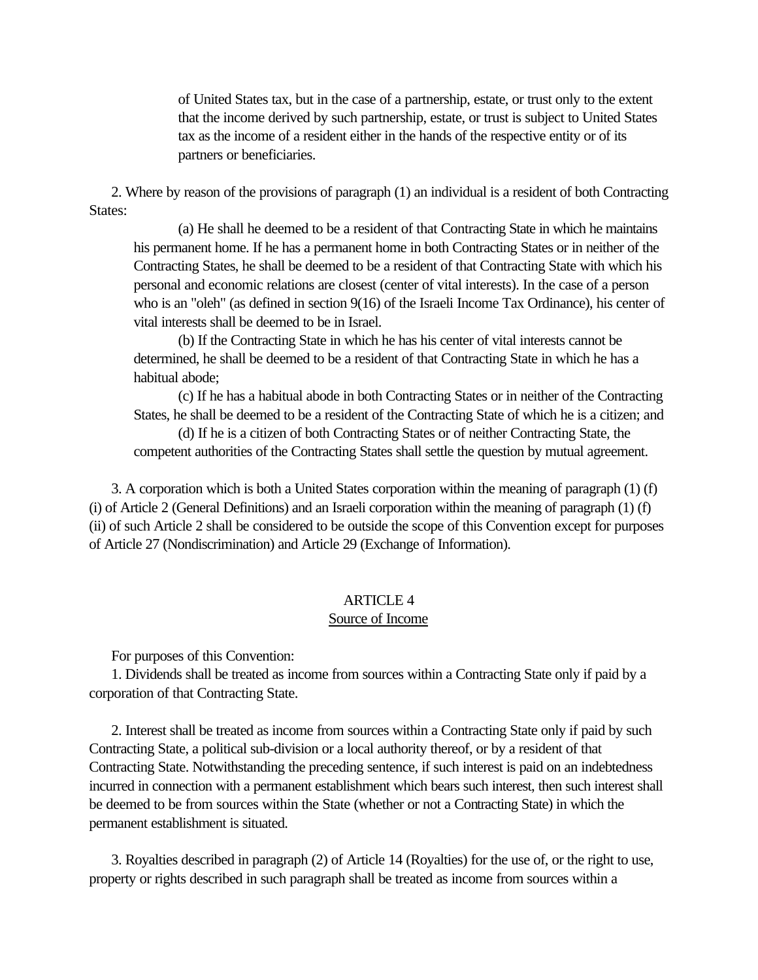<span id="page-7-0"></span>of United States tax, but in the case of a partnership, estate, or trust only to the extent that the income derived by such partnership, estate, or trust is subject to United States tax as the income of a resident either in the hands of the respective entity or of its partners or beneficiaries.

 2. Where by reason of the provisions of paragraph (1) an individual is a resident of both Contracting States:

(a) He shall he deemed to be a resident of that Contracting State in which he maintains his permanent home. If he has a permanent home in both Contracting States or in neither of the Contracting States, he shall be deemed to be a resident of that Contracting State with which his personal and economic relations are closest (center of vital interests). In the case of a person who is an "oleh" (as defined in section 9(16) of the Israeli Income Tax Ordinance), his center of vital interests shall be deemed to be in Israel.

(b) If the Contracting State in which he has his center of vital interests cannot be determined, he shall be deemed to be a resident of that Contracting State in which he has a habitual abode;

(c) If he has a habitual abode in both Contracting States or in neither of the Contracting States, he shall be deemed to be a resident of the Contracting State of which he is a citizen; and

(d) If he is a citizen of both Contracting States or of neither Contracting State, the competent authorities of the Contracting States shall settle the question by mutual agreement.

 3. A corporation which is both a United States corporation within the meaning of paragraph (1) (f) (i) of Article 2 (General Definitions) and an Israeli corporation within the meaning of paragraph (1) (f) (ii) of such Article 2 shall be considered to be outside the scope of this Convention except for purposes of Article 27 (Nondiscrimination) and Article 29 (Exchange of Information).

# ARTICLE 4

# Source of Income

For purposes of this Convention:

 1. Dividends shall be treated as income from sources within a Contracting State only if paid by a corporation of that Contracting State.

 2. Interest shall be treated as income from sources within a Contracting State only if paid by such Contracting State, a political sub-division or a local authority thereof, or by a resident of that Contracting State. Notwithstanding the preceding sentence, if such interest is paid on an indebtedness incurred in connection with a permanent establishment which bears such interest, then such interest shall be deemed to be from sources within the State (whether or not a Contracting State) in which the permanent establishment is situated.

 3. Royalties described in paragraph (2) of Article 14 (Royalties) for the use of, or the right to use, property or rights described in such paragraph shall be treated as income from sources within a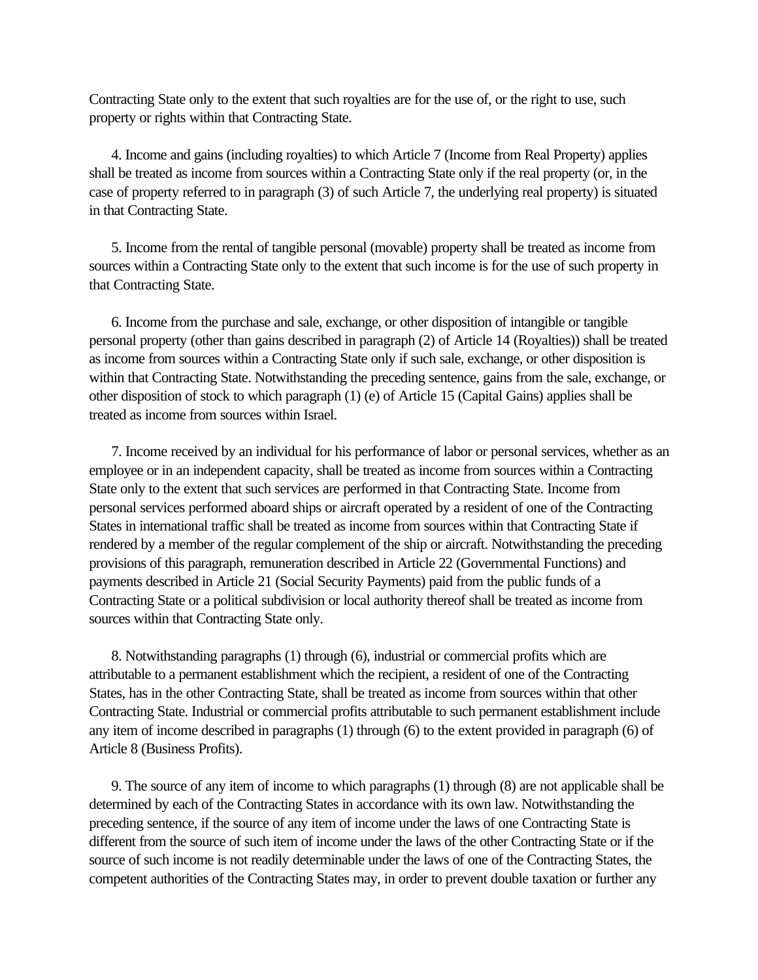Contracting State only to the extent that such royalties are for the use of, or the right to use, such property or rights within that Contracting State.

 4. Income and gains (including royalties) to which Article 7 (Income from Real Property) applies shall be treated as income from sources within a Contracting State only if the real property (or, in the case of property referred to in paragraph (3) of such Article 7, the underlying real property) is situated in that Contracting State.

 5. Income from the rental of tangible personal (movable) property shall be treated as income from sources within a Contracting State only to the extent that such income is for the use of such property in that Contracting State.

 6. Income from the purchase and sale, exchange, or other disposition of intangible or tangible personal property (other than gains described in paragraph (2) of Article 14 (Royalties)) shall be treated as income from sources within a Contracting State only if such sale, exchange, or other disposition is within that Contracting State. Notwithstanding the preceding sentence, gains from the sale, exchange, or other disposition of stock to which paragraph (1) (e) of Article 15 (Capital Gains) applies shall be treated as income from sources within Israel.

 7. Income received by an individual for his performance of labor or personal services, whether as an employee or in an independent capacity, shall be treated as income from sources within a Contracting State only to the extent that such services are performed in that Contracting State. Income from personal services performed aboard ships or aircraft operated by a resident of one of the Contracting States in international traffic shall be treated as income from sources within that Contracting State if rendered by a member of the regular complement of the ship or aircraft. Notwithstanding the preceding provisions of this paragraph, remuneration described in Article 22 (Governmental Functions) and payments described in Article 21 (Social Security Payments) paid from the public funds of a Contracting State or a political subdivision or local authority thereof shall be treated as income from sources within that Contracting State only.

 8. Notwithstanding paragraphs (1) through (6), industrial or commercial profits which are attributable to a permanent establishment which the recipient, a resident of one of the Contracting States, has in the other Contracting State, shall be treated as income from sources within that other Contracting State. Industrial or commercial profits attributable to such permanent establishment include any item of income described in paragraphs (1) through (6) to the extent provided in paragraph (6) of Article 8 (Business Profits).

 9. The source of any item of income to which paragraphs (1) through (8) are not applicable shall be determined by each of the Contracting States in accordance with its own law. Notwithstanding the preceding sentence, if the source of any item of income under the laws of one Contracting State is different from the source of such item of income under the laws of the other Contracting State or if the source of such income is not readily determinable under the laws of one of the Contracting States, the competent authorities of the Contracting States may, in order to prevent double taxation or further any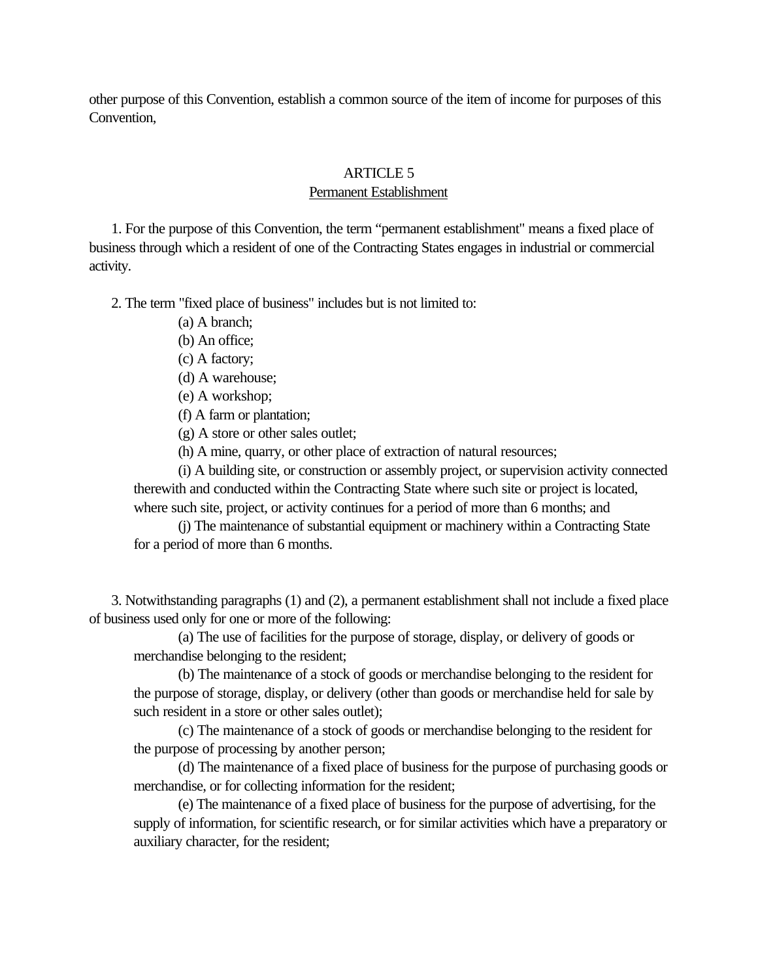<span id="page-9-0"></span>other purpose of this Convention, establish a common source of the item of income for purposes of this Convention,

# ARTICLE 5

Permanent Establishment

 1. For the purpose of this Convention, the term "permanent establishment" means a fixed place of business through which a resident of one of the Contracting States engages in industrial or commercial activity.

2. The term "fixed place of business" includes but is not limited to:

- (a) A branch;
- (b) An office;
- (c) A factory;
- (d) A warehouse;
- (e) A workshop;
- (f) A farm or plantation;
- (g) A store or other sales outlet;

(h) A mine, quarry, or other place of extraction of natural resources;

(i) A building site, or construction or assembly project, or supervision activity connected therewith and conducted within the Contracting State where such site or project is located, where such site, project, or activity continues for a period of more than 6 months; and

(j) The maintenance of substantial equipment or machinery within a Contracting State for a period of more than 6 months.

 3. Notwithstanding paragraphs (1) and (2), a permanent establishment shall not include a fixed place of business used only for one or more of the following:

(a) The use of facilities for the purpose of storage, display, or delivery of goods or merchandise belonging to the resident;

(b) The maintenance of a stock of goods or merchandise belonging to the resident for the purpose of storage, display, or delivery (other than goods or merchandise held for sale by such resident in a store or other sales outlet);

(c) The maintenance of a stock of goods or merchandise belonging to the resident for the purpose of processing by another person;

(d) The maintenance of a fixed place of business for the purpose of purchasing goods or merchandise, or for collecting information for the resident;

(e) The maintenance of a fixed place of business for the purpose of advertising, for the supply of information, for scientific research, or for similar activities which have a preparatory or auxiliary character, for the resident;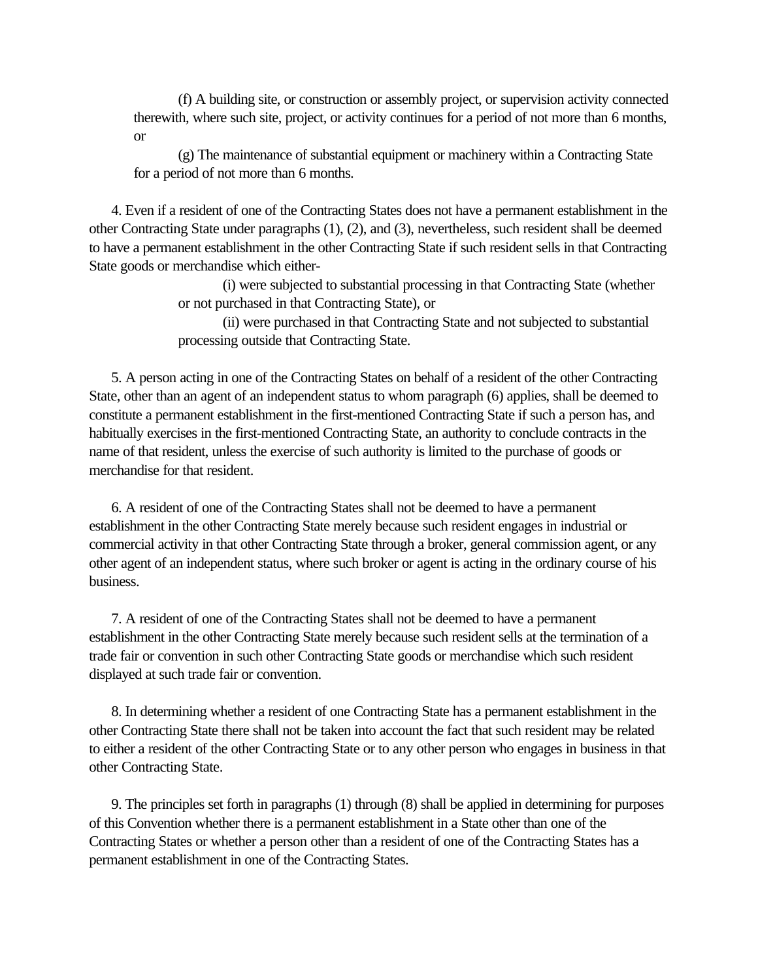(f) A building site, or construction or assembly project, or supervision activity connected therewith, where such site, project, or activity continues for a period of not more than 6 months, or

(g) The maintenance of substantial equipment or machinery within a Contracting State for a period of not more than 6 months.

 4. Even if a resident of one of the Contracting States does not have a permanent establishment in the other Contracting State under paragraphs (1), (2), and (3), nevertheless, such resident shall be deemed to have a permanent establishment in the other Contracting State if such resident sells in that Contracting State goods or merchandise which either-

> (i) were subjected to substantial processing in that Contracting State (whether or not purchased in that Contracting State), or

(ii) were purchased in that Contracting State and not subjected to substantial processing outside that Contracting State.

 5. A person acting in one of the Contracting States on behalf of a resident of the other Contracting State, other than an agent of an independent status to whom paragraph (6) applies, shall be deemed to constitute a permanent establishment in the first-mentioned Contracting State if such a person has, and habitually exercises in the first-mentioned Contracting State, an authority to conclude contracts in the name of that resident, unless the exercise of such authority is limited to the purchase of goods or merchandise for that resident.

 6. A resident of one of the Contracting States shall not be deemed to have a permanent establishment in the other Contracting State merely because such resident engages in industrial or commercial activity in that other Contracting State through a broker, general commission agent, or any other agent of an independent status, where such broker or agent is acting in the ordinary course of his business.

 7. A resident of one of the Contracting States shall not be deemed to have a permanent establishment in the other Contracting State merely because such resident sells at the termination of a trade fair or convention in such other Contracting State goods or merchandise which such resident displayed at such trade fair or convention.

 8. In determining whether a resident of one Contracting State has a permanent establishment in the other Contracting State there shall not be taken into account the fact that such resident may be related to either a resident of the other Contracting State or to any other person who engages in business in that other Contracting State.

 9. The principles set forth in paragraphs (1) through (8) shall be applied in determining for purposes of this Convention whether there is a permanent establishment in a State other than one of the Contracting States or whether a person other than a resident of one of the Contracting States has a permanent establishment in one of the Contracting States.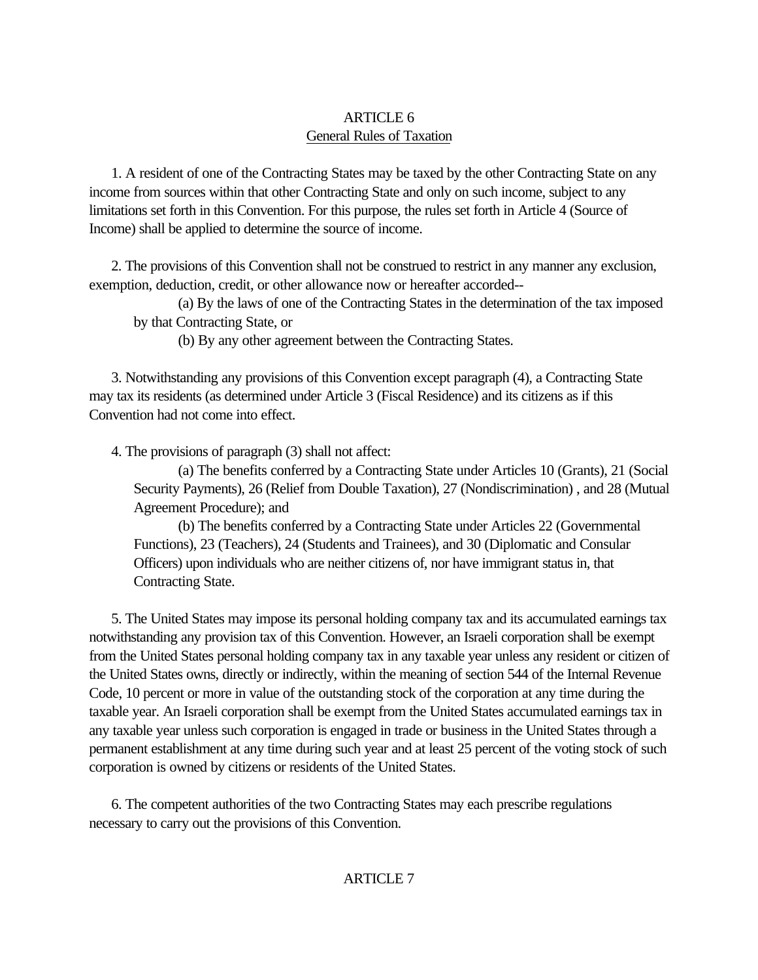# ARTICLE 6 General Rules of Taxation

<span id="page-11-1"></span><span id="page-11-0"></span> 1. A resident of one of the Contracting States may be taxed by the other Contracting State on any income from sources within that other Contracting State and only on such income, subject to any limitations set forth in this Convention. For this purpose, the rules set forth in Article 4 (Source of Income) shall be applied to determine the source of income.

 2. The provisions of this Convention shall not be construed to restrict in any manner any exclusion, exemption, deduction, credit, or other allowance now or hereafter accorded--

(a) By the laws of one of the Contracting States in the determination of the tax imposed by that Contracting State, or

(b) By any other agreement between the Contracting States.

 3. Notwithstanding any provisions of this Convention except paragraph (4), a Contracting State may tax its residents (as determined under Article 3 (Fiscal Residence) and its citizens as if this Convention had not come into effect.

4. The provisions of paragraph (3) shall not affect:

(a) The benefits conferred by a Contracting State under Articles 10 (Grants), 21 (Social Security Payments), 26 (Relief from Double Taxation), 27 (Nondiscrimination) , and 28 (Mutual Agreement Procedure); and

(b) The benefits conferred by a Contracting State under Articles 22 (Governmental Functions), 23 (Teachers), 24 (Students and Trainees), and 30 (Diplomatic and Consular Officers) upon individuals who are neither citizens of, nor have immigrant status in, that Contracting State.

 5. The United States may impose its personal holding company tax and its accumulated earnings tax notwithstanding any provision tax of this Convention. However, an Israeli corporation shall be exempt from the United States personal holding company tax in any taxable year unless any resident or citizen of the United States owns, directly or indirectly, within the meaning of section 544 of the Internal Revenue Code, 10 percent or more in value of the outstanding stock of the corporation at any time during the taxable year. An Israeli corporation shall be exempt from the United States accumulated earnings tax in any taxable year unless such corporation is engaged in trade or business in the United States through a permanent establishment at any time during such year and at least 25 percent of the voting stock of such corporation is owned by citizens or residents of the United States.

 6. The competent authorities of the two Contracting States may each prescribe regulations necessary to carry out the provisions of this Convention.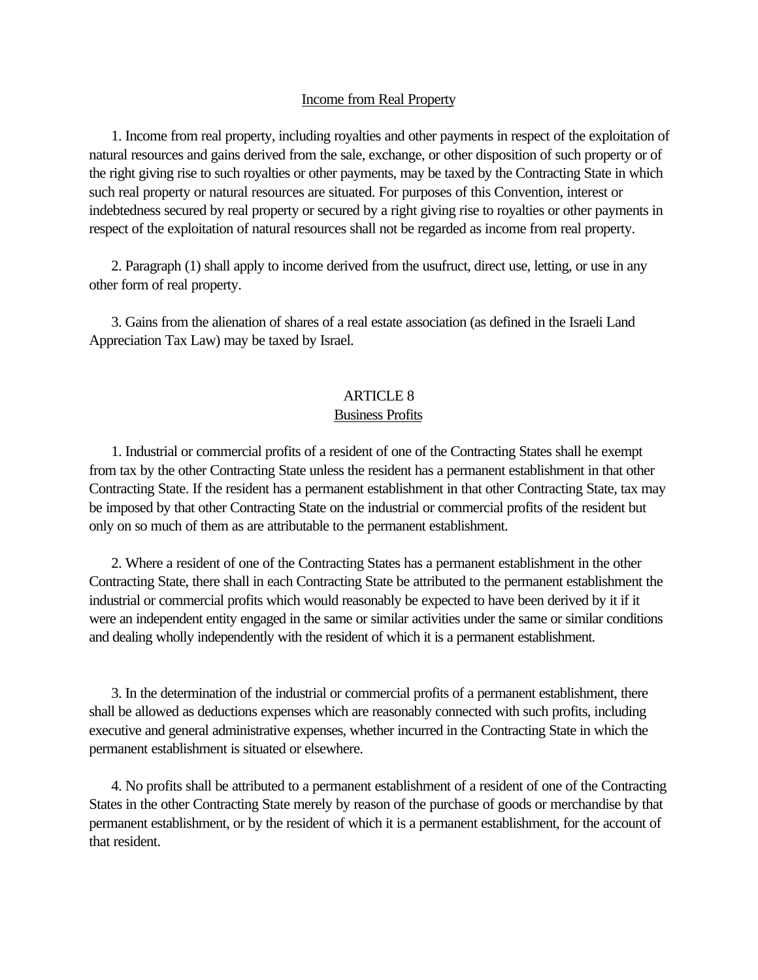### Income from Real Property

<span id="page-12-0"></span> 1. Income from real property, including royalties and other payments in respect of the exploitation of natural resources and gains derived from the sale, exchange, or other disposition of such property or of the right giving rise to such royalties or other payments, may be taxed by the Contracting State in which such real property or natural resources are situated. For purposes of this Convention, interest or indebtedness secured by real property or secured by a right giving rise to royalties or other payments in respect of the exploitation of natural resources shall not be regarded as income from real property.

 2. Paragraph (1) shall apply to income derived from the usufruct, direct use, letting, or use in any other form of real property.

 3. Gains from the alienation of shares of a real estate association (as defined in the Israeli Land Appreciation Tax Law) may be taxed by Israel.

# ARTICLE 8

# Business Profits

 1. Industrial or commercial profits of a resident of one of the Contracting States shall he exempt from tax by the other Contracting State unless the resident has a permanent establishment in that other Contracting State. If the resident has a permanent establishment in that other Contracting State, tax may be imposed by that other Contracting State on the industrial or commercial profits of the resident but only on so much of them as are attributable to the permanent establishment.

 2. Where a resident of one of the Contracting States has a permanent establishment in the other Contracting State, there shall in each Contracting State be attributed to the permanent establishment the industrial or commercial profits which would reasonably be expected to have been derived by it if it were an independent entity engaged in the same or similar activities under the same or similar conditions and dealing wholly independently with the resident of which it is a permanent establishment.

 3. In the determination of the industrial or commercial profits of a permanent establishment, there shall be allowed as deductions expenses which are reasonably connected with such profits, including executive and general administrative expenses, whether incurred in the Contracting State in which the permanent establishment is situated or elsewhere.

 4. No profits shall be attributed to a permanent establishment of a resident of one of the Contracting States in the other Contracting State merely by reason of the purchase of goods or merchandise by that permanent establishment, or by the resident of which it is a permanent establishment, for the account of that resident.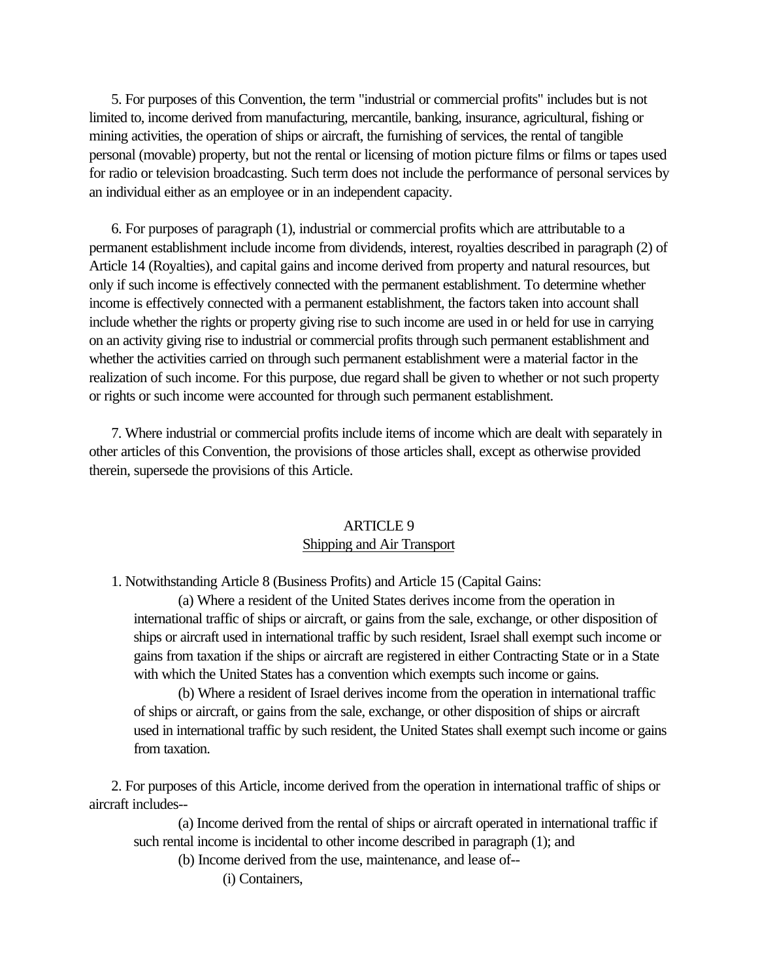<span id="page-13-0"></span> 5. For purposes of this Convention, the term "industrial or commercial profits" includes but is not limited to, income derived from manufacturing, mercantile, banking, insurance, agricultural, fishing or mining activities, the operation of ships or aircraft, the furnishing of services, the rental of tangible personal (movable) property, but not the rental or licensing of motion picture films or films or tapes used for radio or television broadcasting. Such term does not include the performance of personal services by an individual either as an employee or in an independent capacity.

 6. For purposes of paragraph (1), industrial or commercial profits which are attributable to a permanent establishment include income from dividends, interest, royalties described in paragraph (2) of Article 14 (Royalties), and capital gains and income derived from property and natural resources, but only if such income is effectively connected with the permanent establishment. To determine whether income is effectively connected with a permanent establishment, the factors taken into account shall include whether the rights or property giving rise to such income are used in or held for use in carrying on an activity giving rise to industrial or commercial profits through such permanent establishment and whether the activities carried on through such permanent establishment were a material factor in the realization of such income. For this purpose, due regard shall be given to whether or not such property or rights or such income were accounted for through such permanent establishment.

 7. Where industrial or commercial profits include items of income which are dealt with separately in other articles of this Convention, the provisions of those articles shall, except as otherwise provided therein, supersede the provisions of this Article.

# ARTICLE 9 Shipping and Air Transport

1. Notwithstanding Article 8 (Business Profits) and Article 15 (Capital Gains:

(a) Where a resident of the United States derives income from the operation in international traffic of ships or aircraft, or gains from the sale, exchange, or other disposition of ships or aircraft used in international traffic by such resident, Israel shall exempt such income or gains from taxation if the ships or aircraft are registered in either Contracting State or in a State with which the United States has a convention which exempts such income or gains.

(b) Where a resident of Israel derives income from the operation in international traffic of ships or aircraft, or gains from the sale, exchange, or other disposition of ships or aircraft used in international traffic by such resident, the United States shall exempt such income or gains from taxation.

 2. For purposes of this Article, income derived from the operation in international traffic of ships or aircraft includes--

(a) Income derived from the rental of ships or aircraft operated in international traffic if such rental income is incidental to other income described in paragraph (1); and

(b) Income derived from the use, maintenance, and lease of--

(i) Containers,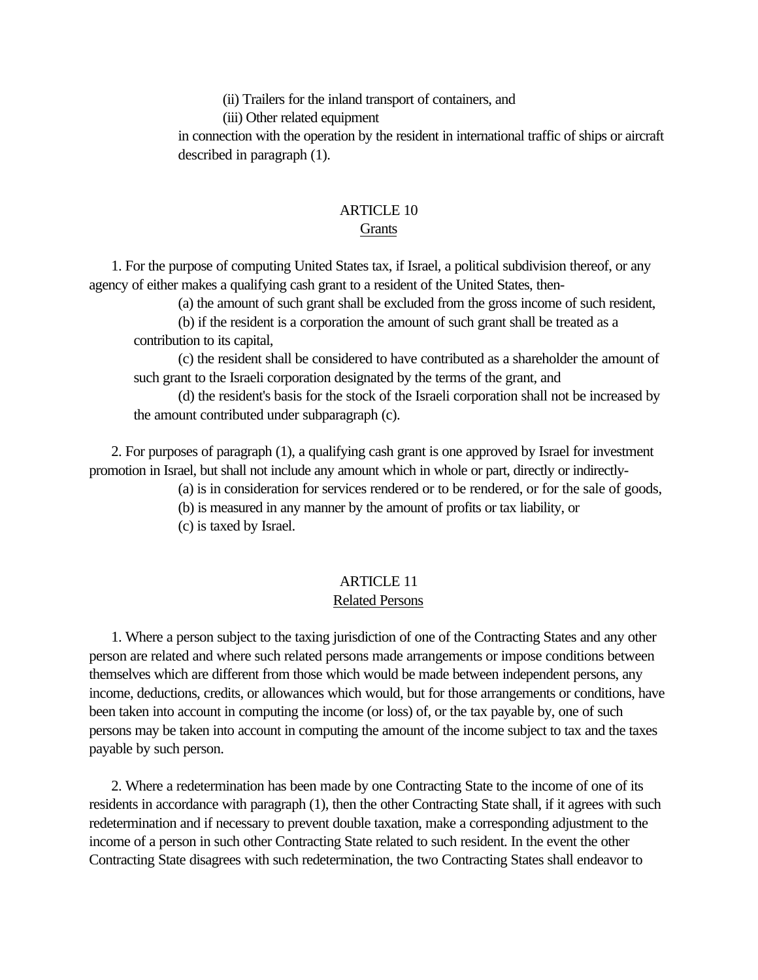(ii) Trailers for the inland transport of containers, and

(iii) Other related equipment

<span id="page-14-0"></span>in connection with the operation by the resident in international traffic of ships or aircraft described in paragraph (1).

### ARTICLE 10 **Grants**

 1. For the purpose of computing United States tax, if Israel, a political subdivision thereof, or any agency of either makes a qualifying cash grant to a resident of the United States, then-

(a) the amount of such grant shall be excluded from the gross income of such resident,

(b) if the resident is a corporation the amount of such grant shall be treated as a contribution to its capital,

(c) the resident shall be considered to have contributed as a shareholder the amount of such grant to the Israeli corporation designated by the terms of the grant, and

(d) the resident's basis for the stock of the Israeli corporation shall not be increased by the amount contributed under subparagraph (c).

 2. For purposes of paragraph (1), a qualifying cash grant is one approved by Israel for investment promotion in Israel, but shall not include any amount which in whole or part, directly or indirectly-

(a) is in consideration for services rendered or to be rendered, or for the sale of goods,

(b) is measured in any manner by the amount of profits or tax liability, or

(c) is taxed by Israel.

# ARTICLE 11

# Related Persons

 1. Where a person subject to the taxing jurisdiction of one of the Contracting States and any other person are related and where such related persons made arrangements or impose conditions between themselves which are different from those which would be made between independent persons, any income, deductions, credits, or allowances which would, but for those arrangements or conditions, have been taken into account in computing the income (or loss) of, or the tax payable by, one of such persons may be taken into account in computing the amount of the income subject to tax and the taxes payable by such person.

 2. Where a redetermination has been made by one Contracting State to the income of one of its residents in accordance with paragraph (1), then the other Contracting State shall, if it agrees with such redetermination and if necessary to prevent double taxation, make a corresponding adjustment to the income of a person in such other Contracting State related to such resident. In the event the other Contracting State disagrees with such redetermination, the two Contracting States shall endeavor to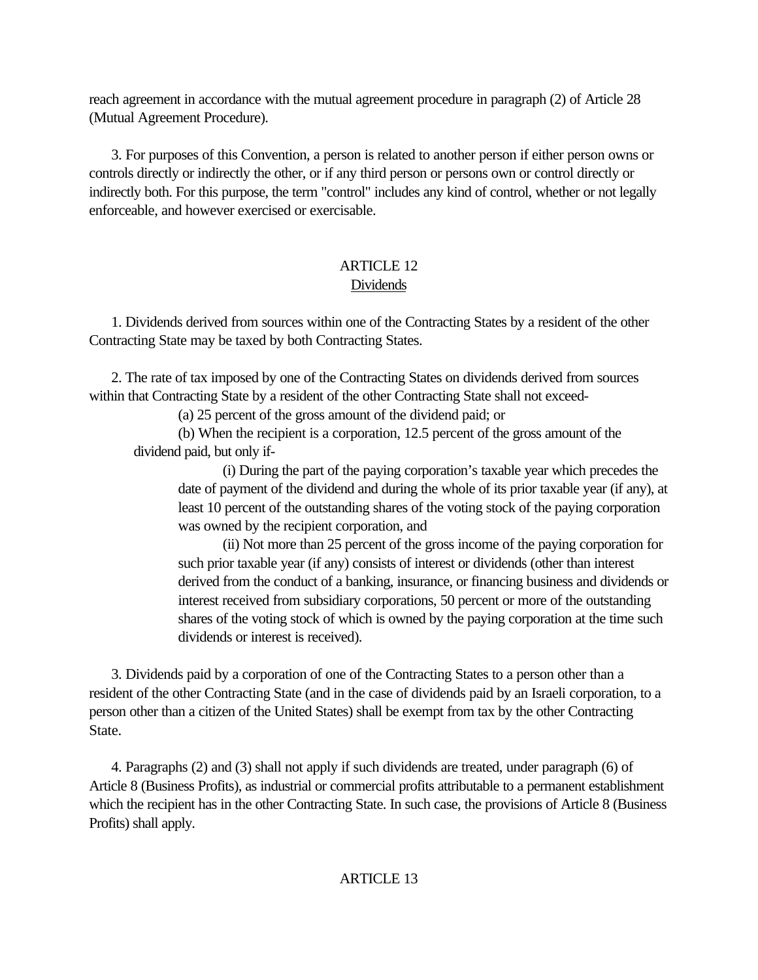<span id="page-15-0"></span>reach agreement in accordance with the mutual agreement procedure in paragraph (2) of Article 28 (Mutual Agreement Procedure).

 3. For purposes of this Convention, a person is related to another person if either person owns or controls directly or indirectly the other, or if any third person or persons own or control directly or indirectly both. For this purpose, the term "control" includes any kind of control, whether or not legally enforceable, and however exercised or exercisable.

# ARTICLE 12 Dividends

 1. Dividends derived from sources within one of the Contracting States by a resident of the other Contracting State may be taxed by both Contracting States.

 2. The rate of tax imposed by one of the Contracting States on dividends derived from sources within that Contracting State by a resident of the other Contracting State shall not exceed-

(a) 25 percent of the gross amount of the dividend paid; or

(b) When the recipient is a corporation, 12.5 percent of the gross amount of the dividend paid, but only if-

(i) During the part of the paying corporation's taxable year which precedes the date of payment of the dividend and during the whole of its prior taxable year (if any), at least 10 percent of the outstanding shares of the voting stock of the paying corporation was owned by the recipient corporation, and

(ii) Not more than 25 percent of the gross income of the paying corporation for such prior taxable year (if any) consists of interest or dividends (other than interest derived from the conduct of a banking, insurance, or financing business and dividends or interest received from subsidiary corporations, 50 percent or more of the outstanding shares of the voting stock of which is owned by the paying corporation at the time such dividends or interest is received).

 3. Dividends paid by a corporation of one of the Contracting States to a person other than a resident of the other Contracting State (and in the case of dividends paid by an Israeli corporation, to a person other than a citizen of the United States) shall be exempt from tax by the other Contracting State.

 4. Paragraphs (2) and (3) shall not apply if such dividends are treated, under paragraph (6) of Article 8 (Business Profits), as industrial or commercial profits attributable to a permanent establishment which the recipient has in the other Contracting State. In such case, the provisions of Article 8 (Business Profits) shall apply.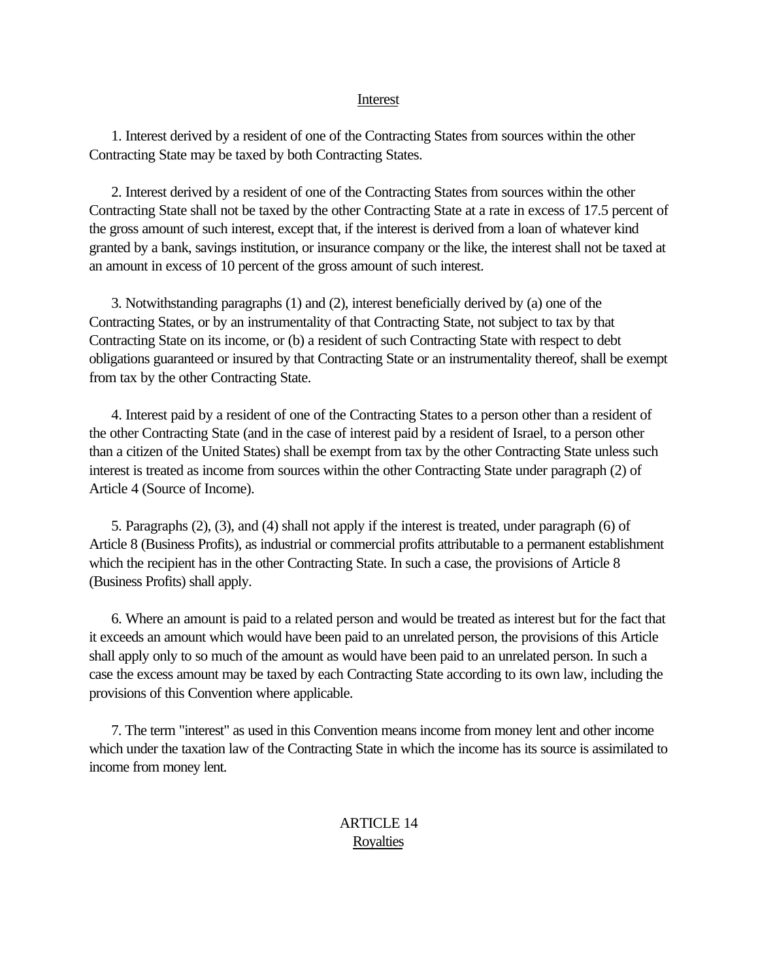#### Interest

<span id="page-16-0"></span> 1. Interest derived by a resident of one of the Contracting States from sources within the other Contracting State may be taxed by both Contracting States.

 2. Interest derived by a resident of one of the Contracting States from sources within the other Contracting State shall not be taxed by the other Contracting State at a rate in excess of 17.5 percent of the gross amount of such interest, except that, if the interest is derived from a loan of whatever kind granted by a bank, savings institution, or insurance company or the like, the interest shall not be taxed at an amount in excess of 10 percent of the gross amount of such interest.

 3. Notwithstanding paragraphs (1) and (2), interest beneficially derived by (a) one of the Contracting States, or by an instrumentality of that Contracting State, not subject to tax by that Contracting State on its income, or (b) a resident of such Contracting State with respect to debt obligations guaranteed or insured by that Contracting State or an instrumentality thereof, shall be exempt from tax by the other Contracting State.

 4. Interest paid by a resident of one of the Contracting States to a person other than a resident of the other Contracting State (and in the case of interest paid by a resident of Israel, to a person other than a citizen of the United States) shall be exempt from tax by the other Contracting State unless such interest is treated as income from sources within the other Contracting State under paragraph (2) of Article 4 (Source of Income).

 5. Paragraphs (2), (3), and (4) shall not apply if the interest is treated, under paragraph (6) of Article 8 (Business Profits), as industrial or commercial profits attributable to a permanent establishment which the recipient has in the other Contracting State. In such a case, the provisions of Article 8 (Business Profits) shall apply.

 6. Where an amount is paid to a related person and would be treated as interest but for the fact that it exceeds an amount which would have been paid to an unrelated person, the provisions of this Article shall apply only to so much of the amount as would have been paid to an unrelated person. In such a case the excess amount may be taxed by each Contracting State according to its own law, including the provisions of this Convention where applicable.

 7. The term "interest" as used in this Convention means income from money lent and other income which under the taxation law of the Contracting State in which the income has its source is assimilated to income from money lent.

# ARTICLE 14 Royalties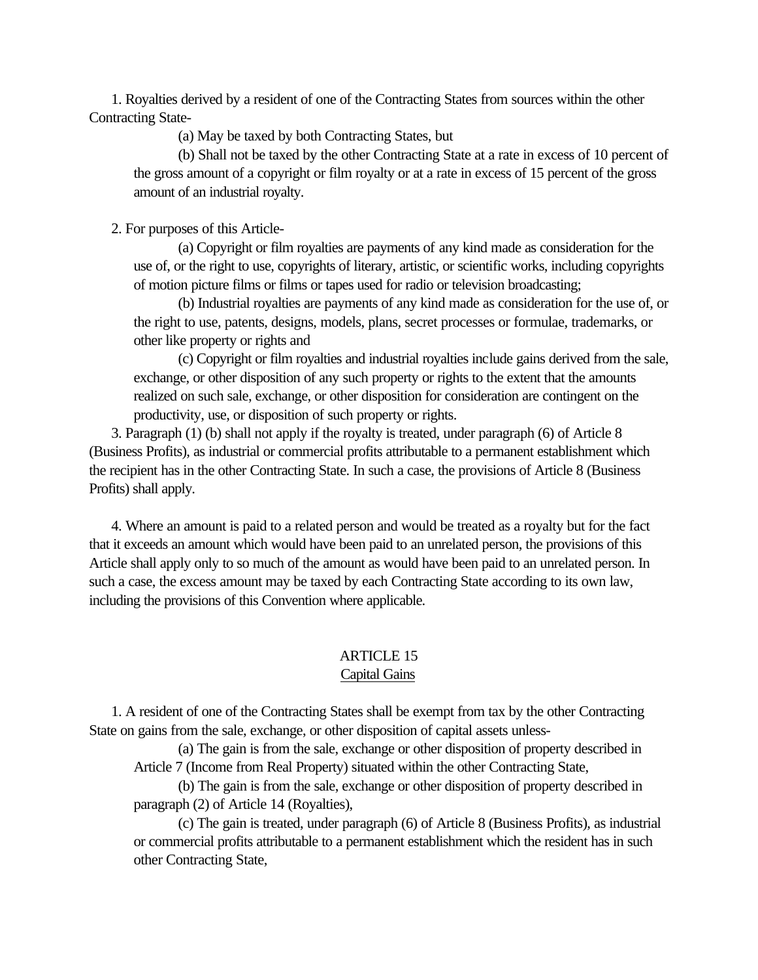<span id="page-17-0"></span> 1. Royalties derived by a resident of one of the Contracting States from sources within the other Contracting State-

(a) May be taxed by both Contracting States, but

(b) Shall not be taxed by the other Contracting State at a rate in excess of 10 percent of the gross amount of a copyright or film royalty or at a rate in excess of 15 percent of the gross amount of an industrial royalty.

2. For purposes of this Article-

(a) Copyright or film royalties are payments of any kind made as consideration for the use of, or the right to use, copyrights of literary, artistic, or scientific works, including copyrights of motion picture films or films or tapes used for radio or television broadcasting;

(b) Industrial royalties are payments of any kind made as consideration for the use of, or the right to use, patents, designs, models, plans, secret processes or formulae, trademarks, or other like property or rights and

(c) Copyright or film royalties and industrial royalties include gains derived from the sale, exchange, or other disposition of any such property or rights to the extent that the amounts realized on such sale, exchange, or other disposition for consideration are contingent on the productivity, use, or disposition of such property or rights.

 3. Paragraph (1) (b) shall not apply if the royalty is treated, under paragraph (6) of Article 8 (Business Profits), as industrial or commercial profits attributable to a permanent establishment which the recipient has in the other Contracting State. In such a case, the provisions of Article 8 (Business Profits) shall apply.

 4. Where an amount is paid to a related person and would be treated as a royalty but for the fact that it exceeds an amount which would have been paid to an unrelated person, the provisions of this Article shall apply only to so much of the amount as would have been paid to an unrelated person. In such a case, the excess amount may be taxed by each Contracting State according to its own law, including the provisions of this Convention where applicable.

### ARTICLE 15 Capital Gains

 1. A resident of one of the Contracting States shall be exempt from tax by the other Contracting State on gains from the sale, exchange, or other disposition of capital assets unless-

(a) The gain is from the sale, exchange or other disposition of property described in Article 7 (Income from Real Property) situated within the other Contracting State,

(b) The gain is from the sale, exchange or other disposition of property described in paragraph (2) of Article 14 (Royalties),

(c) The gain is treated, under paragraph (6) of Article 8 (Business Profits), as industrial or commercial profits attributable to a permanent establishment which the resident has in such other Contracting State,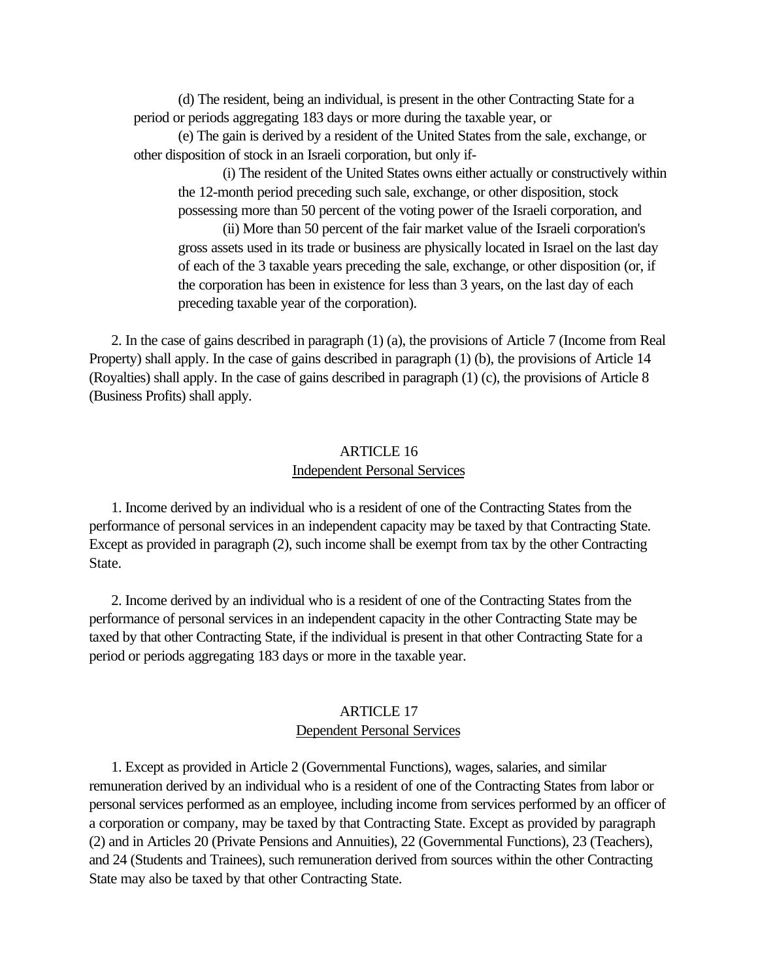<span id="page-18-0"></span>(d) The resident, being an individual, is present in the other Contracting State for a period or periods aggregating 183 days or more during the taxable year, or

(e) The gain is derived by a resident of the United States from the sale, exchange, or other disposition of stock in an Israeli corporation, but only if-

(i) The resident of the United States owns either actually or constructively within the 12-month period preceding such sale, exchange, or other disposition, stock possessing more than 50 percent of the voting power of the Israeli corporation, and

(ii) More than 50 percent of the fair market value of the Israeli corporation's gross assets used in its trade or business are physically located in Israel on the last day of each of the 3 taxable years preceding the sale, exchange, or other disposition (or, if the corporation has been in existence for less than 3 years, on the last day of each preceding taxable year of the corporation).

 2. In the case of gains described in paragraph (1) (a), the provisions of Article 7 (Income from Real Property) shall apply. In the case of gains described in paragraph (1) (b), the provisions of Article 14 (Royalties) shall apply. In the case of gains described in paragraph (1) (c), the provisions of Article 8 (Business Profits) shall apply.

# ARTICLE 16 Independent Personal Services

 1. Income derived by an individual who is a resident of one of the Contracting States from the performance of personal services in an independent capacity may be taxed by that Contracting State. Except as provided in paragraph (2), such income shall be exempt from tax by the other Contracting State.

 2. Income derived by an individual who is a resident of one of the Contracting States from the performance of personal services in an independent capacity in the other Contracting State may be taxed by that other Contracting State, if the individual is present in that other Contracting State for a period or periods aggregating 183 days or more in the taxable year.

# ARTICLE 17 Dependent Personal Services

 1. Except as provided in Article 2 (Governmental Functions), wages, salaries, and similar remuneration derived by an individual who is a resident of one of the Contracting States from labor or personal services performed as an employee, including income from services performed by an officer of a corporation or company, may be taxed by that Contracting State. Except as provided by paragraph (2) and in Articles 20 (Private Pensions and Annuities), 22 (Governmental Functions), 23 (Teachers), and 24 (Students and Trainees), such remuneration derived from sources within the other Contracting State may also be taxed by that other Contracting State.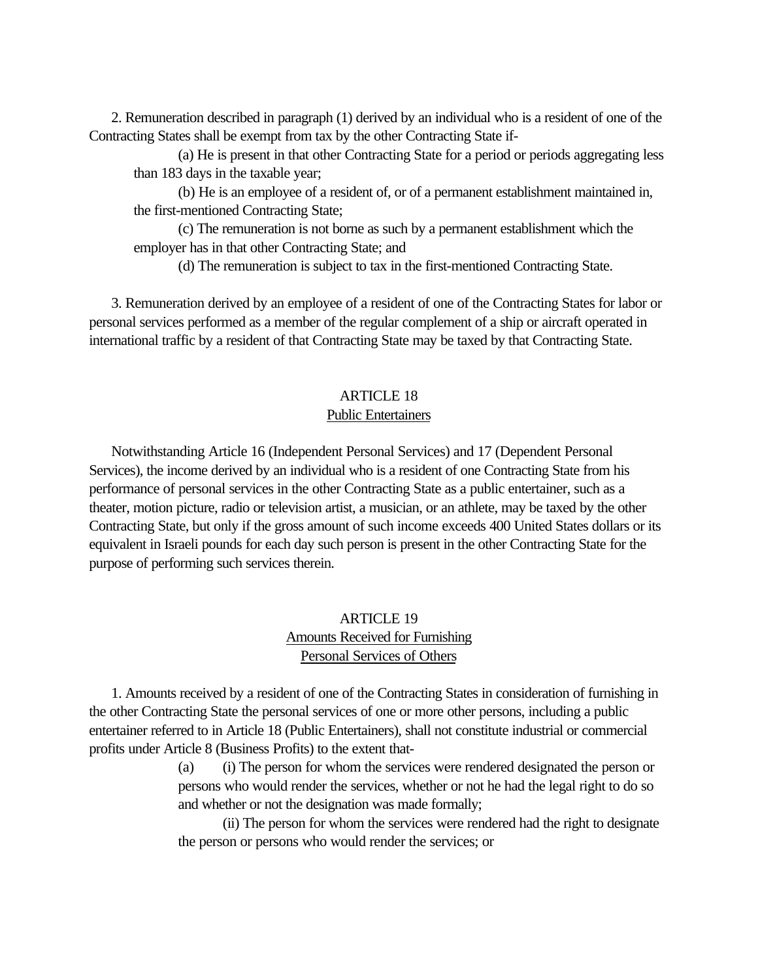<span id="page-19-0"></span> 2. Remuneration described in paragraph (1) derived by an individual who is a resident of one of the Contracting States shall be exempt from tax by the other Contracting State if-

(a) He is present in that other Contracting State for a period or periods aggregating less than 183 days in the taxable year;

(b) He is an employee of a resident of, or of a permanent establishment maintained in, the first-mentioned Contracting State;

(c) The remuneration is not borne as such by a permanent establishment which the employer has in that other Contracting State; and

(d) The remuneration is subject to tax in the first-mentioned Contracting State.

 3. Remuneration derived by an employee of a resident of one of the Contracting States for labor or personal services performed as a member of the regular complement of a ship or aircraft operated in international traffic by a resident of that Contracting State may be taxed by that Contracting State.

### ARTICLE 18

# Public Entertainers

 Notwithstanding Article 16 (Independent Personal Services) and 17 (Dependent Personal Services), the income derived by an individual who is a resident of one Contracting State from his performance of personal services in the other Contracting State as a public entertainer, such as a theater, motion picture, radio or television artist, a musician, or an athlete, may be taxed by the other Contracting State, but only if the gross amount of such income exceeds 400 United States dollars or its equivalent in Israeli pounds for each day such person is present in the other Contracting State for the purpose of performing such services therein.

# ARTICLE 19 Amounts Received for Furnishing Personal Services of Others

 1. Amounts received by a resident of one of the Contracting States in consideration of furnishing in the other Contracting State the personal services of one or more other persons, including a public entertainer referred to in Article 18 (Public Entertainers), shall not constitute industrial or commercial profits under Article 8 (Business Profits) to the extent that-

> (a) (i) The person for whom the services were rendered designated the person or persons who would render the services, whether or not he had the legal right to do so and whether or not the designation was made formally;

> (ii) The person for whom the services were rendered had the right to designate the person or persons who would render the services; or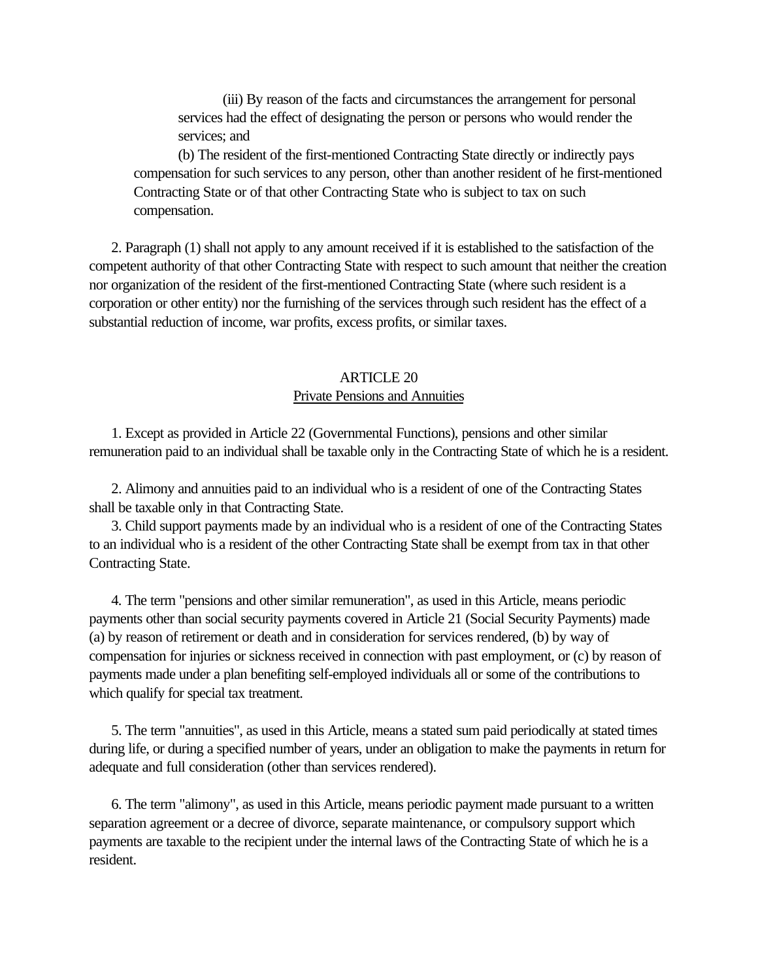<span id="page-20-0"></span>(iii) By reason of the facts and circumstances the arrangement for personal services had the effect of designating the person or persons who would render the services; and

(b) The resident of the first-mentioned Contracting State directly or indirectly pays compensation for such services to any person, other than another resident of he first-mentioned Contracting State or of that other Contracting State who is subject to tax on such compensation.

 2. Paragraph (1) shall not apply to any amount received if it is established to the satisfaction of the competent authority of that other Contracting State with respect to such amount that neither the creation nor organization of the resident of the first-mentioned Contracting State (where such resident is a corporation or other entity) nor the furnishing of the services through such resident has the effect of a substantial reduction of income, war profits, excess profits, or similar taxes.

# ARTICLE 20 Private Pensions and Annuities

 1. Except as provided in Article 22 (Governmental Functions), pensions and other similar remuneration paid to an individual shall be taxable only in the Contracting State of which he is a resident.

 2. Alimony and annuities paid to an individual who is a resident of one of the Contracting States shall be taxable only in that Contracting State.

 3. Child support payments made by an individual who is a resident of one of the Contracting States to an individual who is a resident of the other Contracting State shall be exempt from tax in that other Contracting State.

 4. The term "pensions and other similar remuneration", as used in this Article, means periodic payments other than social security payments covered in Article 21 (Social Security Payments) made (a) by reason of retirement or death and in consideration for services rendered, (b) by way of compensation for injuries or sickness received in connection with past employment, or (c) by reason of payments made under a plan benefiting self-employed individuals all or some of the contributions to which qualify for special tax treatment.

 5. The term "annuities", as used in this Article, means a stated sum paid periodically at stated times during life, or during a specified number of years, under an obligation to make the payments in return for adequate and full consideration (other than services rendered).

 6. The term "alimony", as used in this Article, means periodic payment made pursuant to a written separation agreement or a decree of divorce, separate maintenance, or compulsory support which payments are taxable to the recipient under the internal laws of the Contracting State of which he is a resident.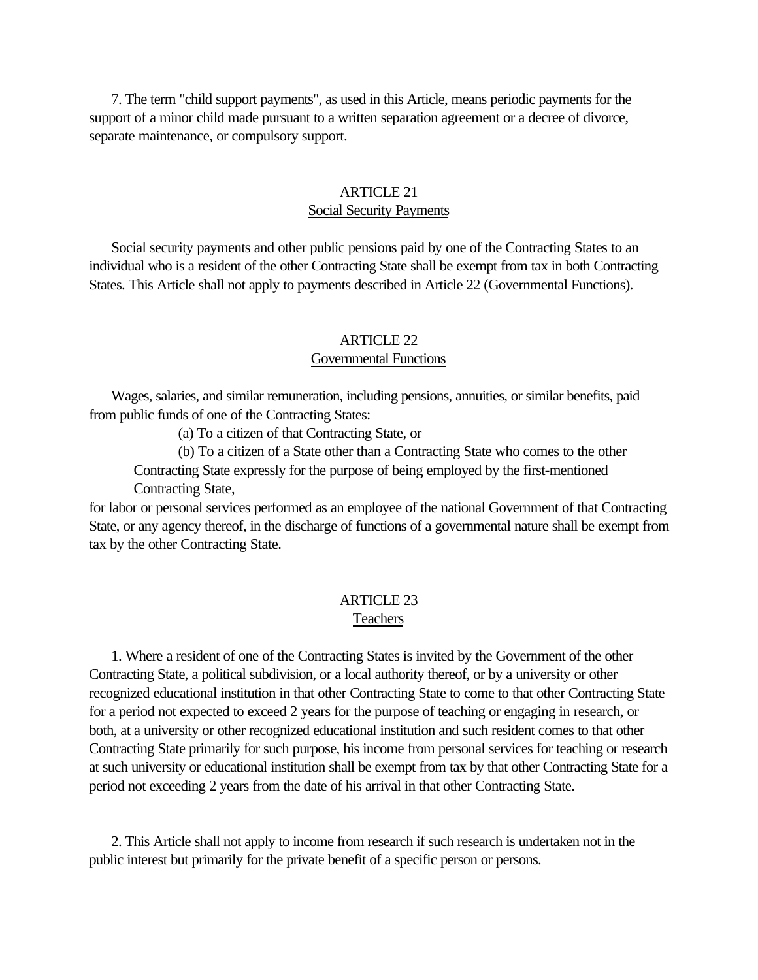<span id="page-21-0"></span> 7. The term "child support payments", as used in this Article, means periodic payments for the support of a minor child made pursuant to a written separation agreement or a decree of divorce, separate maintenance, or compulsory support.

# ARTICLE 21 Social Security Payments

 Social security payments and other public pensions paid by one of the Contracting States to an individual who is a resident of the other Contracting State shall be exempt from tax in both Contracting States. This Article shall not apply to payments described in Article 22 (Governmental Functions).

### ARTICLE 22

#### Governmental Functions

 Wages, salaries, and similar remuneration, including pensions, annuities, or similar benefits, paid from public funds of one of the Contracting States:

(a) To a citizen of that Contracting State, or

(b) To a citizen of a State other than a Contracting State who comes to the other Contracting State expressly for the purpose of being employed by the first-mentioned

Contracting State,

for labor or personal services performed as an employee of the national Government of that Contracting State, or any agency thereof, in the discharge of functions of a governmental nature shall be exempt from tax by the other Contracting State.

# ARTICLE 23 Teachers

 1. Where a resident of one of the Contracting States is invited by the Government of the other Contracting State, a political subdivision, or a local authority thereof, or by a university or other recognized educational institution in that other Contracting State to come to that other Contracting State for a period not expected to exceed 2 years for the purpose of teaching or engaging in research, or both, at a university or other recognized educational institution and such resident comes to that other Contracting State primarily for such purpose, his income from personal services for teaching or research at such university or educational institution shall be exempt from tax by that other Contracting State for a period not exceeding 2 years from the date of his arrival in that other Contracting State.

 2. This Article shall not apply to income from research if such research is undertaken not in the public interest but primarily for the private benefit of a specific person or persons.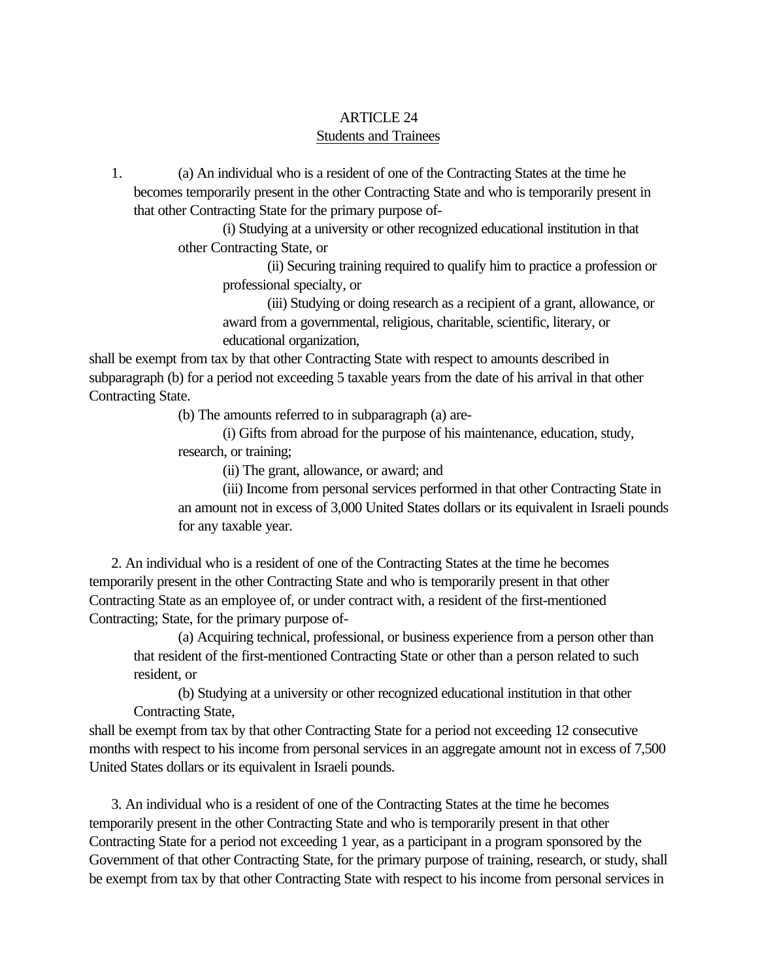# ARTICLE 24 Students and Trainees

<span id="page-22-0"></span> 1. (a) An individual who is a resident of one of the Contracting States at the time he becomes temporarily present in the other Contracting State and who is temporarily present in that other Contracting State for the primary purpose of-

> (i) Studying at a university or other recognized educational institution in that other Contracting State, or

(ii) Securing training required to qualify him to practice a profession or professional specialty, or

(iii) Studying or doing research as a recipient of a grant, allowance, or award from a governmental, religious, charitable, scientific, literary, or educational organization,

shall be exempt from tax by that other Contracting State with respect to amounts described in subparagraph (b) for a period not exceeding 5 taxable years from the date of his arrival in that other Contracting State.

(b) The amounts referred to in subparagraph (a) are-

(i) Gifts from abroad for the purpose of his maintenance, education, study, research, or training;

(ii) The grant, allowance, or award; and

(iii) Income from personal services performed in that other Contracting State in an amount not in excess of 3,000 United States dollars or its equivalent in Israeli pounds for any taxable year.

 2. An individual who is a resident of one of the Contracting States at the time he becomes temporarily present in the other Contracting State and who is temporarily present in that other Contracting State as an employee of, or under contract with, a resident of the first-mentioned Contracting; State, for the primary purpose of-

(a) Acquiring technical, professional, or business experience from a person other than that resident of the first-mentioned Contracting State or other than a person related to such resident, or

(b) Studying at a university or other recognized educational institution in that other Contracting State,

shall be exempt from tax by that other Contracting State for a period not exceeding 12 consecutive months with respect to his income from personal services in an aggregate amount not in excess of 7,500 United States dollars or its equivalent in Israeli pounds.

 3. An individual who is a resident of one of the Contracting States at the time he becomes temporarily present in the other Contracting State and who is temporarily present in that other Contracting State for a period not exceeding 1 year, as a participant in a program sponsored by the Government of that other Contracting State, for the primary purpose of training, research, or study, shall be exempt from tax by that other Contracting State with respect to his income from personal services in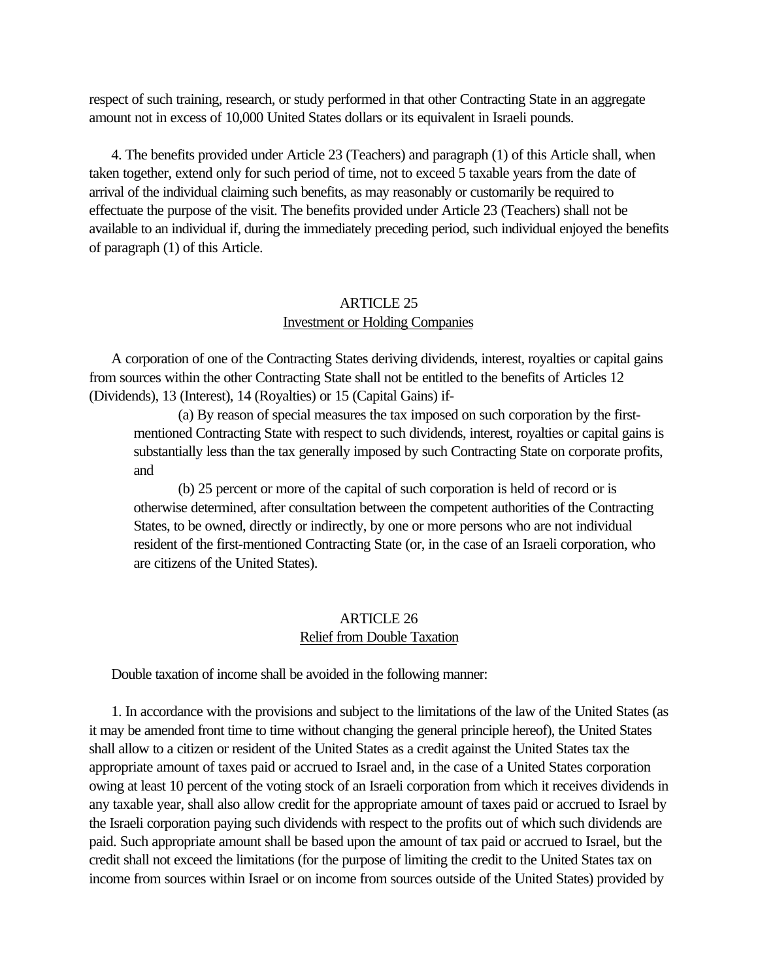<span id="page-23-0"></span>respect of such training, research, or study performed in that other Contracting State in an aggregate amount not in excess of 10,000 United States dollars or its equivalent in Israeli pounds.

 4. The benefits provided under Article 23 (Teachers) and paragraph (1) of this Article shall, when taken together, extend only for such period of time, not to exceed 5 taxable years from the date of arrival of the individual claiming such benefits, as may reasonably or customarily be required to effectuate the purpose of the visit. The benefits provided under Article 23 (Teachers) shall not be available to an individual if, during the immediately preceding period, such individual enjoyed the benefits of paragraph (1) of this Article.

# ARTICLE 25 Investment or Holding Companies

 A corporation of one of the Contracting States deriving dividends, interest, royalties or capital gains from sources within the other Contracting State shall not be entitled to the benefits of Articles 12 (Dividends), 13 (Interest), 14 (Royalties) or 15 (Capital Gains) if-

(a) By reason of special measures the tax imposed on such corporation by the firstmentioned Contracting State with respect to such dividends, interest, royalties or capital gains is substantially less than the tax generally imposed by such Contracting State on corporate profits, and

(b) 25 percent or more of the capital of such corporation is held of record or is otherwise determined, after consultation between the competent authorities of the Contracting States, to be owned, directly or indirectly, by one or more persons who are not individual resident of the first-mentioned Contracting State (or, in the case of an Israeli corporation, who are citizens of the United States).

# ARTICLE 26 Relief from Double Taxation

Double taxation of income shall be avoided in the following manner:

 1. In accordance with the provisions and subject to the limitations of the law of the United States (as it may be amended front time to time without changing the general principle hereof), the United States shall allow to a citizen or resident of the United States as a credit against the United States tax the appropriate amount of taxes paid or accrued to Israel and, in the case of a United States corporation owing at least 10 percent of the voting stock of an Israeli corporation from which it receives dividends in any taxable year, shall also allow credit for the appropriate amount of taxes paid or accrued to Israel by the Israeli corporation paying such dividends with respect to the profits out of which such dividends are paid. Such appropriate amount shall be based upon the amount of tax paid or accrued to Israel, but the credit shall not exceed the limitations (for the purpose of limiting the credit to the United States tax on income from sources within Israel or on income from sources outside of the United States) provided by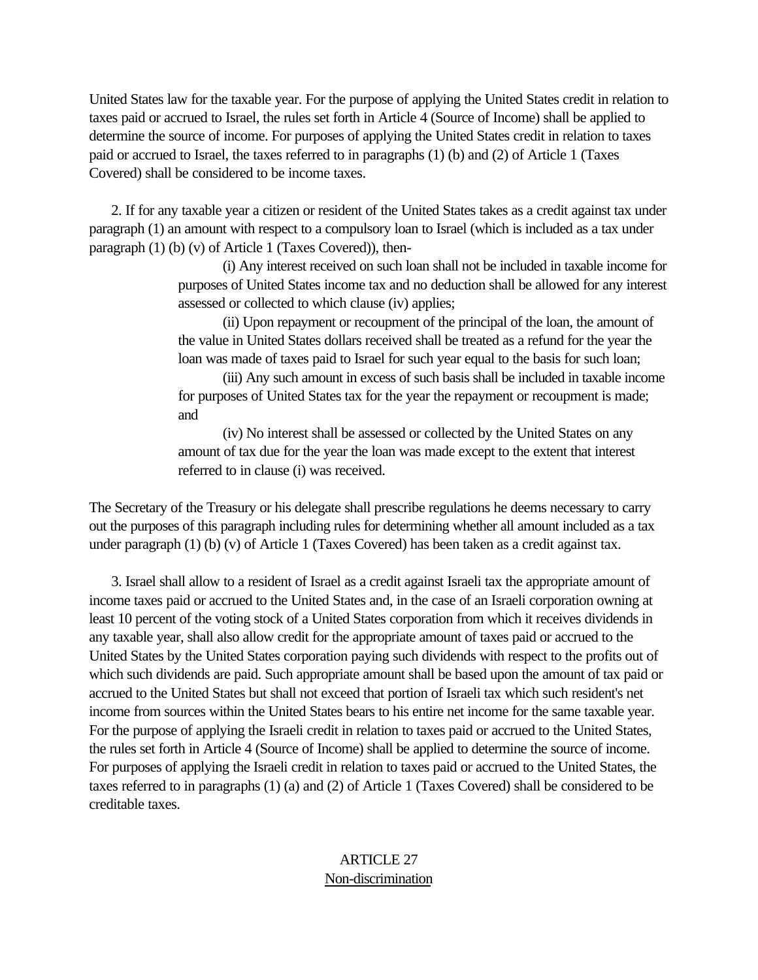United States law for the taxable year. For the purpose of applying the United States credit in relation to taxes paid or accrued to Israel, the rules set forth in Article 4 (Source of Income) shall be applied to determine the source of income. For purposes of applying the United States credit in relation to taxes paid or accrued to Israel, the taxes referred to in paragraphs (1) (b) and (2) of Article 1 (Taxes Covered) shall be considered to be income taxes.

 2. If for any taxable year a citizen or resident of the United States takes as a credit against tax under paragraph (1) an amount with respect to a compulsory loan to Israel (which is included as a tax under paragraph (1) (b) (v) of Article 1 (Taxes Covered)), then-

> (i) Any interest received on such loan shall not be included in taxable income for purposes of United States income tax and no deduction shall be allowed for any interest assessed or collected to which clause (iv) applies;

(ii) Upon repayment or recoupment of the principal of the loan, the amount of the value in United States dollars received shall be treated as a refund for the year the loan was made of taxes paid to Israel for such year equal to the basis for such loan;

(iii) Any such amount in excess of such basis shall be included in taxable income for purposes of United States tax for the year the repayment or recoupment is made; and

(iv) No interest shall be assessed or collected by the United States on any amount of tax due for the year the loan was made except to the extent that interest referred to in clause (i) was received.

The Secretary of the Treasury or his delegate shall prescribe regulations he deems necessary to carry out the purposes of this paragraph including rules for determining whether all amount included as a tax under paragraph (1) (b) (v) of Article 1 (Taxes Covered) has been taken as a credit against tax.

 3. Israel shall allow to a resident of Israel as a credit against Israeli tax the appropriate amount of income taxes paid or accrued to the United States and, in the case of an Israeli corporation owning at least 10 percent of the voting stock of a United States corporation from which it receives dividends in any taxable year, shall also allow credit for the appropriate amount of taxes paid or accrued to the United States by the United States corporation paying such dividends with respect to the profits out of which such dividends are paid. Such appropriate amount shall be based upon the amount of tax paid or accrued to the United States but shall not exceed that portion of Israeli tax which such resident's net income from sources within the United States bears to his entire net income for the same taxable year. For the purpose of applying the Israeli credit in relation to taxes paid or accrued to the United States, the rules set forth in Article 4 (Source of Income) shall be applied to determine the source of income. For purposes of applying the Israeli credit in relation to taxes paid or accrued to the United States, the taxes referred to in paragraphs (1) (a) and (2) of Article 1 (Taxes Covered) shall be considered to be creditable taxes.

# ARTICLE 27 Non-discrimination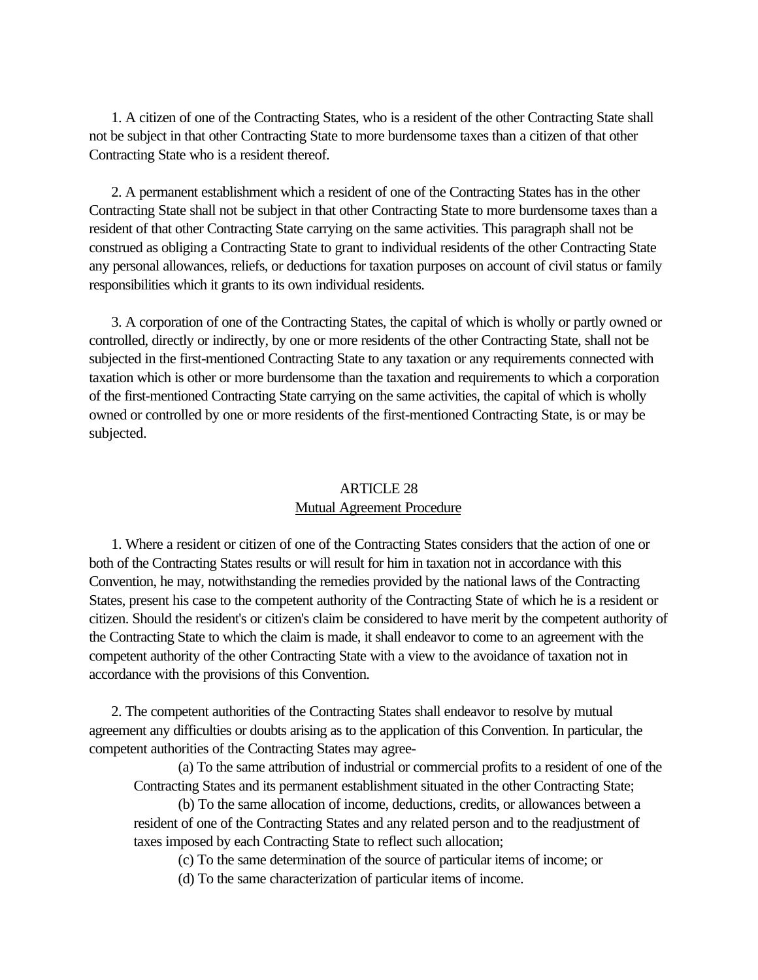<span id="page-25-0"></span> 1. A citizen of one of the Contracting States, who is a resident of the other Contracting State shall not be subject in that other Contracting State to more burdensome taxes than a citizen of that other Contracting State who is a resident thereof.

 2. A permanent establishment which a resident of one of the Contracting States has in the other Contracting State shall not be subject in that other Contracting State to more burdensome taxes than a resident of that other Contracting State carrying on the same activities. This paragraph shall not be construed as obliging a Contracting State to grant to individual residents of the other Contracting State any personal allowances, reliefs, or deductions for taxation purposes on account of civil status or family responsibilities which it grants to its own individual residents.

 3. A corporation of one of the Contracting States, the capital of which is wholly or partly owned or controlled, directly or indirectly, by one or more residents of the other Contracting State, shall not be subjected in the first-mentioned Contracting State to any taxation or any requirements connected with taxation which is other or more burdensome than the taxation and requirements to which a corporation of the first-mentioned Contracting State carrying on the same activities, the capital of which is wholly owned or controlled by one or more residents of the first-mentioned Contracting State, is or may be subjected.

# ARTICLE 28 Mutual Agreement Procedure

 1. Where a resident or citizen of one of the Contracting States considers that the action of one or both of the Contracting States results or will result for him in taxation not in accordance with this Convention, he may, notwithstanding the remedies provided by the national laws of the Contracting States, present his case to the competent authority of the Contracting State of which he is a resident or citizen. Should the resident's or citizen's claim be considered to have merit by the competent authority of the Contracting State to which the claim is made, it shall endeavor to come to an agreement with the competent authority of the other Contracting State with a view to the avoidance of taxation not in accordance with the provisions of this Convention.

 2. The competent authorities of the Contracting States shall endeavor to resolve by mutual agreement any difficulties or doubts arising as to the application of this Convention. In particular, the competent authorities of the Contracting States may agree-

(a) To the same attribution of industrial or commercial profits to a resident of one of the Contracting States and its permanent establishment situated in the other Contracting State;

(b) To the same allocation of income, deductions, credits, or allowances between a resident of one of the Contracting States and any related person and to the readjustment of taxes imposed by each Contracting State to reflect such allocation;

(c) To the same determination of the source of particular items of income; or

(d) To the same characterization of particular items of income.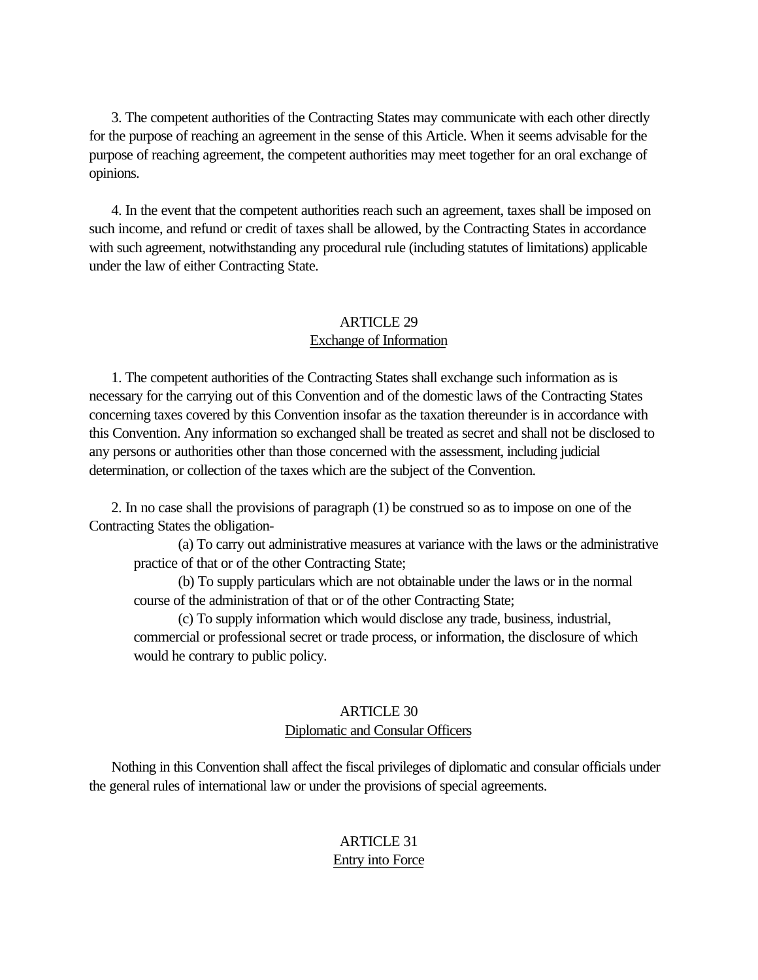<span id="page-26-0"></span> 3. The competent authorities of the Contracting States may communicate with each other directly for the purpose of reaching an agreement in the sense of this Article. When it seems advisable for the purpose of reaching agreement, the competent authorities may meet together for an oral exchange of opinions.

 4. In the event that the competent authorities reach such an agreement, taxes shall be imposed on such income, and refund or credit of taxes shall be allowed, by the Contracting States in accordance with such agreement, notwithstanding any procedural rule (including statutes of limitations) applicable under the law of either Contracting State.

# ARTICLE 29 Exchange of Information

 1. The competent authorities of the Contracting States shall exchange such information as is necessary for the carrying out of this Convention and of the domestic laws of the Contracting States concerning taxes covered by this Convention insofar as the taxation thereunder is in accordance with this Convention. Any information so exchanged shall be treated as secret and shall not be disclosed to any persons or authorities other than those concerned with the assessment, including judicial determination, or collection of the taxes which are the subject of the Convention.

 2. In no case shall the provisions of paragraph (1) be construed so as to impose on one of the Contracting States the obligation-

(a) To carry out administrative measures at variance with the laws or the administrative practice of that or of the other Contracting State;

(b) To supply particulars which are not obtainable under the laws or in the normal course of the administration of that or of the other Contracting State;

(c) To supply information which would disclose any trade, business, industrial, commercial or professional secret or trade process, or information, the disclosure of which would he contrary to public policy.

# ARTICLE 30 Diplomatic and Consular Officers

 Nothing in this Convention shall affect the fiscal privileges of diplomatic and consular officials under the general rules of international law or under the provisions of special agreements.

# ARTICLE 31 Entry into Force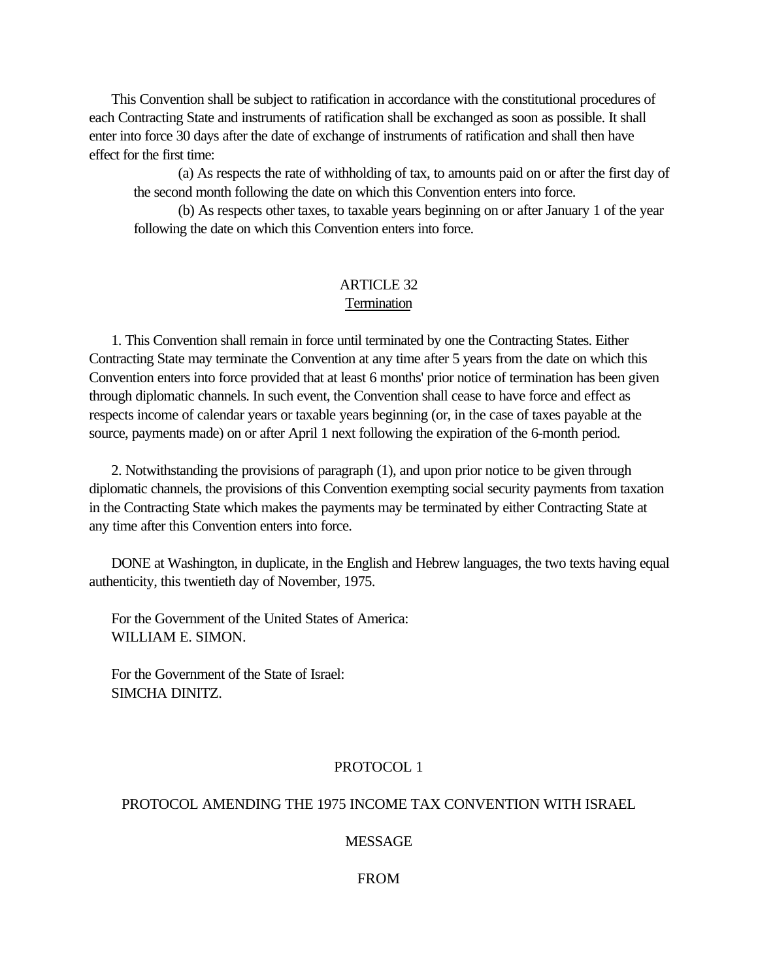<span id="page-27-0"></span> This Convention shall be subject to ratification in accordance with the constitutional procedures of each Contracting State and instruments of ratification shall be exchanged as soon as possible. It shall enter into force 30 days after the date of exchange of instruments of ratification and shall then have effect for the first time:

(a) As respects the rate of withholding of tax, to amounts paid on or after the first day of the second month following the date on which this Convention enters into force.

(b) As respects other taxes, to taxable years beginning on or after January 1 of the year following the date on which this Convention enters into force.

# ARTICLE 32

# **Termination**

 1. This Convention shall remain in force until terminated by one the Contracting States. Either Contracting State may terminate the Convention at any time after 5 years from the date on which this Convention enters into force provided that at least 6 months' prior notice of termination has been given through diplomatic channels. In such event, the Convention shall cease to have force and effect as respects income of calendar years or taxable years beginning (or, in the case of taxes payable at the source, payments made) on or after April 1 next following the expiration of the 6-month period.

 2. Notwithstanding the provisions of paragraph (1), and upon prior notice to be given through diplomatic channels, the provisions of this Convention exempting social security payments from taxation in the Contracting State which makes the payments may be terminated by either Contracting State at any time after this Convention enters into force.

 DONE at Washington, in duplicate, in the English and Hebrew languages, the two texts having equal authenticity, this twentieth day of November, 1975.

 For the Government of the United States of America: WILLIAM E. SIMON.

 For the Government of the State of Israel: SIMCHA DINITZ.

# PROTOCOL 1

# PROTOCOL AMENDING THE 1975 INCOME TAX CONVENTION WITH ISRAEL

# MESSAGE

# FROM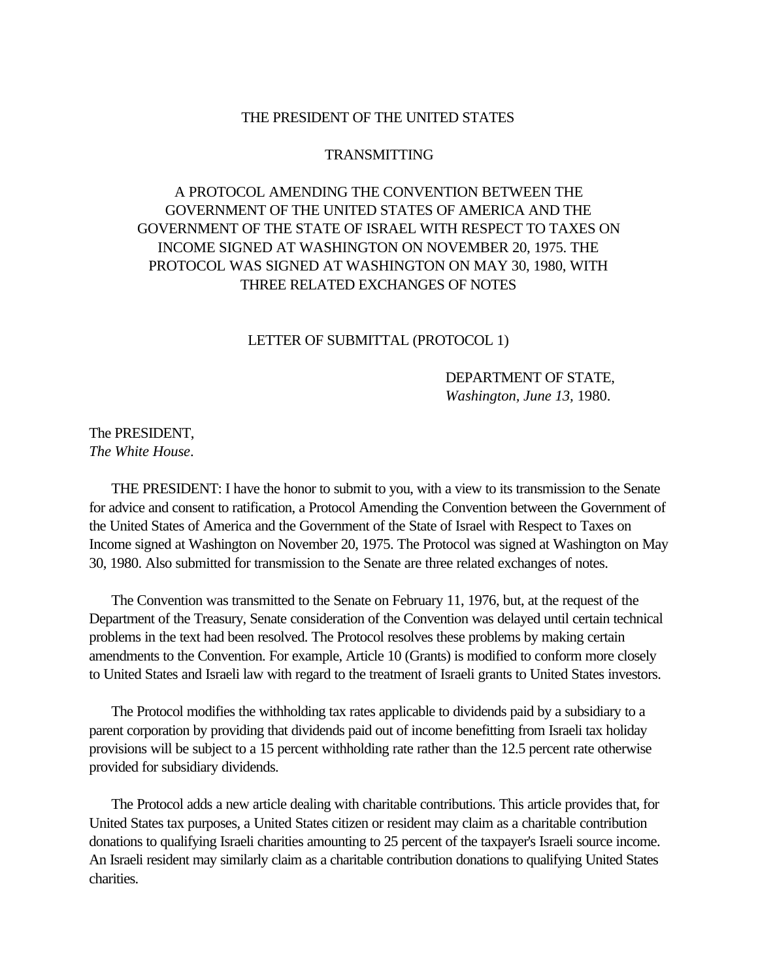#### THE PRESIDENT OF THE UNITED STATES

#### TRANSMITTING

# A PROTOCOL AMENDING THE CONVENTION BETWEEN THE GOVERNMENT OF THE UNITED STATES OF AMERICA AND THE GOVERNMENT OF THE STATE OF ISRAEL WITH RESPECT TO TAXES ON INCOME SIGNED AT WASHINGTON ON NOVEMBER 20, 1975. THE PROTOCOL WAS SIGNED AT WASHINGTON ON MAY 30, 1980, WITH THREE RELATED EXCHANGES OF NOTES

### LETTER OF SUBMITTAL (PROTOCOL 1)

# DEPARTMENT OF STATE, *Washington, June 13,* 1980.

# <span id="page-28-0"></span>The PRESIDENT, *The White House*.

 THE PRESIDENT: I have the honor to submit to you, with a view to its transmission to the Senate for advice and consent to ratification, a Protocol Amending the Convention between the Government of the United States of America and the Government of the State of Israel with Respect to Taxes on Income signed at Washington on November 20, 1975. The Protocol was signed at Washington on May 30, 1980. Also submitted for transmission to the Senate are three related exchanges of notes.

 The Convention was transmitted to the Senate on February 11, 1976, but, at the request of the Department of the Treasury, Senate consideration of the Convention was delayed until certain technical problems in the text had been resolved. The Protocol resolves these problems by making certain amendments to the Convention. For example, Article 10 (Grants) is modified to conform more closely to United States and Israeli law with regard to the treatment of Israeli grants to United States investors.

 The Protocol modifies the withholding tax rates applicable to dividends paid by a subsidiary to a parent corporation by providing that dividends paid out of income benefitting from Israeli tax holiday provisions will be subject to a 15 percent withholding rate rather than the 12.5 percent rate otherwise provided for subsidiary dividends.

 The Protocol adds a new article dealing with charitable contributions. This article provides that, for United States tax purposes, a United States citizen or resident may claim as a charitable contribution donations to qualifying Israeli charities amounting to 25 percent of the taxpayer's Israeli source income. An Israeli resident may similarly claim as a charitable contribution donations to qualifying United States charities.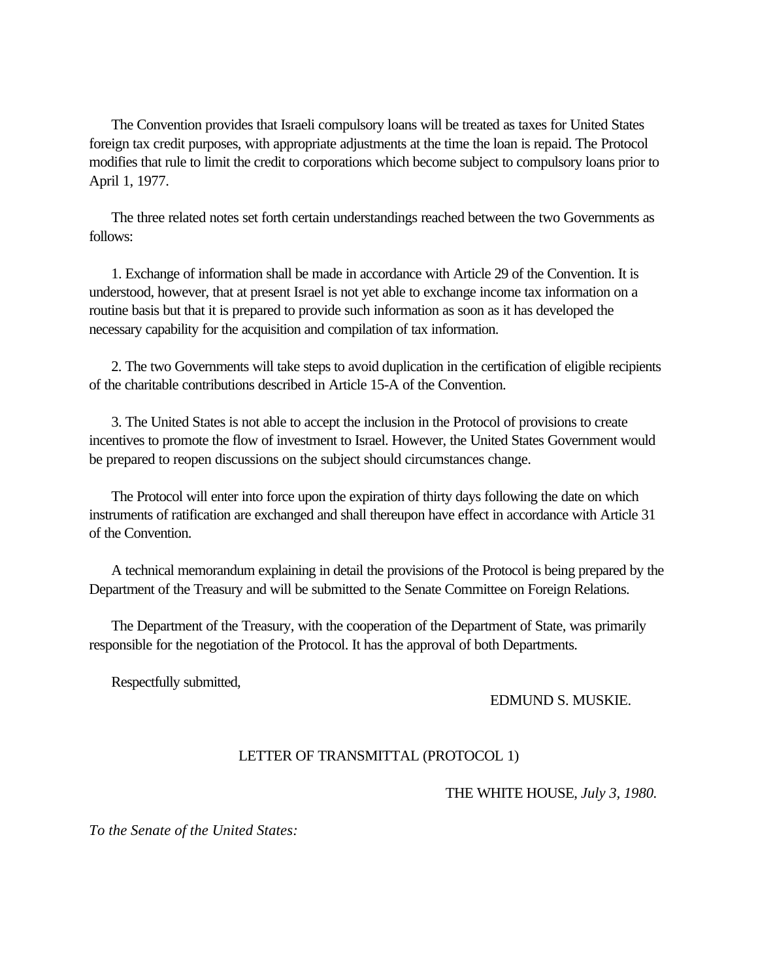The Convention provides that Israeli compulsory loans will be treated as taxes for United States foreign tax credit purposes, with appropriate adjustments at the time the loan is repaid. The Protocol modifies that rule to limit the credit to corporations which become subject to compulsory loans prior to April 1, 1977.

 The three related notes set forth certain understandings reached between the two Governments as follows:

 1. Exchange of information shall be made in accordance with Article 29 of the Convention. It is understood, however, that at present Israel is not yet able to exchange income tax information on a routine basis but that it is prepared to provide such information as soon as it has developed the necessary capability for the acquisition and compilation of tax information.

<span id="page-29-0"></span> 2. The two Governments will take steps to avoid duplication in the certification of eligible recipients of the charitable contributions described in Article 15-A of the Convention.

 3. The United States is not able to accept the inclusion in the Protocol of provisions to create incentives to promote the flow of investment to Israel. However, the United States Government would be prepared to reopen discussions on the subject should circumstances change.

 The Protocol will enter into force upon the expiration of thirty days following the date on which instruments of ratification are exchanged and shall thereupon have effect in accordance with Article 31 of the Convention.

 A technical memorandum explaining in detail the provisions of the Protocol is being prepared by the Department of the Treasury and will be submitted to the Senate Committee on Foreign Relations.

 The Department of the Treasury, with the cooperation of the Department of State, was primarily responsible for the negotiation of the Protocol. It has the approval of both Departments.

Respectfully submitted,

# EDMUND S. MUSKIE.

# LETTER OF TRANSMITTAL (PROTOCOL 1)

# THE WHITE HOUSE, *July 3, 1980.*

*To the Senate of the United States:*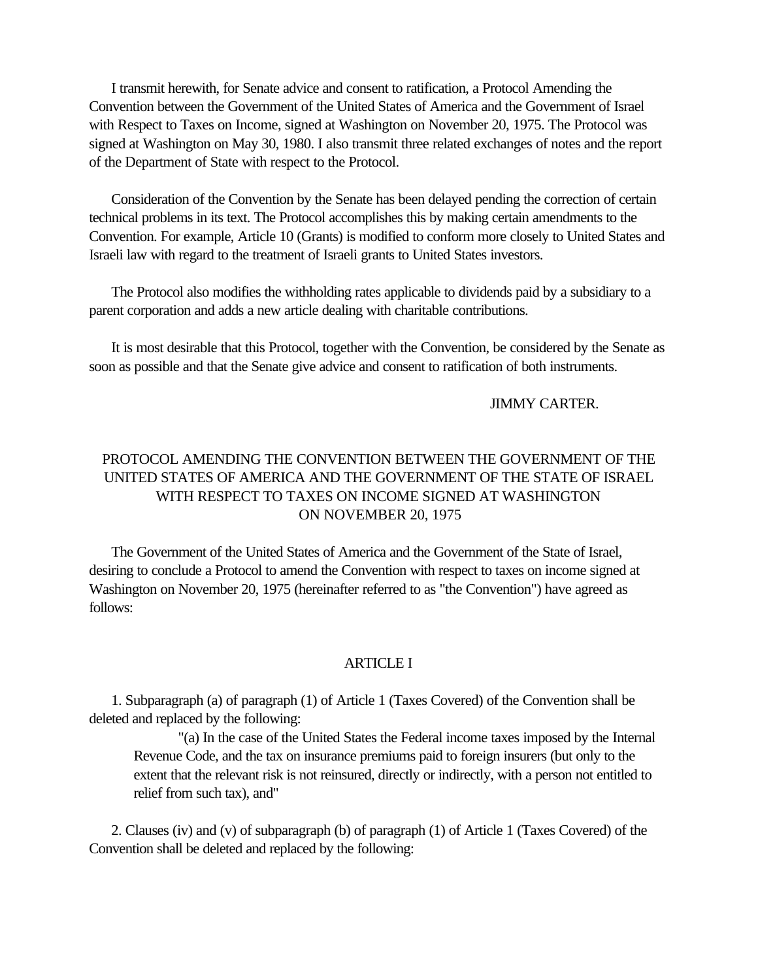<span id="page-30-0"></span> I transmit herewith, for Senate advice and consent to ratification, a Protocol Amending the Convention between the Government of the United States of America and the Government of Israel with Respect to Taxes on Income, signed at Washington on November 20, 1975. The Protocol was signed at Washington on May 30, 1980. I also transmit three related exchanges of notes and the report of the Department of State with respect to the Protocol.

 Consideration of the Convention by the Senate has been delayed pending the correction of certain technical problems in its text. The Protocol accomplishes this by making certain amendments to the Convention. For example, Article 10 (Grants) is modified to conform more closely to United States and Israeli law with regard to the treatment of Israeli grants to United States investors.

 The Protocol also modifies the withholding rates applicable to dividends paid by a subsidiary to a parent corporation and adds a new article dealing with charitable contributions.

 It is most desirable that this Protocol, together with the Convention, be considered by the Senate as soon as possible and that the Senate give advice and consent to ratification of both instruments.

### JIMMY CARTER.

# PROTOCOL AMENDING THE CONVENTION BETWEEN THE GOVERNMENT OF THE UNITED STATES OF AMERICA AND THE GOVERNMENT OF THE STATE OF ISRAEL WITH RESPECT TO TAXES ON INCOME SIGNED AT WASHINGTON ON NOVEMBER 20, 1975

 The Government of the United States of America and the Government of the State of Israel, desiring to conclude a Protocol to amend the Convention with respect to taxes on income signed at Washington on November 20, 1975 (hereinafter referred to as "the Convention") have agreed as follows:

### ARTICLE I

 1. Subparagraph (a) of paragraph (1) of Article 1 (Taxes Covered) of the Convention shall be deleted and replaced by the following:

"(a) In the case of the United States the Federal income taxes imposed by the Internal Revenue Code, and the tax on insurance premiums paid to foreign insurers (but only to the extent that the relevant risk is not reinsured, directly or indirectly, with a person not entitled to relief from such tax), and"

 2. Clauses (iv) and (v) of subparagraph (b) of paragraph (1) of Article 1 (Taxes Covered) of the Convention shall be deleted and replaced by the following: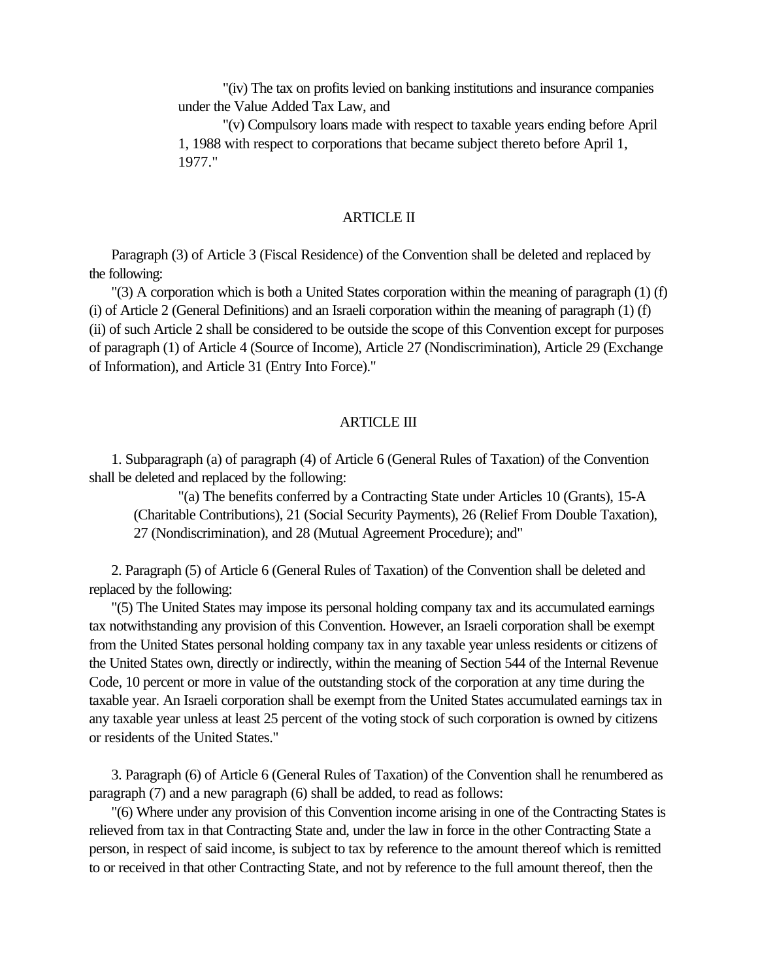"(iv) The tax on profits levied on banking institutions and insurance companies under the Value Added Tax Law, and

"(v) Compulsory loans made with respect to taxable years ending before April 1, 1988 with respect to corporations that became subject thereto before April 1, 1977."

### ARTICLE II

 Paragraph (3) of Article 3 (Fiscal Residence) of the Convention shall be deleted and replaced by the following:

 "(3) A corporation which is both a United States corporation within the meaning of paragraph (1) (f) (i) of Article 2 (General Definitions) and an Israeli corporation within the meaning of paragraph (1) (f) (ii) of such Article 2 shall be considered to be outside the scope of this Convention except for purposes of paragraph (1) of Article 4 (Source of Income), Article 27 (Nondiscrimination), Article 29 (Exchange of Information), and Article 31 (Entry Into Force)."

### ARTICLE III

 1. Subparagraph (a) of paragraph (4) of Article 6 (General Rules of Taxation) of the Convention shall be deleted and replaced by the following:

"(a) The benefits conferred by a Contracting State under Articles 10 (Grants), 15-A (Charitable Contributions), 21 (Social Security Payments), 26 (Relief From Double Taxation), 27 (Nondiscrimination), and 28 (Mutual Agreement Procedure); and"

 2. Paragraph (5) of Article 6 (General Rules of Taxation) of the Convention shall be deleted and replaced by the following:

 "(5) The United States may impose its personal holding company tax and its accumulated earnings tax notwithstanding any provision of this Convention. However, an Israeli corporation shall be exempt from the United States personal holding company tax in any taxable year unless residents or citizens of the United States own, directly or indirectly, within the meaning of Section 544 of the Internal Revenue Code, 10 percent or more in value of the outstanding stock of the corporation at any time during the taxable year. An Israeli corporation shall be exempt from the United States accumulated earnings tax in any taxable year unless at least 25 percent of the voting stock of such corporation is owned by citizens or residents of the United States."

 3. Paragraph (6) of Article 6 (General Rules of Taxation) of the Convention shall he renumbered as paragraph (7) and a new paragraph (6) shall be added, to read as follows:

 "(6) Where under any provision of this Convention income arising in one of the Contracting States is relieved from tax in that Contracting State and, under the law in force in the other Contracting State a person, in respect of said income, is subject to tax by reference to the amount thereof which is remitted to or received in that other Contracting State, and not by reference to the full amount thereof, then the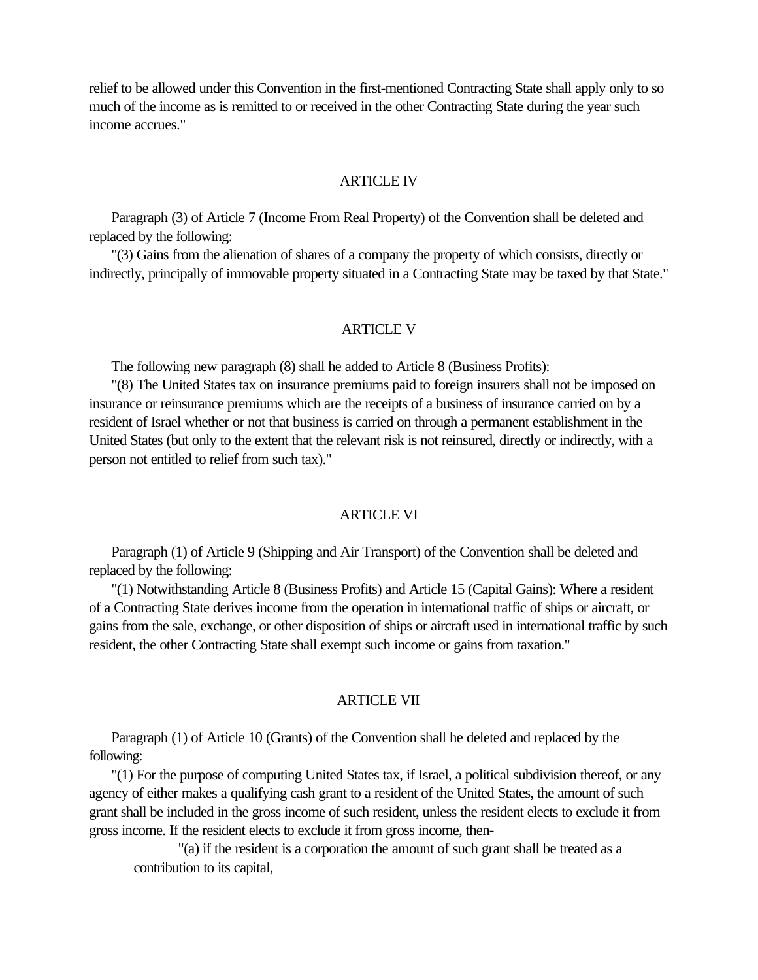relief to be allowed under this Convention in the first-mentioned Contracting State shall apply only to so much of the income as is remitted to or received in the other Contracting State during the year such income accrues."

#### ARTICLE IV

 Paragraph (3) of Article 7 (Income From Real Property) of the Convention shall be deleted and replaced by the following:

 "(3) Gains from the alienation of shares of a company the property of which consists, directly or indirectly, principally of immovable property situated in a Contracting State may be taxed by that State."

#### ARTICLE V

The following new paragraph (8) shall he added to Article 8 (Business Profits):

 "(8) The United States tax on insurance premiums paid to foreign insurers shall not be imposed on insurance or reinsurance premiums which are the receipts of a business of insurance carried on by a resident of Israel whether or not that business is carried on through a permanent establishment in the United States (but only to the extent that the relevant risk is not reinsured, directly or indirectly, with a person not entitled to relief from such tax)."

#### ARTICLE VI

 Paragraph (1) of Article 9 (Shipping and Air Transport) of the Convention shall be deleted and replaced by the following:

 "(1) Notwithstanding Article 8 (Business Profits) and Article 15 (Capital Gains): Where a resident of a Contracting State derives income from the operation in international traffic of ships or aircraft, or gains from the sale, exchange, or other disposition of ships or aircraft used in international traffic by such resident, the other Contracting State shall exempt such income or gains from taxation."

#### **ARTICLE VII**

 Paragraph (1) of Article 10 (Grants) of the Convention shall he deleted and replaced by the following:

 "(1) For the purpose of computing United States tax, if Israel, a political subdivision thereof, or any agency of either makes a qualifying cash grant to a resident of the United States, the amount of such grant shall be included in the gross income of such resident, unless the resident elects to exclude it from gross income. If the resident elects to exclude it from gross income, then-

"(a) if the resident is a corporation the amount of such grant shall be treated as a contribution to its capital,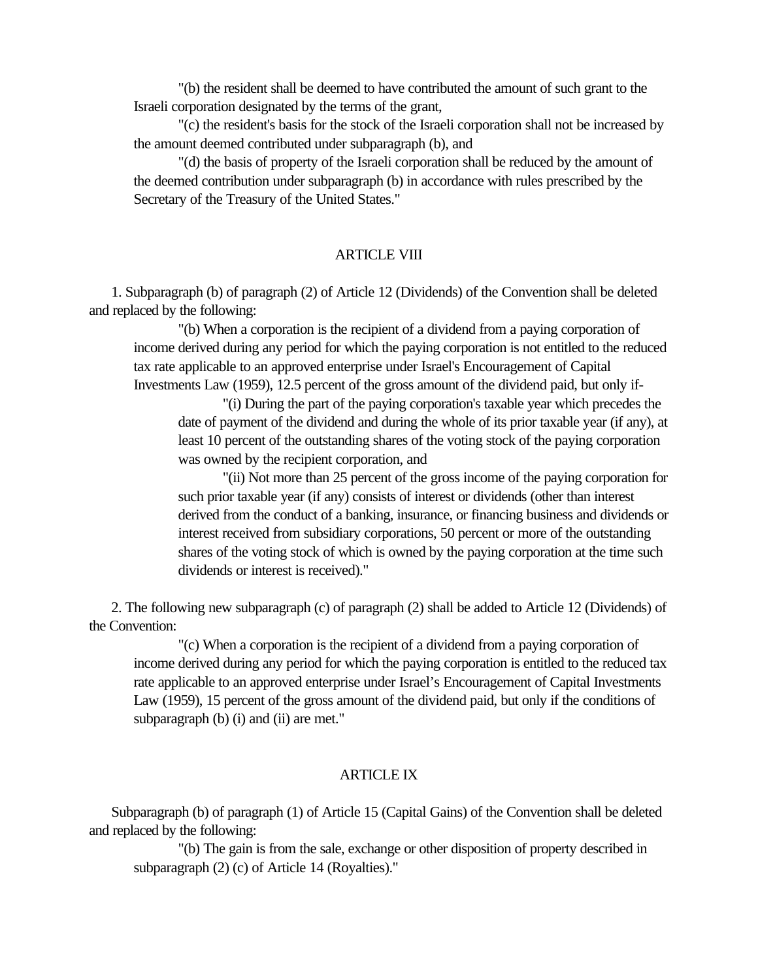"(b) the resident shall be deemed to have contributed the amount of such grant to the Israeli corporation designated by the terms of the grant,

"(c) the resident's basis for the stock of the Israeli corporation shall not be increased by the amount deemed contributed under subparagraph (b), and

"(d) the basis of property of the Israeli corporation shall be reduced by the amount of the deemed contribution under subparagraph (b) in accordance with rules prescribed by the Secretary of the Treasury of the United States."

### ARTICLE VIII

 1. Subparagraph (b) of paragraph (2) of Article 12 (Dividends) of the Convention shall be deleted and replaced by the following:

"(b) When a corporation is the recipient of a dividend from a paying corporation of income derived during any period for which the paying corporation is not entitled to the reduced tax rate applicable to an approved enterprise under Israel's Encouragement of Capital Investments Law (1959), 12.5 percent of the gross amount of the dividend paid, but only if-

"(i) During the part of the paying corporation's taxable year which precedes the date of payment of the dividend and during the whole of its prior taxable year (if any), at least 10 percent of the outstanding shares of the voting stock of the paying corporation was owned by the recipient corporation, and

"(ii) Not more than 25 percent of the gross income of the paying corporation for such prior taxable year (if any) consists of interest or dividends (other than interest derived from the conduct of a banking, insurance, or financing business and dividends or interest received from subsidiary corporations, 50 percent or more of the outstanding shares of the voting stock of which is owned by the paying corporation at the time such dividends or interest is received)."

 2. The following new subparagraph (c) of paragraph (2) shall be added to Article 12 (Dividends) of the Convention:

"(c) When a corporation is the recipient of a dividend from a paying corporation of income derived during any period for which the paying corporation is entitled to the reduced tax rate applicable to an approved enterprise under Israel's Encouragement of Capital Investments Law (1959), 15 percent of the gross amount of the dividend paid, but only if the conditions of subparagraph (b) (i) and (ii) are met."

### ARTICLE IX

 Subparagraph (b) of paragraph (1) of Article 15 (Capital Gains) of the Convention shall be deleted and replaced by the following:

"(b) The gain is from the sale, exchange or other disposition of property described in subparagraph (2) (c) of Article 14 (Royalties)."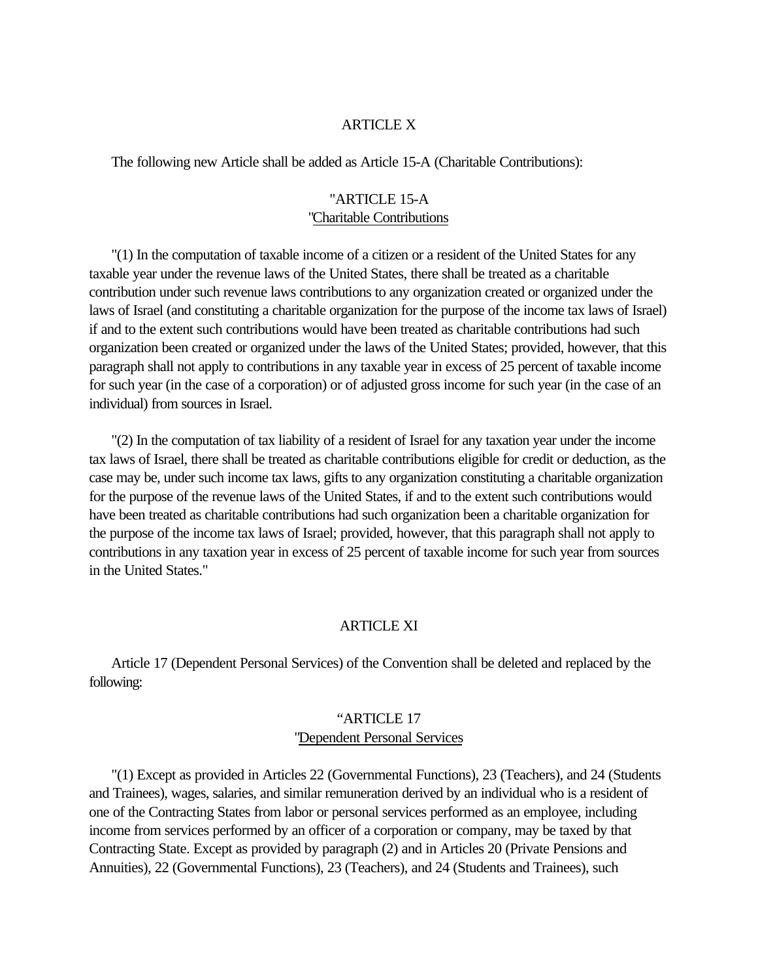### ARTICLE X

The following new Article shall be added as Article 15-A (Charitable Contributions):

### "ARTICLE 15-A "Charitable Contributions

 "(1) In the computation of taxable income of a citizen or a resident of the United States for any taxable year under the revenue laws of the United States, there shall be treated as a charitable contribution under such revenue laws contributions to any organization created or organized under the laws of Israel (and constituting a charitable organization for the purpose of the income tax laws of Israel) if and to the extent such contributions would have been treated as charitable contributions had such organization been created or organized under the laws of the United States; provided, however, that this paragraph shall not apply to contributions in any taxable year in excess of 25 percent of taxable income for such year (in the case of a corporation) or of adjusted gross income for such year (in the case of an individual) from sources in Israel.

 "(2) In the computation of tax liability of a resident of Israel for any taxation year under the income tax laws of Israel, there shall be treated as charitable contributions eligible for credit or deduction, as the case may be, under such income tax laws, gifts to any organization constituting a charitable organization for the purpose of the revenue laws of the United States, if and to the extent such contributions would have been treated as charitable contributions had such organization been a charitable organization for the purpose of the income tax laws of Israel; provided, however, that this paragraph shall not apply to contributions in any taxation year in excess of 25 percent of taxable income for such year from sources in the United States."

### ARTICLE XI

 Article 17 (Dependent Personal Services) of the Convention shall be deleted and replaced by the following:

# "ARTICLE 17 "Dependent Personal Services

 "(1) Except as provided in Articles 22 (Governmental Functions), 23 (Teachers), and 24 (Students and Trainees), wages, salaries, and similar remuneration derived by an individual who is a resident of one of the Contracting States from labor or personal services performed as an employee, including income from services performed by an officer of a corporation or company, may be taxed by that Contracting State. Except as provided by paragraph (2) and in Articles 20 (Private Pensions and Annuities), 22 (Governmental Functions), 23 (Teachers), and 24 (Students and Trainees), such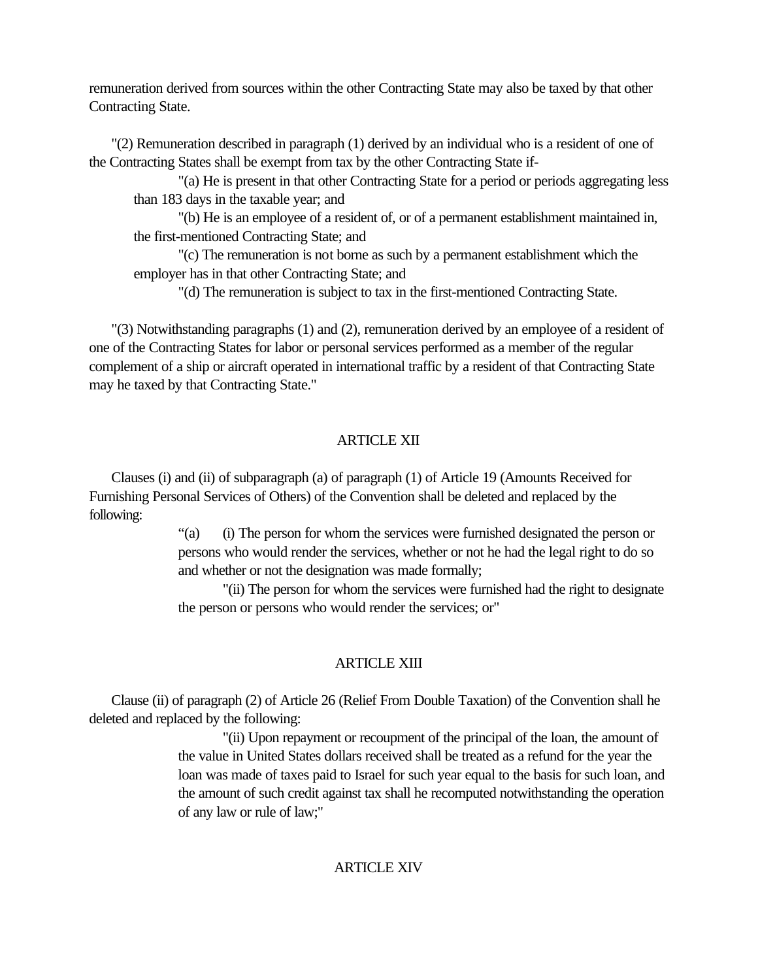remuneration derived from sources within the other Contracting State may also be taxed by that other Contracting State.

 "(2) Remuneration described in paragraph (1) derived by an individual who is a resident of one of the Contracting States shall be exempt from tax by the other Contracting State if-

"(a) He is present in that other Contracting State for a period or periods aggregating less than 183 days in the taxable year; and

"(b) He is an employee of a resident of, or of a permanent establishment maintained in, the first-mentioned Contracting State; and

"(c) The remuneration is not borne as such by a permanent establishment which the employer has in that other Contracting State; and

"(d) The remuneration is subject to tax in the first-mentioned Contracting State.

 "(3) Notwithstanding paragraphs (1) and (2), remuneration derived by an employee of a resident of one of the Contracting States for labor or personal services performed as a member of the regular complement of a ship or aircraft operated in international traffic by a resident of that Contracting State may he taxed by that Contracting State."

# ARTICLE XII

 Clauses (i) and (ii) of subparagraph (a) of paragraph (1) of Article 19 (Amounts Received for Furnishing Personal Services of Others) of the Convention shall be deleted and replaced by the following:

> "(a) (i) The person for whom the services were furnished designated the person or persons who would render the services, whether or not he had the legal right to do so and whether or not the designation was made formally;

"(ii) The person for whom the services were furnished had the right to designate the person or persons who would render the services; or"

# ARTICLE XIII

 Clause (ii) of paragraph (2) of Article 26 (Relief From Double Taxation) of the Convention shall he deleted and replaced by the following:

> "(ii) Upon repayment or recoupment of the principal of the loan, the amount of the value in United States dollars received shall be treated as a refund for the year the loan was made of taxes paid to Israel for such year equal to the basis for such loan, and the amount of such credit against tax shall he recomputed notwithstanding the operation of any law or rule of law;"

# **ARTICLE XIV**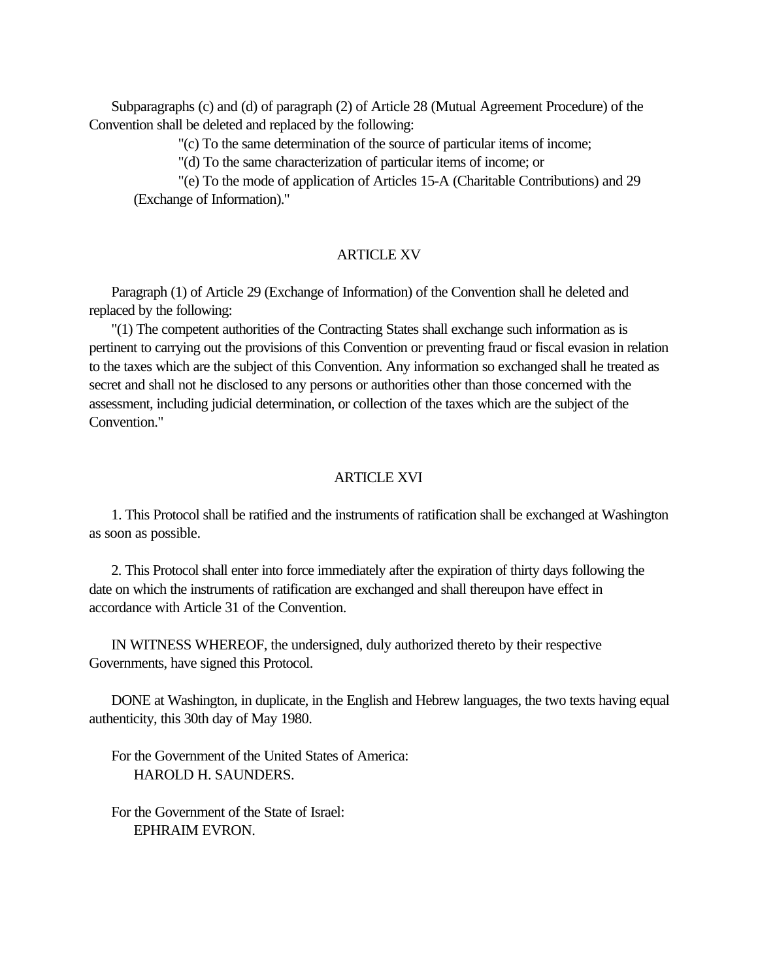Subparagraphs (c) and (d) of paragraph (2) of Article 28 (Mutual Agreement Procedure) of the Convention shall be deleted and replaced by the following:

"(c) To the same determination of the source of particular items of income;

"(d) To the same characterization of particular items of income; or

"(e) To the mode of application of Articles 15-A (Charitable Contributions) and 29 (Exchange of Information)."

### **ARTICLE XV**

 Paragraph (1) of Article 29 (Exchange of Information) of the Convention shall he deleted and replaced by the following:

 "(1) The competent authorities of the Contracting States shall exchange such information as is pertinent to carrying out the provisions of this Convention or preventing fraud or fiscal evasion in relation to the taxes which are the subject of this Convention. Any information so exchanged shall he treated as secret and shall not he disclosed to any persons or authorities other than those concerned with the assessment, including judicial determination, or collection of the taxes which are the subject of the Convention."

### ARTICLE XVI

 1. This Protocol shall be ratified and the instruments of ratification shall be exchanged at Washington as soon as possible.

 2. This Protocol shall enter into force immediately after the expiration of thirty days following the date on which the instruments of ratification are exchanged and shall thereupon have effect in accordance with Article 31 of the Convention.

 IN WITNESS WHEREOF, the undersigned, duly authorized thereto by their respective Governments, have signed this Protocol.

 DONE at Washington, in duplicate, in the English and Hebrew languages, the two texts having equal authenticity, this 30th day of May 1980.

 For the Government of the United States of America: HAROLD H. SAUNDERS.

 For the Government of the State of Israel: EPHRAIM EVRON.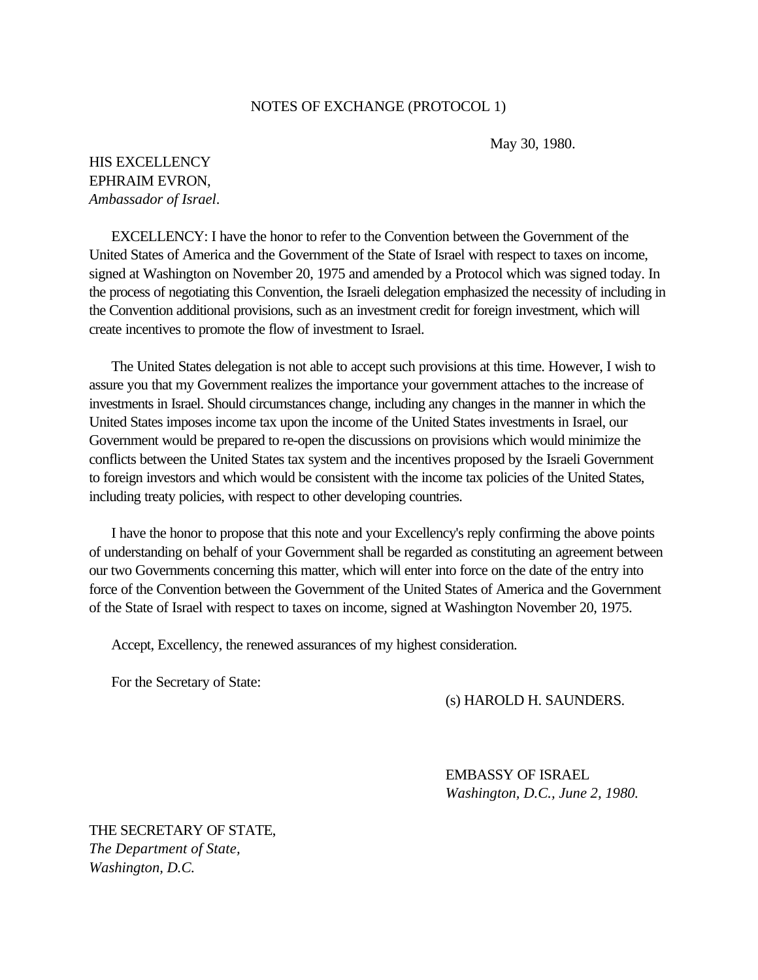#### NOTES OF EXCHANGE (PROTOCOL 1)

May 30, 1980.

# <span id="page-37-0"></span>HIS EXCELLENCY EPHRAIM EVRON, *Ambassador of Israel*.

 EXCELLENCY: I have the honor to refer to the Convention between the Government of the United States of America and the Government of the State of Israel with respect to taxes on income, signed at Washington on November 20, 1975 and amended by a Protocol which was signed today. In the process of negotiating this Convention, the Israeli delegation emphasized the necessity of including in the Convention additional provisions, such as an investment credit for foreign investment, which will create incentives to promote the flow of investment to Israel.

 The United States delegation is not able to accept such provisions at this time. However, I wish to assure you that my Government realizes the importance your government attaches to the increase of investments in Israel. Should circumstances change, including any changes in the manner in which the United States imposes income tax upon the income of the United States investments in Israel, our Government would be prepared to re-open the discussions on provisions which would minimize the conflicts between the United States tax system and the incentives proposed by the Israeli Government to foreign investors and which would be consistent with the income tax policies of the United States, including treaty policies, with respect to other developing countries.

 I have the honor to propose that this note and your Excellency's reply confirming the above points of understanding on behalf of your Government shall be regarded as constituting an agreement between our two Governments concerning this matter, which will enter into force on the date of the entry into force of the Convention between the Government of the United States of America and the Government of the State of Israel with respect to taxes on income, signed at Washington November 20, 1975.

Accept, Excellency, the renewed assurances of my highest consideration.

For the Secretary of State:

(s) HAROLD H. SAUNDERS.

EMBASSY OF ISRAEL *Washington, D.C., June 2, 1980.*

THE SECRETARY OF STATE, *The Department of State, Washington, D.C.*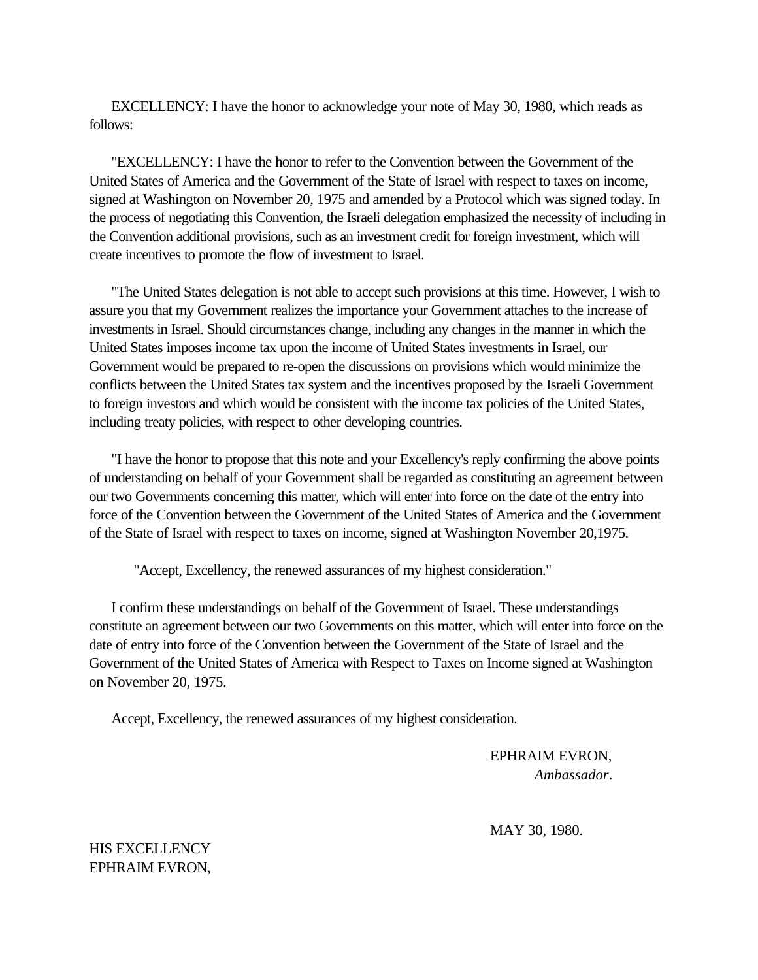EXCELLENCY: I have the honor to acknowledge your note of May 30, 1980, which reads as follows:

 "EXCELLENCY: I have the honor to refer to the Convention between the Government of the United States of America and the Government of the State of Israel with respect to taxes on income, signed at Washington on November 20, 1975 and amended by a Protocol which was signed today. In the process of negotiating this Convention, the Israeli delegation emphasized the necessity of including in the Convention additional provisions, such as an investment credit for foreign investment, which will create incentives to promote the flow of investment to Israel.

 "The United States delegation is not able to accept such provisions at this time. However, I wish to assure you that my Government realizes the importance your Government attaches to the increase of investments in Israel. Should circumstances change, including any changes in the manner in which the United States imposes income tax upon the income of United States investments in Israel, our Government would be prepared to re-open the discussions on provisions which would minimize the conflicts between the United States tax system and the incentives proposed by the Israeli Government to foreign investors and which would be consistent with the income tax policies of the United States, including treaty policies, with respect to other developing countries.

 "I have the honor to propose that this note and your Excellency's reply confirming the above points of understanding on behalf of your Government shall be regarded as constituting an agreement between our two Governments concerning this matter, which will enter into force on the date of the entry into force of the Convention between the Government of the United States of America and the Government of the State of Israel with respect to taxes on income, signed at Washington November 20,1975.

"Accept, Excellency, the renewed assurances of my highest consideration."

 I confirm these understandings on behalf of the Government of Israel. These understandings constitute an agreement between our two Governments on this matter, which will enter into force on the date of entry into force of the Convention between the Government of the State of Israel and the Government of the United States of America with Respect to Taxes on Income signed at Washington on November 20, 1975.

Accept, Excellency, the renewed assurances of my highest consideration.

EPHRAIM EVRON, *Ambassador*.

MAY 30, 1980.

HIS EXCELLENCY EPHRAIM EVRON,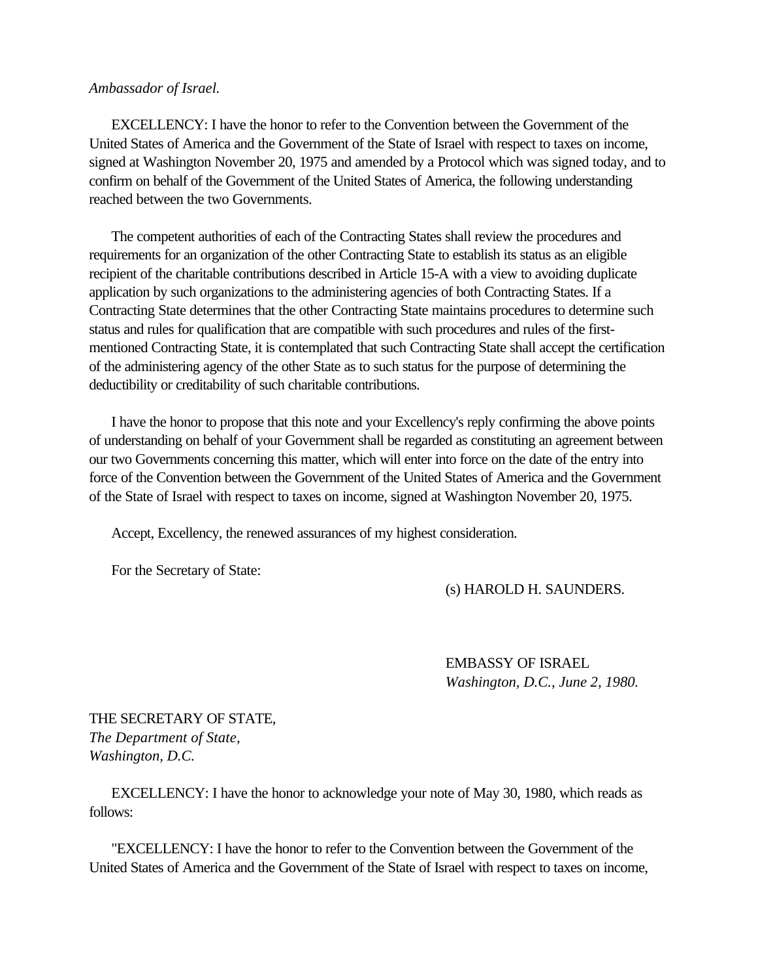### *Ambassador of Israel.*

 EXCELLENCY: I have the honor to refer to the Convention between the Government of the United States of America and the Government of the State of Israel with respect to taxes on income, signed at Washington November 20, 1975 and amended by a Protocol which was signed today, and to confirm on behalf of the Government of the United States of America, the following understanding reached between the two Governments.

 The competent authorities of each of the Contracting States shall review the procedures and requirements for an organization of the other Contracting State to establish its status as an eligible recipient of the charitable contributions described in Article 15-A with a view to avoiding duplicate application by such organizations to the administering agencies of both Contracting States. If a Contracting State determines that the other Contracting State maintains procedures to determine such status and rules for qualification that are compatible with such procedures and rules of the firstmentioned Contracting State, it is contemplated that such Contracting State shall accept the certification of the administering agency of the other State as to such status for the purpose of determining the deductibility or creditability of such charitable contributions.

 I have the honor to propose that this note and your Excellency's reply confirming the above points of understanding on behalf of your Government shall be regarded as constituting an agreement between our two Governments concerning this matter, which will enter into force on the date of the entry into force of the Convention between the Government of the United States of America and the Government of the State of Israel with respect to taxes on income, signed at Washington November 20, 1975.

Accept, Excellency, the renewed assurances of my highest consideration.

For the Secretary of State:

(s) HAROLD H. SAUNDERS.

EMBASSY OF ISRAEL *Washington, D.C., June 2, 1980.*

THE SECRETARY OF STATE, *The Department of State, Washington, D.C.*

 EXCELLENCY: I have the honor to acknowledge your note of May 30, 1980, which reads as follows:

 "EXCELLENCY: I have the honor to refer to the Convention between the Government of the United States of America and the Government of the State of Israel with respect to taxes on income,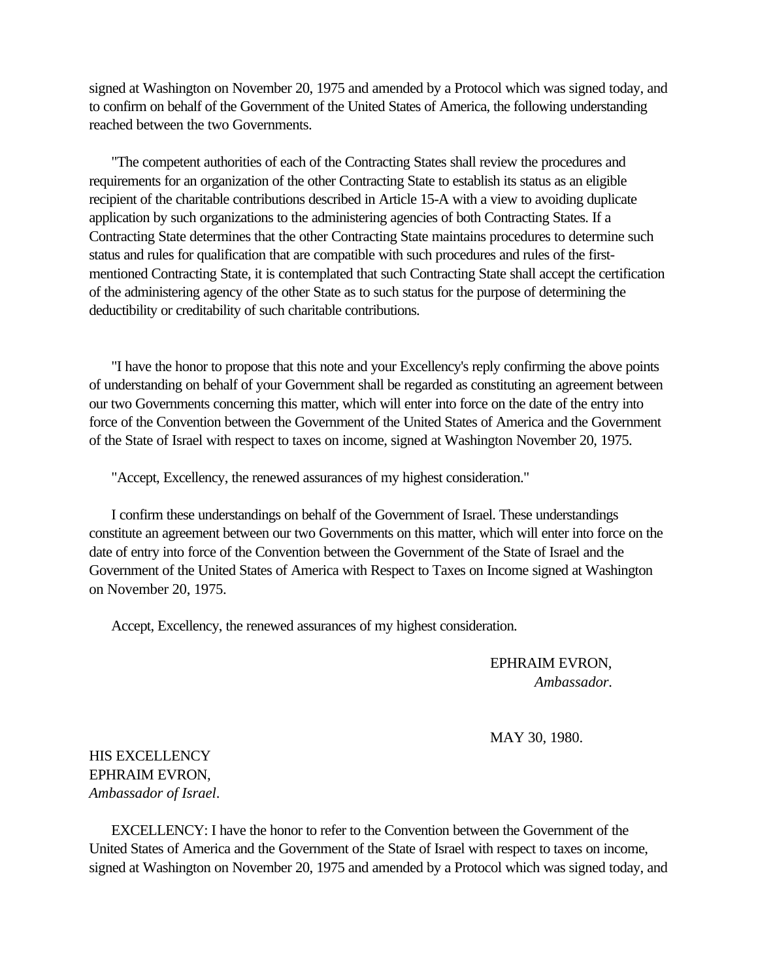signed at Washington on November 20, 1975 and amended by a Protocol which was signed today, and to confirm on behalf of the Government of the United States of America, the following understanding reached between the two Governments.

 "The competent authorities of each of the Contracting States shall review the procedures and requirements for an organization of the other Contracting State to establish its status as an eligible recipient of the charitable contributions described in Article 15-A with a view to avoiding duplicate application by such organizations to the administering agencies of both Contracting States. If a Contracting State determines that the other Contracting State maintains procedures to determine such status and rules for qualification that are compatible with such procedures and rules of the firstmentioned Contracting State, it is contemplated that such Contracting State shall accept the certification of the administering agency of the other State as to such status for the purpose of determining the deductibility or creditability of such charitable contributions.

 "I have the honor to propose that this note and your Excellency's reply confirming the above points of understanding on behalf of your Government shall be regarded as constituting an agreement between our two Governments concerning this matter, which will enter into force on the date of the entry into force of the Convention between the Government of the United States of America and the Government of the State of Israel with respect to taxes on income, signed at Washington November 20, 1975.

"Accept, Excellency, the renewed assurances of my highest consideration."

 I confirm these understandings on behalf of the Government of Israel. These understandings constitute an agreement between our two Governments on this matter, which will enter into force on the date of entry into force of the Convention between the Government of the State of Israel and the Government of the United States of America with Respect to Taxes on Income signed at Washington on November 20, 1975.

Accept, Excellency, the renewed assurances of my highest consideration.

EPHRAIM EVRON, *Ambassador.*

MAY 30, 1980.

HIS EXCELLENCY EPHRAIM EVRON, *Ambassador of Israel*.

 EXCELLENCY: I have the honor to refer to the Convention between the Government of the United States of America and the Government of the State of Israel with respect to taxes on income, signed at Washington on November 20, 1975 and amended by a Protocol which was signed today, and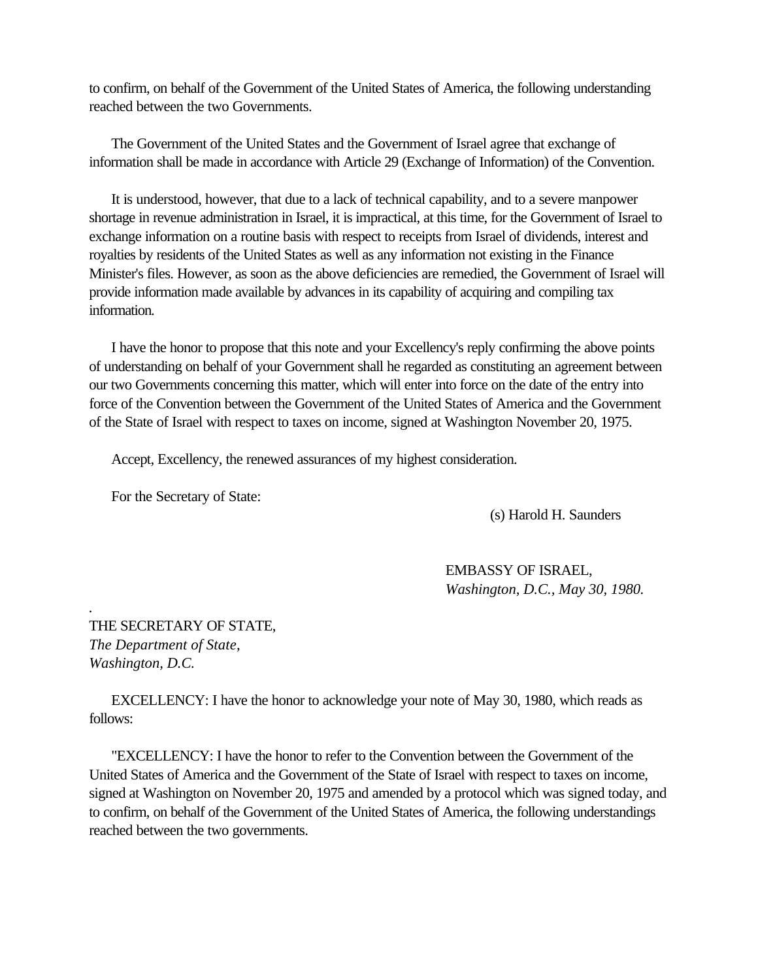to confirm, on behalf of the Government of the United States of America, the following understanding reached between the two Governments.

 The Government of the United States and the Government of Israel agree that exchange of information shall be made in accordance with Article 29 (Exchange of Information) of the Convention.

 It is understood, however, that due to a lack of technical capability, and to a severe manpower shortage in revenue administration in Israel, it is impractical, at this time, for the Government of Israel to exchange information on a routine basis with respect to receipts from Israel of dividends, interest and royalties by residents of the United States as well as any information not existing in the Finance Minister's files. However, as soon as the above deficiencies are remedied, the Government of Israel will provide information made available by advances in its capability of acquiring and compiling tax information.

 I have the honor to propose that this note and your Excellency's reply confirming the above points of understanding on behalf of your Government shall he regarded as constituting an agreement between our two Governments concerning this matter, which will enter into force on the date of the entry into force of the Convention between the Government of the United States of America and the Government of the State of Israel with respect to taxes on income, signed at Washington November 20, 1975.

Accept, Excellency, the renewed assurances of my highest consideration.

For the Secretary of State:

(s) Harold H. Saunders

EMBASSY OF ISRAEL, *Washington, D.C., May 30, 1980.*

THE SECRETARY OF STATE, *The Department of State, Washington, D.C.*

*.*

 EXCELLENCY: I have the honor to acknowledge your note of May 30, 1980, which reads as follows:

 "EXCELLENCY: I have the honor to refer to the Convention between the Government of the United States of America and the Government of the State of Israel with respect to taxes on income, signed at Washington on November 20, 1975 and amended by a protocol which was signed today, and to confirm, on behalf of the Government of the United States of America, the following understandings reached between the two governments.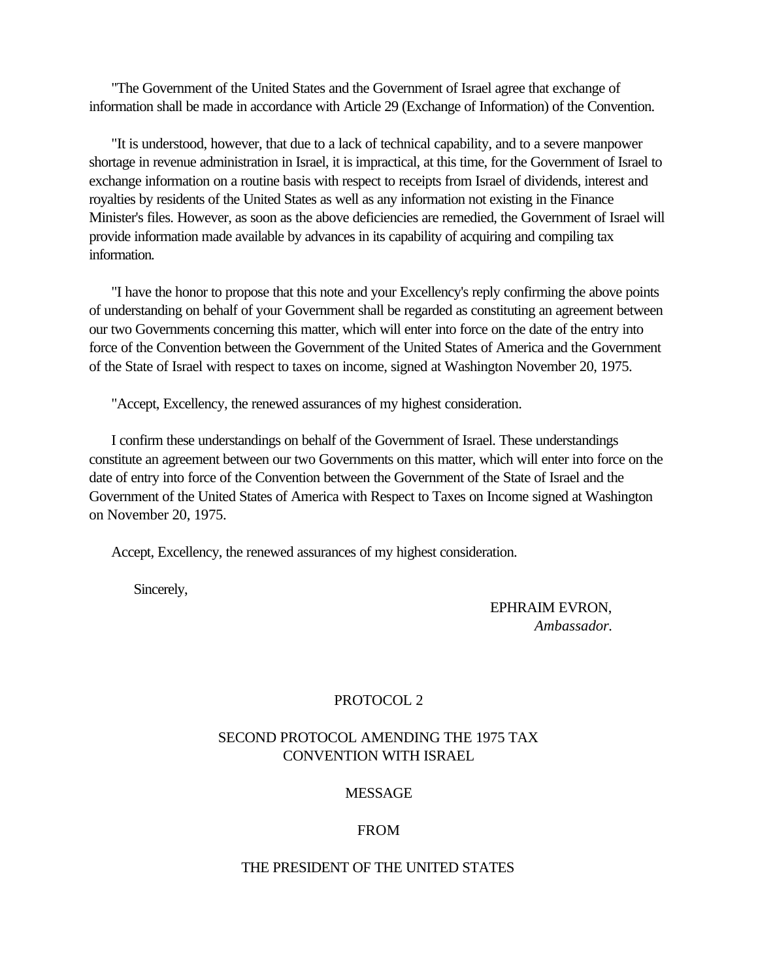"The Government of the United States and the Government of Israel agree that exchange of information shall be made in accordance with Article 29 (Exchange of Information) of the Convention.

 "It is understood, however, that due to a lack of technical capability, and to a severe manpower shortage in revenue administration in Israel, it is impractical, at this time, for the Government of Israel to exchange information on a routine basis with respect to receipts from Israel of dividends, interest and royalties by residents of the United States as well as any information not existing in the Finance Minister's files. However, as soon as the above deficiencies are remedied, the Government of Israel will provide information made available by advances in its capability of acquiring and compiling tax information.

 "I have the honor to propose that this note and your Excellency's reply confirming the above points of understanding on behalf of your Government shall be regarded as constituting an agreement between our two Governments concerning this matter, which will enter into force on the date of the entry into force of the Convention between the Government of the United States of America and the Government of the State of Israel with respect to taxes on income, signed at Washington November 20, 1975.

"Accept, Excellency, the renewed assurances of my highest consideration.

 I confirm these understandings on behalf of the Government of Israel. These understandings constitute an agreement between our two Governments on this matter, which will enter into force on the date of entry into force of the Convention between the Government of the State of Israel and the Government of the United States of America with Respect to Taxes on Income signed at Washington on November 20, 1975.

Accept, Excellency, the renewed assurances of my highest consideration.

Sincerely,

EPHRAIM EVRON, *Ambassador.*

# PROTOCOL 2

# SECOND PROTOCOL AMENDING THE 1975 TAX CONVENTION WITH ISRAEL

# MESSAGE

### FROM

### THE PRESIDENT OF THE UNITED STATES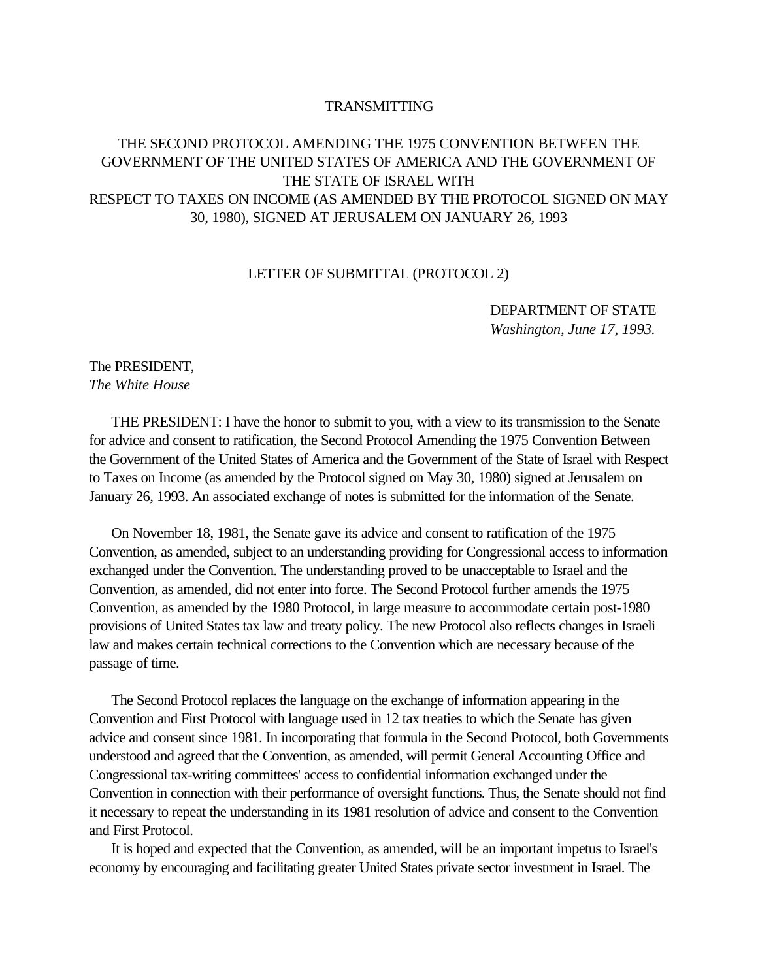### TRANSMITTING

# THE SECOND PROTOCOL AMENDING THE 1975 CONVENTION BETWEEN THE GOVERNMENT OF THE UNITED STATES OF AMERICA AND THE GOVERNMENT OF THE STATE OF ISRAEL WITH RESPECT TO TAXES ON INCOME (AS AMENDED BY THE PROTOCOL SIGNED ON MAY 30, 1980), SIGNED AT JERUSALEM ON JANUARY 26, 1993

### LETTER OF SUBMITTAL (PROTOCOL 2)

DEPARTMENT OF STATE *Washington, June 17, 1993.*

# <span id="page-43-0"></span>The PRESIDENT, *The White House*

 THE PRESIDENT: I have the honor to submit to you, with a view to its transmission to the Senate for advice and consent to ratification, the Second Protocol Amending the 1975 Convention Between the Government of the United States of America and the Government of the State of Israel with Respect to Taxes on Income (as amended by the Protocol signed on May 30, 1980) signed at Jerusalem on January 26, 1993. An associated exchange of notes is submitted for the information of the Senate.

 On November 18, 1981, the Senate gave its advice and consent to ratification of the 1975 Convention, as amended, subject to an understanding providing for Congressional access to information exchanged under the Convention. The understanding proved to be unacceptable to Israel and the Convention, as amended, did not enter into force. The Second Protocol further amends the 1975 Convention, as amended by the 1980 Protocol, in large measure to accommodate certain post-1980 provisions of United States tax law and treaty policy. The new Protocol also reflects changes in Israeli law and makes certain technical corrections to the Convention which are necessary because of the passage of time.

 The Second Protocol replaces the language on the exchange of information appearing in the Convention and First Protocol with language used in 12 tax treaties to which the Senate has given advice and consent since 1981. In incorporating that formula in the Second Protocol, both Governments understood and agreed that the Convention, as amended, will permit General Accounting Office and Congressional tax-writing committees' access to confidential information exchanged under the Convention in connection with their performance of oversight functions. Thus, the Senate should not find it necessary to repeat the understanding in its 1981 resolution of advice and consent to the Convention and First Protocol.

 It is hoped and expected that the Convention, as amended, will be an important impetus to Israel's economy by encouraging and facilitating greater United States private sector investment in Israel. The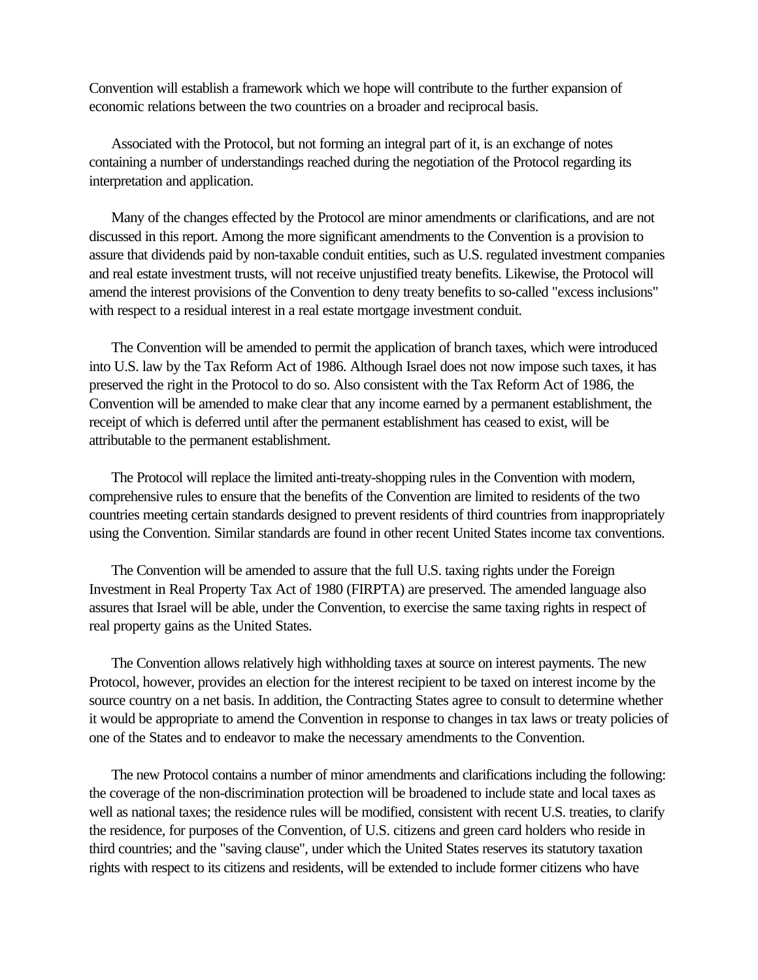Convention will establish a framework which we hope will contribute to the further expansion of economic relations between the two countries on a broader and reciprocal basis.

 Associated with the Protocol, but not forming an integral part of it, is an exchange of notes containing a number of understandings reached during the negotiation of the Protocol regarding its interpretation and application.

 Many of the changes effected by the Protocol are minor amendments or clarifications, and are not discussed in this report. Among the more significant amendments to the Convention is a provision to assure that dividends paid by non-taxable conduit entities, such as U.S. regulated investment companies and real estate investment trusts, will not receive unjustified treaty benefits. Likewise, the Protocol will amend the interest provisions of the Convention to deny treaty benefits to so-called "excess inclusions" with respect to a residual interest in a real estate mortgage investment conduit.

 The Convention will be amended to permit the application of branch taxes, which were introduced into U.S. law by the Tax Reform Act of 1986. Although Israel does not now impose such taxes, it has preserved the right in the Protocol to do so. Also consistent with the Tax Reform Act of 1986, the Convention will be amended to make clear that any income earned by a permanent establishment, the receipt of which is deferred until after the permanent establishment has ceased to exist, will be attributable to the permanent establishment.

 The Protocol will replace the limited anti-treaty-shopping rules in the Convention with modern, comprehensive rules to ensure that the benefits of the Convention are limited to residents of the two countries meeting certain standards designed to prevent residents of third countries from inappropriately using the Convention. Similar standards are found in other recent United States income tax conventions.

 The Convention will be amended to assure that the full U.S. taxing rights under the Foreign Investment in Real Property Tax Act of 1980 (FIRPTA) are preserved. The amended language also assures that Israel will be able, under the Convention, to exercise the same taxing rights in respect of real property gains as the United States.

 The Convention allows relatively high withholding taxes at source on interest payments. The new Protocol, however, provides an election for the interest recipient to be taxed on interest income by the source country on a net basis. In addition, the Contracting States agree to consult to determine whether it would be appropriate to amend the Convention in response to changes in tax laws or treaty policies of one of the States and to endeavor to make the necessary amendments to the Convention.

 The new Protocol contains a number of minor amendments and clarifications including the following: the coverage of the non-discrimination protection will be broadened to include state and local taxes as well as national taxes; the residence rules will be modified, consistent with recent U.S. treaties, to clarify the residence, for purposes of the Convention, of U.S. citizens and green card holders who reside in third countries; and the "saving clause", under which the United States reserves its statutory taxation rights with respect to its citizens and residents, will be extended to include former citizens who have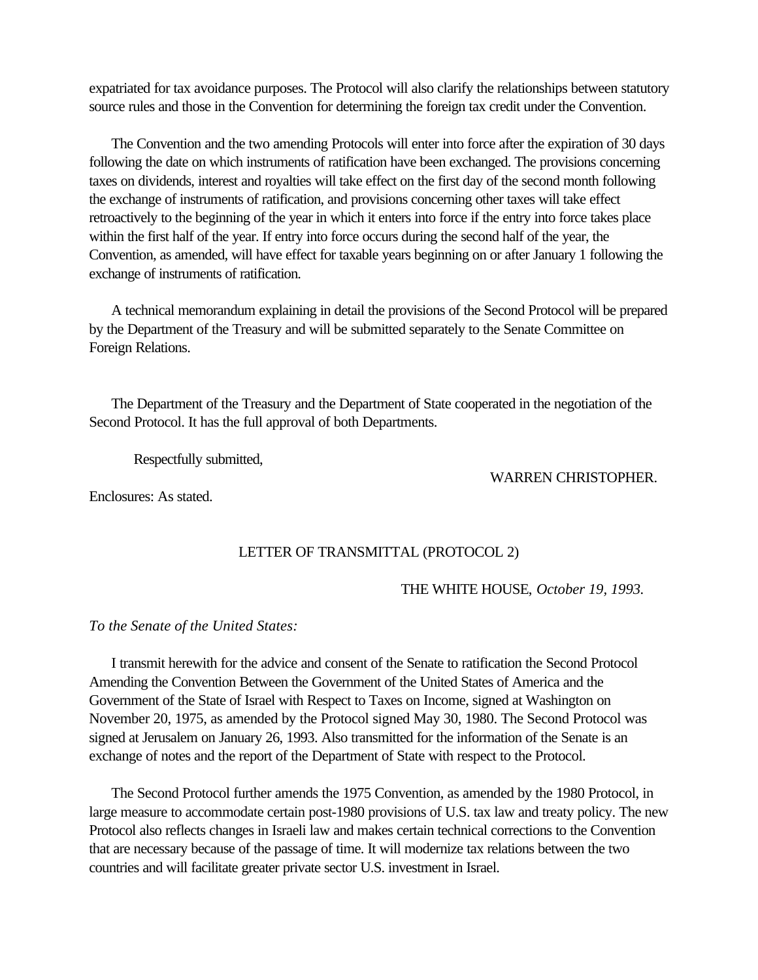expatriated for tax avoidance purposes. The Protocol will also clarify the relationships between statutory source rules and those in the Convention for determining the foreign tax credit under the Convention.

 The Convention and the two amending Protocols will enter into force after the expiration of 30 days following the date on which instruments of ratification have been exchanged. The provisions concerning taxes on dividends, interest and royalties will take effect on the first day of the second month following the exchange of instruments of ratification, and provisions concerning other taxes will take effect retroactively to the beginning of the year in which it enters into force if the entry into force takes place within the first half of the year. If entry into force occurs during the second half of the year, the Convention, as amended, will have effect for taxable years beginning on or after January 1 following the exchange of instruments of ratification.

 A technical memorandum explaining in detail the provisions of the Second Protocol will be prepared by the Department of the Treasury and will be submitted separately to the Senate Committee on Foreign Relations.

<span id="page-45-0"></span> The Department of the Treasury and the Department of State cooperated in the negotiation of the Second Protocol. It has the full approval of both Departments.

Respectfully submitted,

WARREN CHRISTOPHER.

Enclosures: As stated.

# LETTER OF TRANSMITTAL (PROTOCOL 2)

### THE WHITE HOUSE, *October 19, 1993.*

*To the Senate of the United States:*

 I transmit herewith for the advice and consent of the Senate to ratification the Second Protocol Amending the Convention Between the Government of the United States of America and the Government of the State of Israel with Respect to Taxes on Income, signed at Washington on November 20, 1975, as amended by the Protocol signed May 30, 1980. The Second Protocol was signed at Jerusalem on January 26, 1993. Also transmitted for the information of the Senate is an exchange of notes and the report of the Department of State with respect to the Protocol.

 The Second Protocol further amends the 1975 Convention, as amended by the 1980 Protocol, in large measure to accommodate certain post-1980 provisions of U.S. tax law and treaty policy. The new Protocol also reflects changes in Israeli law and makes certain technical corrections to the Convention that are necessary because of the passage of time. It will modernize tax relations between the two countries and will facilitate greater private sector U.S. investment in Israel.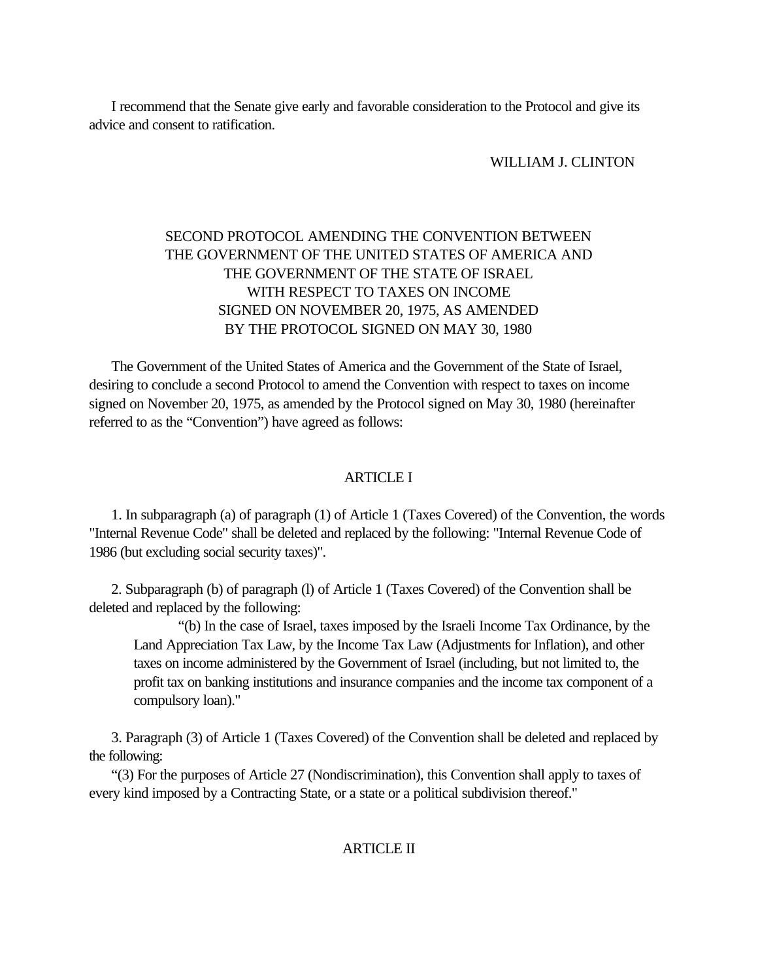<span id="page-46-0"></span> I recommend that the Senate give early and favorable consideration to the Protocol and give its advice and consent to ratification.

WILLIAM J. CLINTON

# SECOND PROTOCOL AMENDING THE CONVENTION BETWEEN THE GOVERNMENT OF THE UNITED STATES OF AMERICA AND THE GOVERNMENT OF THE STATE OF ISRAEL WITH RESPECT TO TAXES ON INCOME SIGNED ON NOVEMBER 20, 1975, AS AMENDED BY THE PROTOCOL SIGNED ON MAY 30, 1980

 The Government of the United States of America and the Government of the State of Israel, desiring to conclude a second Protocol to amend the Convention with respect to taxes on income signed on November 20, 1975, as amended by the Protocol signed on May 30, 1980 (hereinafter referred to as the "Convention") have agreed as follows:

### ARTICLE I

 1. In subparagraph (a) of paragraph (1) of Article 1 (Taxes Covered) of the Convention, the words "Internal Revenue Code" shall be deleted and replaced by the following: "Internal Revenue Code of 1986 (but excluding social security taxes)".

 2. Subparagraph (b) of paragraph (l) of Article 1 (Taxes Covered) of the Convention shall be deleted and replaced by the following:

"(b) In the case of Israel, taxes imposed by the Israeli Income Tax Ordinance, by the Land Appreciation Tax Law, by the Income Tax Law (Adjustments for Inflation), and other taxes on income administered by the Government of Israel (including, but not limited to, the profit tax on banking institutions and insurance companies and the income tax component of a compulsory loan)."

 3. Paragraph (3) of Article 1 (Taxes Covered) of the Convention shall be deleted and replaced by the following:

 "(3) For the purposes of Article 27 (Nondiscrimination), this Convention shall apply to taxes of every kind imposed by a Contracting State, or a state or a political subdivision thereof."

#### ARTICLE II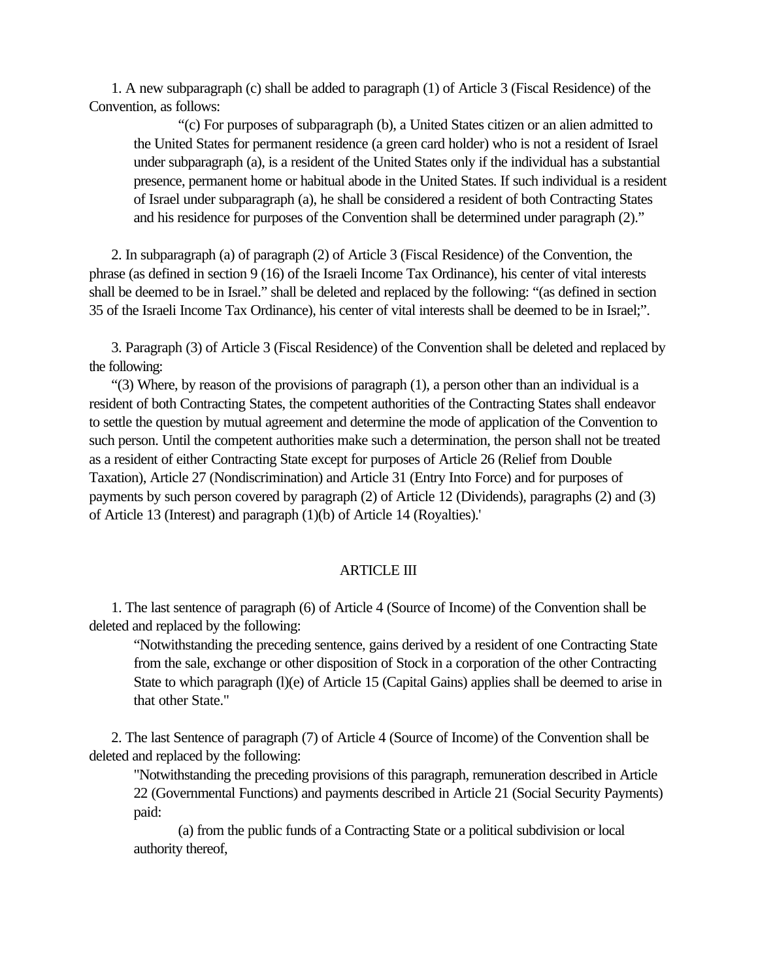1. A new subparagraph (c) shall be added to paragraph (1) of Article 3 (Fiscal Residence) of the Convention, as follows:

"(c) For purposes of subparagraph (b), a United States citizen or an alien admitted to the United States for permanent residence (a green card holder) who is not a resident of Israel under subparagraph (a), is a resident of the United States only if the individual has a substantial presence, permanent home or habitual abode in the United States. If such individual is a resident of Israel under subparagraph (a), he shall be considered a resident of both Contracting States and his residence for purposes of the Convention shall be determined under paragraph (2)."

 2. In subparagraph (a) of paragraph (2) of Article 3 (Fiscal Residence) of the Convention, the phrase (as defined in section 9 (16) of the Israeli Income Tax Ordinance), his center of vital interests shall be deemed to be in Israel." shall be deleted and replaced by the following: "(as defined in section 35 of the Israeli Income Tax Ordinance), his center of vital interests shall be deemed to be in Israel;".

 3. Paragraph (3) of Article 3 (Fiscal Residence) of the Convention shall be deleted and replaced by the following:

 "(3) Where, by reason of the provisions of paragraph (1), a person other than an individual is a resident of both Contracting States, the competent authorities of the Contracting States shall endeavor to settle the question by mutual agreement and determine the mode of application of the Convention to such person. Until the competent authorities make such a determination, the person shall not be treated as a resident of either Contracting State except for purposes of Article 26 (Relief from Double Taxation), Article 27 (Nondiscrimination) and Article 31 (Entry Into Force) and for purposes of payments by such person covered by paragraph (2) of Article 12 (Dividends), paragraphs (2) and (3) of Article 13 (Interest) and paragraph (1)(b) of Article 14 (Royalties).'

### ARTICLE III

 1. The last sentence of paragraph (6) of Article 4 (Source of Income) of the Convention shall be deleted and replaced by the following:

"Notwithstanding the preceding sentence, gains derived by a resident of one Contracting State from the sale, exchange or other disposition of Stock in a corporation of the other Contracting State to which paragraph (l)(e) of Article 15 (Capital Gains) applies shall be deemed to arise in that other State."

 2. The last Sentence of paragraph (7) of Article 4 (Source of Income) of the Convention shall be deleted and replaced by the following:

"Notwithstanding the preceding provisions of this paragraph, remuneration described in Article 22 (Governmental Functions) and payments described in Article 21 (Social Security Payments) paid:

(a) from the public funds of a Contracting State or a political subdivision or local authority thereof,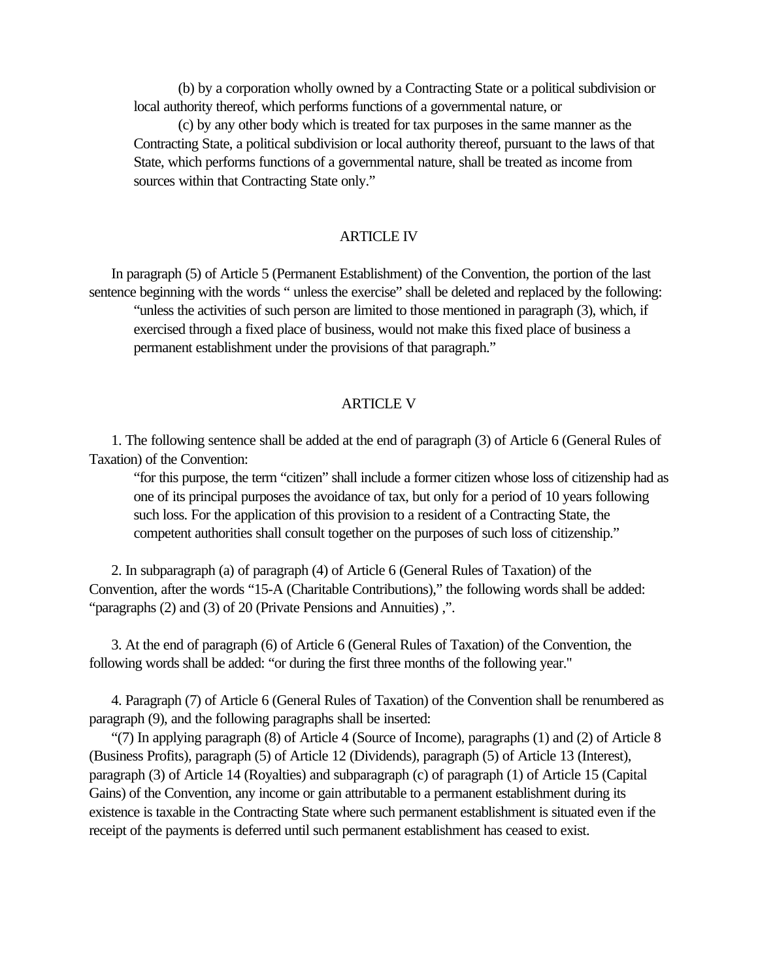(b) by a corporation wholly owned by a Contracting State or a political subdivision or local authority thereof, which performs functions of a governmental nature, or

(c) by any other body which is treated for tax purposes in the same manner as the Contracting State, a political subdivision or local authority thereof, pursuant to the laws of that State, which performs functions of a governmental nature, shall be treated as income from sources within that Contracting State only."

#### ARTICLE IV

 In paragraph (5) of Article 5 (Permanent Establishment) of the Convention, the portion of the last sentence beginning with the words " unless the exercise" shall be deleted and replaced by the following: "unless the activities of such person are limited to those mentioned in paragraph (3), which, if exercised through a fixed place of business, would not make this fixed place of business a permanent establishment under the provisions of that paragraph."

#### ARTICLE V

 1. The following sentence shall be added at the end of paragraph (3) of Article 6 (General Rules of Taxation) of the Convention:

"for this purpose, the term "citizen" shall include a former citizen whose loss of citizenship had as one of its principal purposes the avoidance of tax, but only for a period of 10 years following such loss. For the application of this provision to a resident of a Contracting State, the competent authorities shall consult together on the purposes of such loss of citizenship."

 2. In subparagraph (a) of paragraph (4) of Article 6 (General Rules of Taxation) of the Convention, after the words "15-A (Charitable Contributions)," the following words shall be added: "paragraphs (2) and (3) of 20 (Private Pensions and Annuities) ,".

 3. At the end of paragraph (6) of Article 6 (General Rules of Taxation) of the Convention, the following words shall be added: "or during the first three months of the following year."

 4. Paragraph (7) of Article 6 (General Rules of Taxation) of the Convention shall be renumbered as paragraph (9), and the following paragraphs shall be inserted:

 "(7) In applying paragraph (8) of Article 4 (Source of Income), paragraphs (1) and (2) of Article 8 (Business Profits), paragraph (5) of Article 12 (Dividends), paragraph (5) of Article 13 (Interest), paragraph (3) of Article 14 (Royalties) and subparagraph (c) of paragraph (1) of Article 15 (Capital Gains) of the Convention, any income or gain attributable to a permanent establishment during its existence is taxable in the Contracting State where such permanent establishment is situated even if the receipt of the payments is deferred until such permanent establishment has ceased to exist.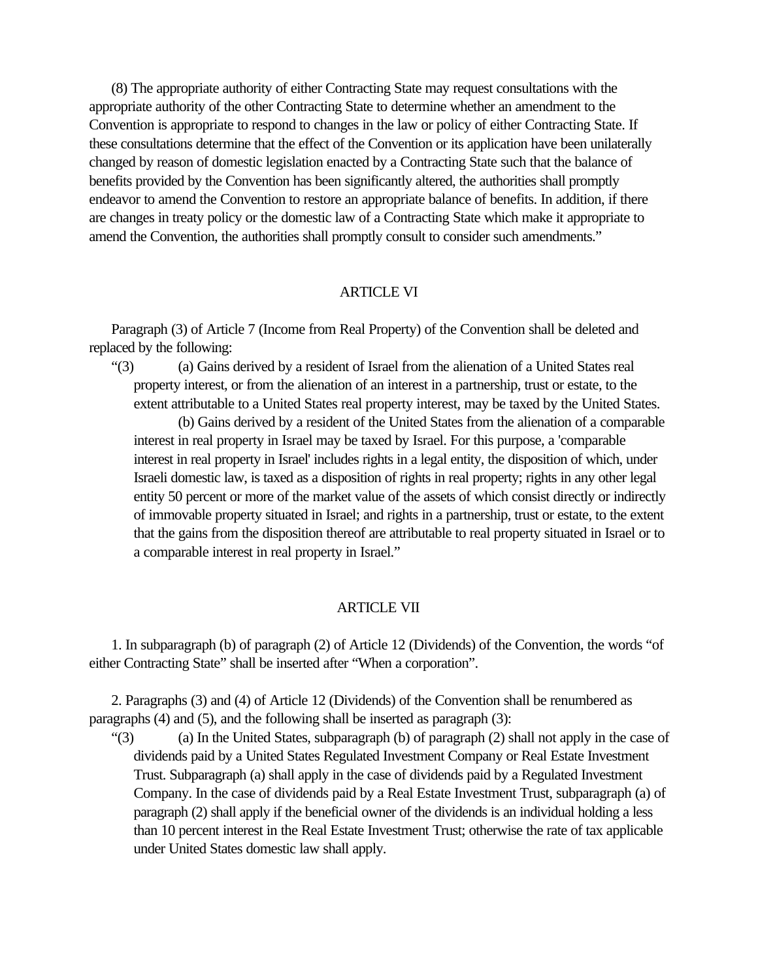(8) The appropriate authority of either Contracting State may request consultations with the appropriate authority of the other Contracting State to determine whether an amendment to the Convention is appropriate to respond to changes in the law or policy of either Contracting State. If these consultations determine that the effect of the Convention or its application have been unilaterally changed by reason of domestic legislation enacted by a Contracting State such that the balance of benefits provided by the Convention has been significantly altered, the authorities shall promptly endeavor to amend the Convention to restore an appropriate balance of benefits. In addition, if there are changes in treaty policy or the domestic law of a Contracting State which make it appropriate to amend the Convention, the authorities shall promptly consult to consider such amendments."

### ARTICLE VI

 Paragraph (3) of Article 7 (Income from Real Property) of the Convention shall be deleted and replaced by the following:

 "(3) (a) Gains derived by a resident of Israel from the alienation of a United States real property interest, or from the alienation of an interest in a partnership, trust or estate, to the extent attributable to a United States real property interest, may be taxed by the United States.

(b) Gains derived by a resident of the United States from the alienation of a comparable interest in real property in Israel may be taxed by Israel. For this purpose, a 'comparable interest in real property in Israel' includes rights in a legal entity, the disposition of which, under Israeli domestic law, is taxed as a disposition of rights in real property; rights in any other legal entity 50 percent or more of the market value of the assets of which consist directly or indirectly of immovable property situated in Israel; and rights in a partnership, trust or estate, to the extent that the gains from the disposition thereof are attributable to real property situated in Israel or to a comparable interest in real property in Israel."

### ARTICLE VII

 1. In subparagraph (b) of paragraph (2) of Article 12 (Dividends) of the Convention, the words "of either Contracting State" shall be inserted after "When a corporation".

 2. Paragraphs (3) and (4) of Article 12 (Dividends) of the Convention shall be renumbered as paragraphs (4) and (5), and the following shall be inserted as paragraph (3):

 "(3) (a) In the United States, subparagraph (b) of paragraph (2) shall not apply in the case of dividends paid by a United States Regulated Investment Company or Real Estate Investment Trust. Subparagraph (a) shall apply in the case of dividends paid by a Regulated Investment Company. In the case of dividends paid by a Real Estate Investment Trust, subparagraph (a) of paragraph (2) shall apply if the beneficial owner of the dividends is an individual holding a less than 10 percent interest in the Real Estate Investment Trust; otherwise the rate of tax applicable under United States domestic law shall apply.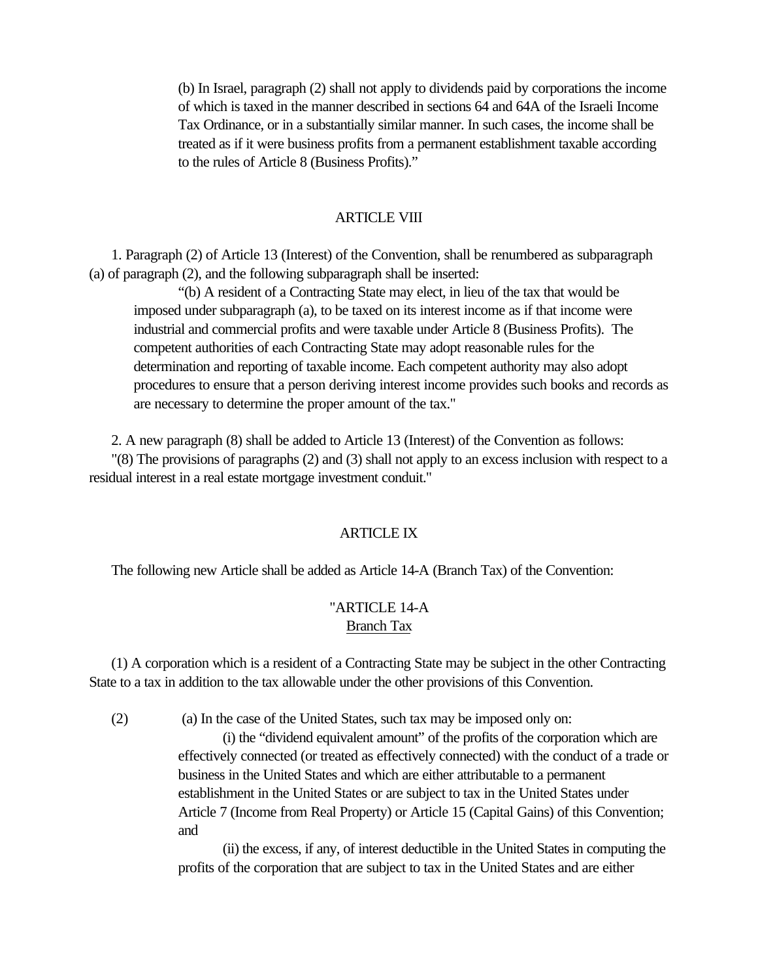(b) In Israel, paragraph (2) shall not apply to dividends paid by corporations the income of which is taxed in the manner described in sections 64 and 64A of the Israeli Income Tax Ordinance, or in a substantially similar manner. In such cases, the income shall be treated as if it were business profits from a permanent establishment taxable according to the rules of Article 8 (Business Profits)."

### ARTICLE VIII

 1. Paragraph (2) of Article 13 (Interest) of the Convention, shall be renumbered as subparagraph (a) of paragraph (2), and the following subparagraph shall be inserted:

"(b) A resident of a Contracting State may elect, in lieu of the tax that would be imposed under subparagraph (a), to be taxed on its interest income as if that income were industrial and commercial profits and were taxable under Article 8 (Business Profits). The competent authorities of each Contracting State may adopt reasonable rules for the determination and reporting of taxable income. Each competent authority may also adopt procedures to ensure that a person deriving interest income provides such books and records as are necessary to determine the proper amount of the tax."

2. A new paragraph (8) shall be added to Article 13 (Interest) of the Convention as follows:

 "(8) The provisions of paragraphs (2) and (3) shall not apply to an excess inclusion with respect to a residual interest in a real estate mortgage investment conduit."

### ARTICLE IX

The following new Article shall be added as Article 14-A (Branch Tax) of the Convention:

### "ARTICLE 14-A Branch Tax

 (1) A corporation which is a resident of a Contracting State may be subject in the other Contracting State to a tax in addition to the tax allowable under the other provisions of this Convention.

(2) (a) In the case of the United States, such tax may be imposed only on:

(i) the "dividend equivalent amount" of the profits of the corporation which are effectively connected (or treated as effectively connected) with the conduct of a trade or business in the United States and which are either attributable to a permanent establishment in the United States or are subject to tax in the United States under Article 7 (Income from Real Property) or Article 15 (Capital Gains) of this Convention; and

(ii) the excess, if any, of interest deductible in the United States in computing the profits of the corporation that are subject to tax in the United States and are either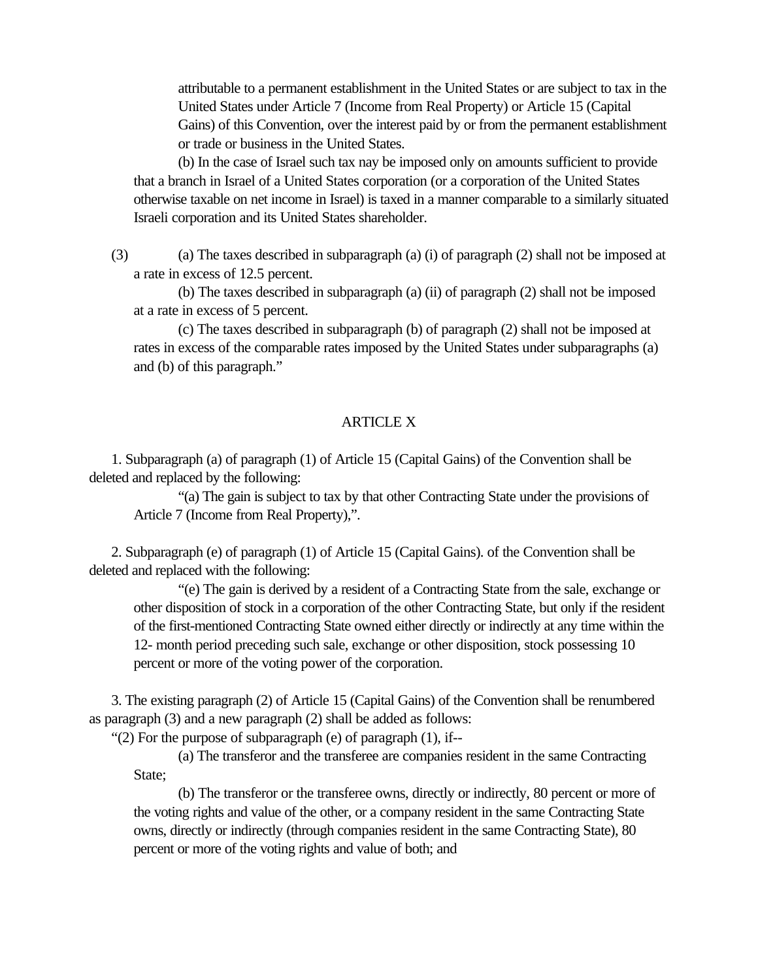attributable to a permanent establishment in the United States or are subject to tax in the United States under Article 7 (Income from Real Property) or Article 15 (Capital Gains) of this Convention, over the interest paid by or from the permanent establishment or trade or business in the United States.

(b) In the case of Israel such tax nay be imposed only on amounts sufficient to provide that a branch in Israel of a United States corporation (or a corporation of the United States otherwise taxable on net income in Israel) is taxed in a manner comparable to a similarly situated Israeli corporation and its United States shareholder.

 (3) (a) The taxes described in subparagraph (a) (i) of paragraph (2) shall not be imposed at a rate in excess of 12.5 percent.

(b) The taxes described in subparagraph (a) (ii) of paragraph (2) shall not be imposed at a rate in excess of 5 percent.

(c) The taxes described in subparagraph (b) of paragraph (2) shall not be imposed at rates in excess of the comparable rates imposed by the United States under subparagraphs (a) and (b) of this paragraph."

# ARTICLE X

 1. Subparagraph (a) of paragraph (1) of Article 15 (Capital Gains) of the Convention shall be deleted and replaced by the following:

"(a) The gain is subject to tax by that other Contracting State under the provisions of Article 7 (Income from Real Property),".

 2. Subparagraph (e) of paragraph (1) of Article 15 (Capital Gains). of the Convention shall be deleted and replaced with the following:

"(e) The gain is derived by a resident of a Contracting State from the sale, exchange or other disposition of stock in a corporation of the other Contracting State, but only if the resident of the first-mentioned Contracting State owned either directly or indirectly at any time within the 12- month period preceding such sale, exchange or other disposition, stock possessing 10 percent or more of the voting power of the corporation.

 3. The existing paragraph (2) of Article 15 (Capital Gains) of the Convention shall be renumbered as paragraph (3) and a new paragraph (2) shall be added as follows:

"(2) For the purpose of subparagraph (e) of paragraph  $(1)$ , if--

(a) The transferor and the transferee are companies resident in the same Contracting State:

(b) The transferor or the transferee owns, directly or indirectly, 80 percent or more of the voting rights and value of the other, or a company resident in the same Contracting State owns, directly or indirectly (through companies resident in the same Contracting State), 80 percent or more of the voting rights and value of both; and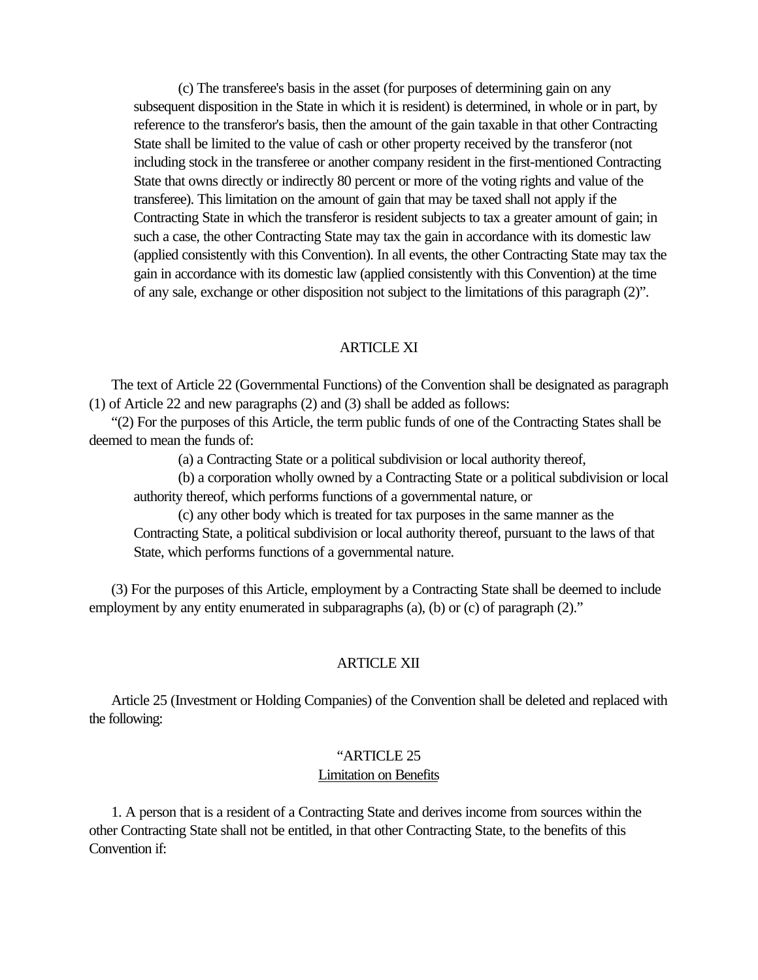(c) The transferee's basis in the asset (for purposes of determining gain on any subsequent disposition in the State in which it is resident) is determined, in whole or in part, by reference to the transferor's basis, then the amount of the gain taxable in that other Contracting State shall be limited to the value of cash or other property received by the transferor (not including stock in the transferee or another company resident in the first-mentioned Contracting State that owns directly or indirectly 80 percent or more of the voting rights and value of the transferee). This limitation on the amount of gain that may be taxed shall not apply if the Contracting State in which the transferor is resident subjects to tax a greater amount of gain; in such a case, the other Contracting State may tax the gain in accordance with its domestic law (applied consistently with this Convention). In all events, the other Contracting State may tax the gain in accordance with its domestic law (applied consistently with this Convention) at the time of any sale, exchange or other disposition not subject to the limitations of this paragraph (2)".

### ARTICLE XI

 The text of Article 22 (Governmental Functions) of the Convention shall be designated as paragraph (1) of Article 22 and new paragraphs (2) and (3) shall be added as follows:

 "(2) For the purposes of this Article, the term public funds of one of the Contracting States shall be deemed to mean the funds of:

(a) a Contracting State or a political subdivision or local authority thereof,

(b) a corporation wholly owned by a Contracting State or a political subdivision or local authority thereof, which performs functions of a governmental nature, or

(c) any other body which is treated for tax purposes in the same manner as the Contracting State, a political subdivision or local authority thereof, pursuant to the laws of that State, which performs functions of a governmental nature.

 (3) For the purposes of this Article, employment by a Contracting State shall be deemed to include employment by any entity enumerated in subparagraphs (a), (b) or (c) of paragraph (2)."

#### ARTICLE XII

 Article 25 (Investment or Holding Companies) of the Convention shall be deleted and replaced with the following:

# "ARTICLE 25 Limitation on Benefits

 1. A person that is a resident of a Contracting State and derives income from sources within the other Contracting State shall not be entitled, in that other Contracting State, to the benefits of this Convention if: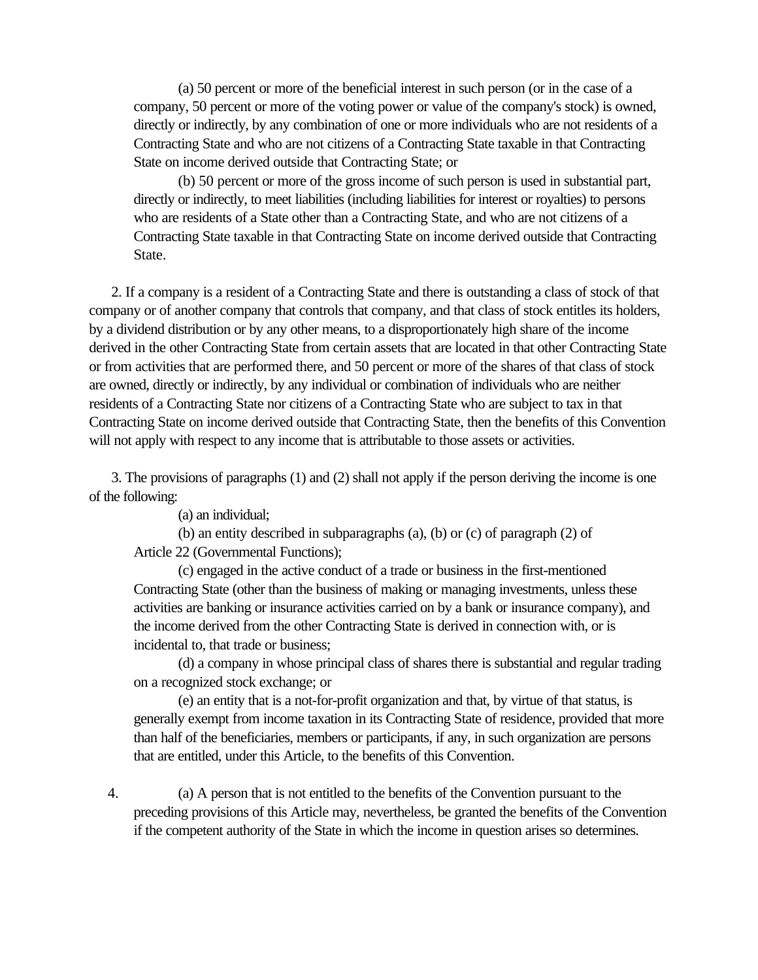(a) 50 percent or more of the beneficial interest in such person (or in the case of a company, 50 percent or more of the voting power or value of the company's stock) is owned, directly or indirectly, by any combination of one or more individuals who are not residents of a Contracting State and who are not citizens of a Contracting State taxable in that Contracting State on income derived outside that Contracting State; or

(b) 50 percent or more of the gross income of such person is used in substantial part, directly or indirectly, to meet liabilities (including liabilities for interest or royalties) to persons who are residents of a State other than a Contracting State, and who are not citizens of a Contracting State taxable in that Contracting State on income derived outside that Contracting State.

 2. If a company is a resident of a Contracting State and there is outstanding a class of stock of that company or of another company that controls that company, and that class of stock entitles its holders, by a dividend distribution or by any other means, to a disproportionately high share of the income derived in the other Contracting State from certain assets that are located in that other Contracting State or from activities that are performed there, and 50 percent or more of the shares of that class of stock are owned, directly or indirectly, by any individual or combination of individuals who are neither residents of a Contracting State nor citizens of a Contracting State who are subject to tax in that Contracting State on income derived outside that Contracting State, then the benefits of this Convention will not apply with respect to any income that is attributable to those assets or activities.

 3. The provisions of paragraphs (1) and (2) shall not apply if the person deriving the income is one of the following:

(a) an individual;

(b) an entity described in subparagraphs (a), (b) or (c) of paragraph (2) of Article 22 (Governmental Functions);

(c) engaged in the active conduct of a trade or business in the first-mentioned Contracting State (other than the business of making or managing investments, unless these activities are banking or insurance activities carried on by a bank or insurance company), and the income derived from the other Contracting State is derived in connection with, or is incidental to, that trade or business;

(d) a company in whose principal class of shares there is substantial and regular trading on a recognized stock exchange; or

(e) an entity that is a not-for-profit organization and that, by virtue of that status, is generally exempt from income taxation in its Contracting State of residence, provided that more than half of the beneficiaries, members or participants, if any, in such organization are persons that are entitled, under this Article, to the benefits of this Convention.

 4. (a) A person that is not entitled to the benefits of the Convention pursuant to the preceding provisions of this Article may, nevertheless, be granted the benefits of the Convention if the competent authority of the State in which the income in question arises so determines.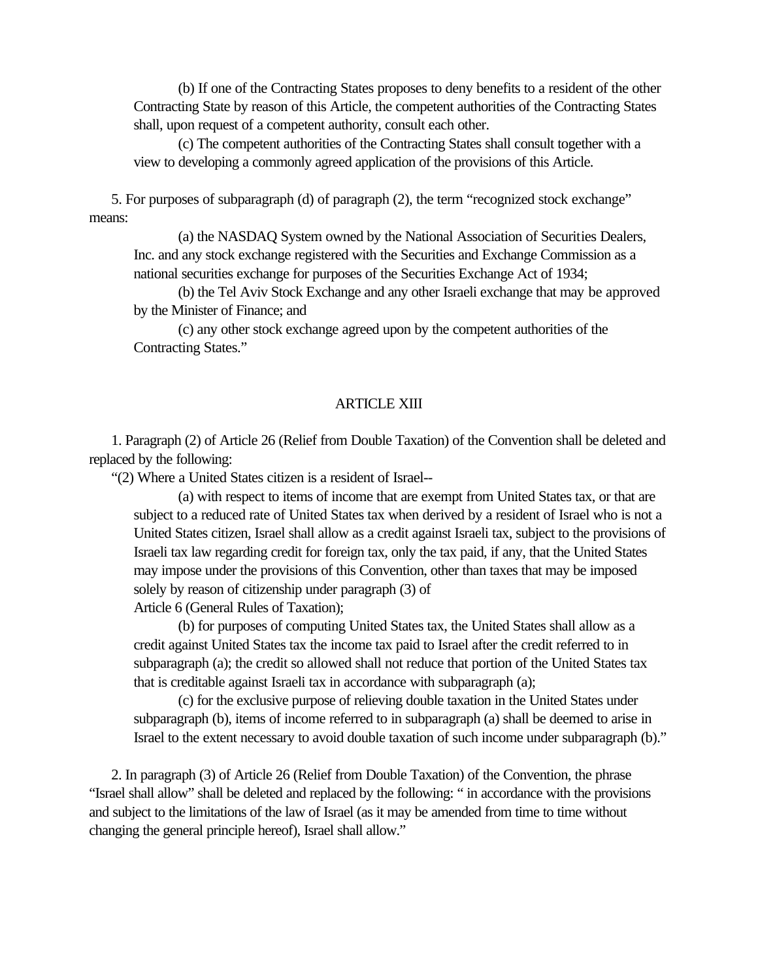(b) If one of the Contracting States proposes to deny benefits to a resident of the other Contracting State by reason of this Article, the competent authorities of the Contracting States shall, upon request of a competent authority, consult each other.

(c) The competent authorities of the Contracting States shall consult together with a view to developing a commonly agreed application of the provisions of this Article.

 5. For purposes of subparagraph (d) of paragraph (2), the term "recognized stock exchange" means:

(a) the NASDAQ System owned by the National Association of Securities Dealers, Inc. and any stock exchange registered with the Securities and Exchange Commission as a national securities exchange for purposes of the Securities Exchange Act of 1934;

(b) the Tel Aviv Stock Exchange and any other Israeli exchange that may be approved by the Minister of Finance; and

(c) any other stock exchange agreed upon by the competent authorities of the Contracting States."

### ARTICLE XIII

 1. Paragraph (2) of Article 26 (Relief from Double Taxation) of the Convention shall be deleted and replaced by the following:

"(2) Where a United States citizen is a resident of Israel--

(a) with respect to items of income that are exempt from United States tax, or that are subject to a reduced rate of United States tax when derived by a resident of Israel who is not a United States citizen, Israel shall allow as a credit against Israeli tax, subject to the provisions of Israeli tax law regarding credit for foreign tax, only the tax paid, if any, that the United States may impose under the provisions of this Convention, other than taxes that may be imposed solely by reason of citizenship under paragraph (3) of Article 6 (General Rules of Taxation);

(b) for purposes of computing United States tax, the United States shall allow as a credit against United States tax the income tax paid to Israel after the credit referred to in subparagraph (a); the credit so allowed shall not reduce that portion of the United States tax that is creditable against Israeli tax in accordance with subparagraph (a);

(c) for the exclusive purpose of relieving double taxation in the United States under subparagraph (b), items of income referred to in subparagraph (a) shall be deemed to arise in Israel to the extent necessary to avoid double taxation of such income under subparagraph (b)."

 2. In paragraph (3) of Article 26 (Relief from Double Taxation) of the Convention, the phrase "Israel shall allow" shall be deleted and replaced by the following: " in accordance with the provisions and subject to the limitations of the law of Israel (as it may be amended from time to time without changing the general principle hereof), Israel shall allow."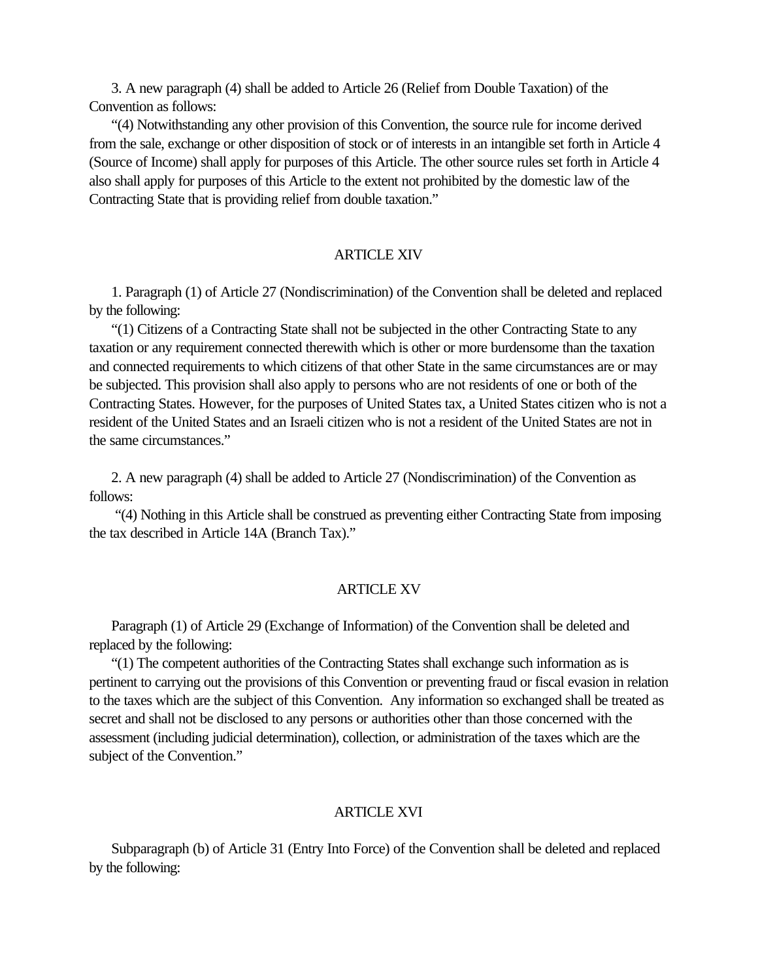3. A new paragraph (4) shall be added to Article 26 (Relief from Double Taxation) of the Convention as follows:

 "(4) Notwithstanding any other provision of this Convention, the source rule for income derived from the sale, exchange or other disposition of stock or of interests in an intangible set forth in Article 4 (Source of Income) shall apply for purposes of this Article. The other source rules set forth in Article 4 also shall apply for purposes of this Article to the extent not prohibited by the domestic law of the Contracting State that is providing relief from double taxation."

#### **ARTICLE XIV**

 1. Paragraph (1) of Article 27 (Nondiscrimination) of the Convention shall be deleted and replaced by the following:

 "(1) Citizens of a Contracting State shall not be subjected in the other Contracting State to any taxation or any requirement connected therewith which is other or more burdensome than the taxation and connected requirements to which citizens of that other State in the same circumstances are or may be subjected. This provision shall also apply to persons who are not residents of one or both of the Contracting States. However, for the purposes of United States tax, a United States citizen who is not a resident of the United States and an Israeli citizen who is not a resident of the United States are not in the same circumstances."

 2. A new paragraph (4) shall be added to Article 27 (Nondiscrimination) of the Convention as follows:

 "(4) Nothing in this Article shall be construed as preventing either Contracting State from imposing the tax described in Article 14A (Branch Tax)."

#### **ARTICLE XV**

 Paragraph (1) of Article 29 (Exchange of Information) of the Convention shall be deleted and replaced by the following:

 "(1) The competent authorities of the Contracting States shall exchange such information as is pertinent to carrying out the provisions of this Convention or preventing fraud or fiscal evasion in relation to the taxes which are the subject of this Convention. Any information so exchanged shall be treated as secret and shall not be disclosed to any persons or authorities other than those concerned with the assessment (including judicial determination), collection, or administration of the taxes which are the subject of the Convention."

#### ARTICLE XVI

 Subparagraph (b) of Article 31 (Entry Into Force) of the Convention shall be deleted and replaced by the following: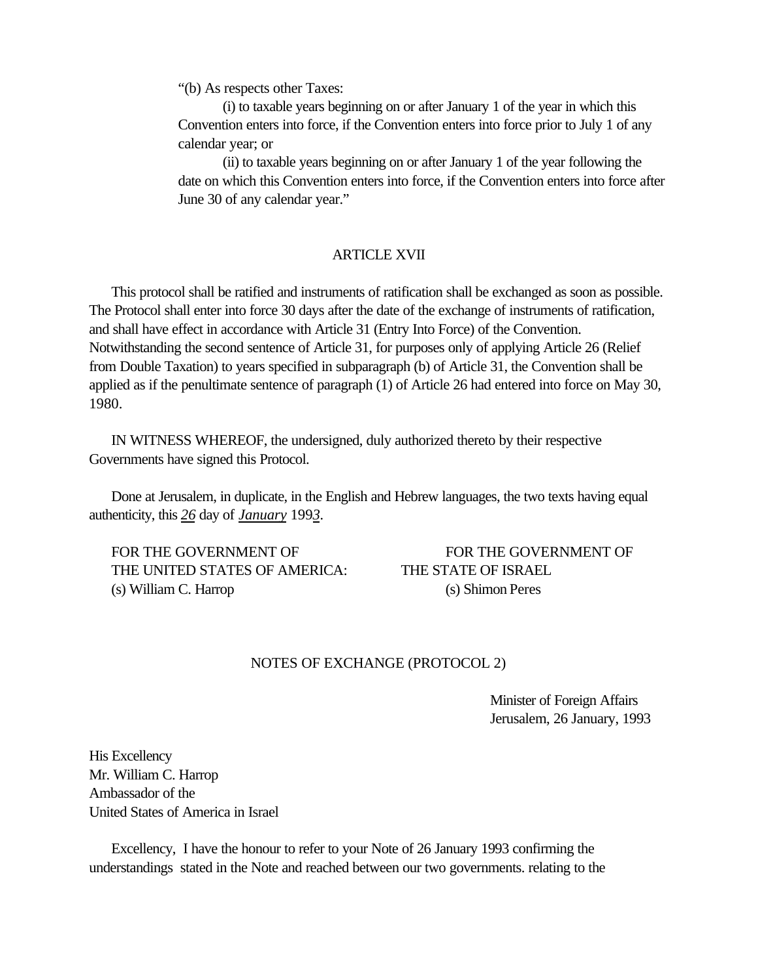"(b) As respects other Taxes:

(i) to taxable years beginning on or after January 1 of the year in which this Convention enters into force, if the Convention enters into force prior to July 1 of any calendar year; or

(ii) to taxable years beginning on or after January 1 of the year following the date on which this Convention enters into force, if the Convention enters into force after June 30 of any calendar year."

### ARTICLE XVII

 This protocol shall be ratified and instruments of ratification shall be exchanged as soon as possible. The Protocol shall enter into force 30 days after the date of the exchange of instruments of ratification, and shall have effect in accordance with Article 31 (Entry Into Force) of the Convention. Notwithstanding the second sentence of Article 31, for purposes only of applying Article 26 (Relief from Double Taxation) to years specified in subparagraph (b) of Article 31, the Convention shall be applied as if the penultimate sentence of paragraph (1) of Article 26 had entered into force on May 30, 1980.

<span id="page-56-0"></span> IN WITNESS WHEREOF, the undersigned, duly authorized thereto by their respective Governments have signed this Protocol.

 Done at Jerusalem, in duplicate, in the English and Hebrew languages, the two texts having equal authenticity, this *26* day of *January* 199*3.*

FOR THE GOVERNMENT OF FOR THE GOVERNMENT OF THE UNITED STATES OF AMERICA: THE STATE OF ISRAEL (s) William C. Harrop (s) Shimon Peres

### NOTES OF EXCHANGE (PROTOCOL 2)

Minister of Foreign Affairs Jerusalem, 26 January, 1993

His Excellency Mr. William C. Harrop Ambassador of the United States of America in Israel

 Excellency, I have the honour to refer to your Note of 26 January 1993 confirming the understandings stated in the Note and reached between our two governments. relating to the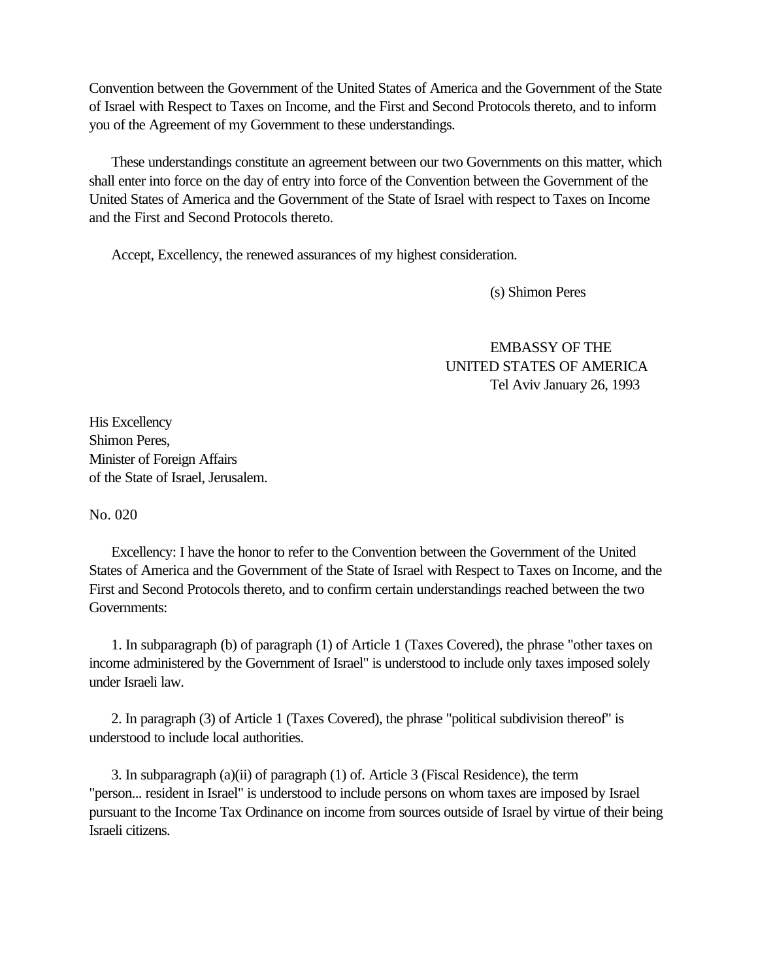Convention between the Government of the United States of America and the Government of the State of Israel with Respect to Taxes on Income, and the First and Second Protocols thereto, and to inform you of the Agreement of my Government to these understandings.

 These understandings constitute an agreement between our two Governments on this matter, which shall enter into force on the day of entry into force of the Convention between the Government of the United States of America and the Government of the State of Israel with respect to Taxes on Income and the First and Second Protocols thereto.

Accept, Excellency, the renewed assurances of my highest consideration.

(s) Shimon Peres

EMBASSY OF THE UNITED STATES OF AMERICA Tel Aviv January 26, 1993

His Excellency Shimon Peres, Minister of Foreign Affairs of the State of Israel, Jerusalem.

No. 020

 Excellency: I have the honor to refer to the Convention between the Government of the United States of America and the Government of the State of Israel with Respect to Taxes on Income, and the First and Second Protocols thereto, and to confirm certain understandings reached between the two Governments:

 1. In subparagraph (b) of paragraph (1) of Article 1 (Taxes Covered), the phrase "other taxes on income administered by the Government of Israel" is understood to include only taxes imposed solely under Israeli law.

 2. In paragraph (3) of Article 1 (Taxes Covered), the phrase "political subdivision thereof" is understood to include local authorities.

 3. In subparagraph (a)(ii) of paragraph (1) of. Article 3 (Fiscal Residence), the term "person... resident in Israel" is understood to include persons on whom taxes are imposed by Israel pursuant to the Income Tax Ordinance on income from sources outside of Israel by virtue of their being Israeli citizens.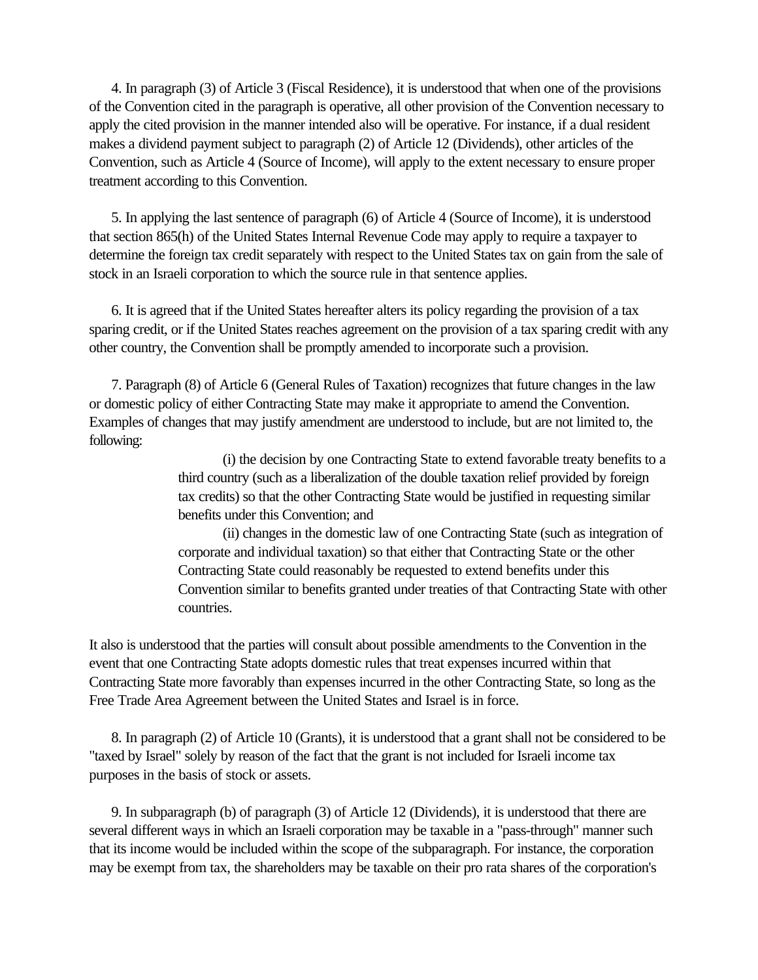4. In paragraph (3) of Article 3 (Fiscal Residence), it is understood that when one of the provisions of the Convention cited in the paragraph is operative, all other provision of the Convention necessary to apply the cited provision in the manner intended also will be operative. For instance, if a dual resident makes a dividend payment subject to paragraph (2) of Article 12 (Dividends), other articles of the Convention, such as Article 4 (Source of Income), will apply to the extent necessary to ensure proper treatment according to this Convention.

 5. In applying the last sentence of paragraph (6) of Article 4 (Source of Income), it is understood that section 865(h) of the United States Internal Revenue Code may apply to require a taxpayer to determine the foreign tax credit separately with respect to the United States tax on gain from the sale of stock in an Israeli corporation to which the source rule in that sentence applies.

 6. It is agreed that if the United States hereafter alters its policy regarding the provision of a tax sparing credit, or if the United States reaches agreement on the provision of a tax sparing credit with any other country, the Convention shall be promptly amended to incorporate such a provision.

 7. Paragraph (8) of Article 6 (General Rules of Taxation) recognizes that future changes in the law or domestic policy of either Contracting State may make it appropriate to amend the Convention. Examples of changes that may justify amendment are understood to include, but are not limited to, the following:

> (i) the decision by one Contracting State to extend favorable treaty benefits to a third country (such as a liberalization of the double taxation relief provided by foreign tax credits) so that the other Contracting State would be justified in requesting similar benefits under this Convention; and

> (ii) changes in the domestic law of one Contracting State (such as integration of corporate and individual taxation) so that either that Contracting State or the other Contracting State could reasonably be requested to extend benefits under this Convention similar to benefits granted under treaties of that Contracting State with other countries.

It also is understood that the parties will consult about possible amendments to the Convention in the event that one Contracting State adopts domestic rules that treat expenses incurred within that Contracting State more favorably than expenses incurred in the other Contracting State, so long as the Free Trade Area Agreement between the United States and Israel is in force.

 8. In paragraph (2) of Article 10 (Grants), it is understood that a grant shall not be considered to be "taxed by Israel" solely by reason of the fact that the grant is not included for Israeli income tax purposes in the basis of stock or assets.

 9. In subparagraph (b) of paragraph (3) of Article 12 (Dividends), it is understood that there are several different ways in which an Israeli corporation may be taxable in a "pass-through" manner such that its income would be included within the scope of the subparagraph. For instance, the corporation may be exempt from tax, the shareholders may be taxable on their pro rata shares of the corporation's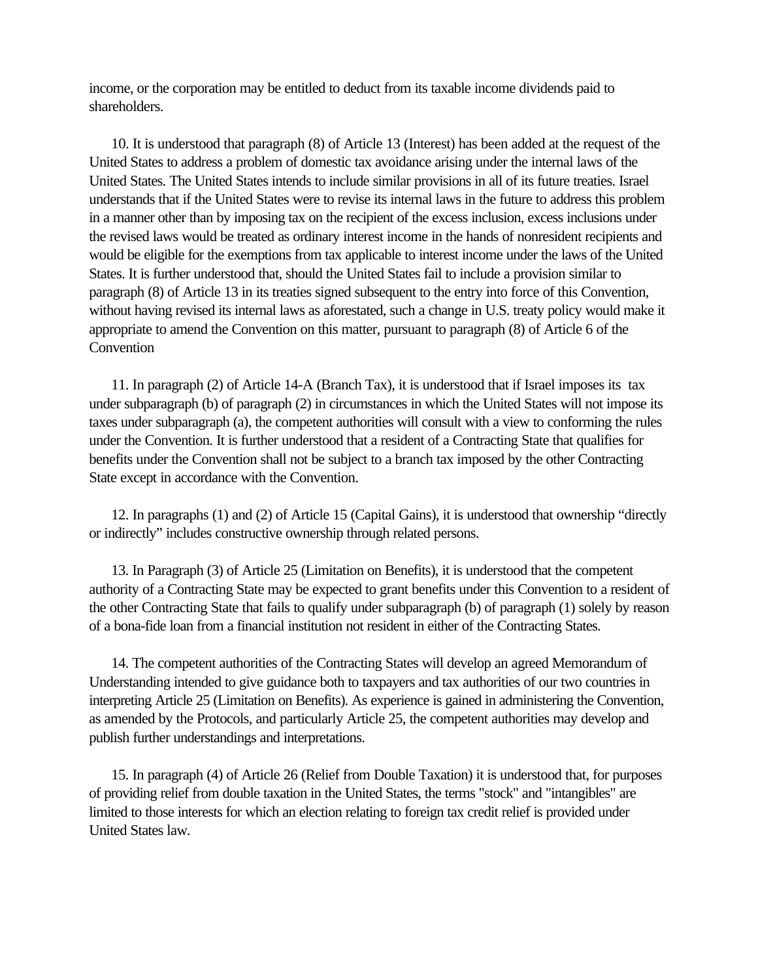income, or the corporation may be entitled to deduct from its taxable income dividends paid to shareholders.

 10. It is understood that paragraph (8) of Article 13 (Interest) has been added at the request of the United States to address a problem of domestic tax avoidance arising under the internal laws of the United States. The United States intends to include similar provisions in all of its future treaties. Israel understands that if the United States were to revise its internal laws in the future to address this problem in a manner other than by imposing tax on the recipient of the excess inclusion, excess inclusions under the revised laws would be treated as ordinary interest income in the hands of nonresident recipients and would be eligible for the exemptions from tax applicable to interest income under the laws of the United States. It is further understood that, should the United States fail to include a provision similar to paragraph (8) of Article 13 in its treaties signed subsequent to the entry into force of this Convention, without having revised its internal laws as aforestated, such a change in U.S. treaty policy would make it appropriate to amend the Convention on this matter, pursuant to paragraph (8) of Article 6 of the Convention

 11. In paragraph (2) of Article 14-A (Branch Tax), it is understood that if Israel imposes its tax under subparagraph (b) of paragraph (2) in circumstances in which the United States will not impose its taxes under subparagraph (a), the competent authorities will consult with a view to conforming the rules under the Convention. It is further understood that a resident of a Contracting State that qualifies for benefits under the Convention shall not be subject to a branch tax imposed by the other Contracting State except in accordance with the Convention.

 12. In paragraphs (1) and (2) of Article 15 (Capital Gains), it is understood that ownership "directly or indirectly" includes constructive ownership through related persons.

 13. In Paragraph (3) of Article 25 (Limitation on Benefits), it is understood that the competent authority of a Contracting State may be expected to grant benefits under this Convention to a resident of the other Contracting State that fails to qualify under subparagraph (b) of paragraph (1) solely by reason of a bona-fide loan from a financial institution not resident in either of the Contracting States.

 14. The competent authorities of the Contracting States will develop an agreed Memorandum of Understanding intended to give guidance both to taxpayers and tax authorities of our two countries in interpreting Article 25 (Limitation on Benefits). As experience is gained in administering the Convention, as amended by the Protocols, and particularly Article 25, the competent authorities may develop and publish further understandings and interpretations.

 15. In paragraph (4) of Article 26 (Relief from Double Taxation) it is understood that, for purposes of providing relief from double taxation in the United States, the terms "stock" and "intangibles" are limited to those interests for which an election relating to foreign tax credit relief is provided under United States law.